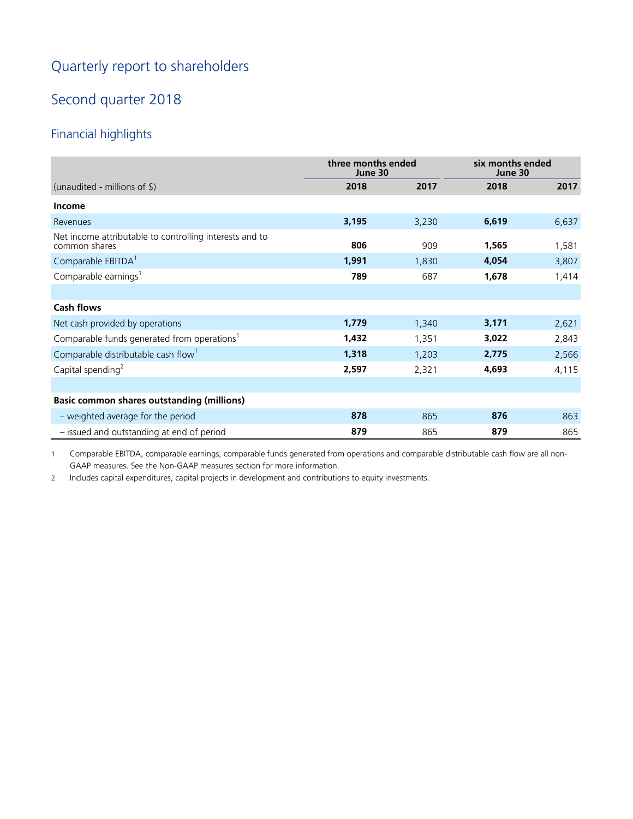# Quarterly report to shareholders

# Second quarter 2018

# Financial highlights

|                                                                          | three months ended<br>June 30 |       | six months ended<br>June 30 |       |
|--------------------------------------------------------------------------|-------------------------------|-------|-----------------------------|-------|
| (unaudited - millions of $\frac{1}{2}$ )                                 | 2018                          | 2017  | 2018                        | 2017  |
| <b>Income</b>                                                            |                               |       |                             |       |
| Revenues                                                                 | 3,195                         | 3,230 | 6,619                       | 6,637 |
| Net income attributable to controlling interests and to<br>common shares | 806                           | 909   | 1,565                       | 1,581 |
| Comparable EBITDA <sup>1</sup>                                           | 1,991                         | 1,830 | 4,054                       | 3,807 |
| Comparable earnings <sup>1</sup>                                         | 789                           | 687   | 1,678                       | 1,414 |
|                                                                          |                               |       |                             |       |
| <b>Cash flows</b>                                                        |                               |       |                             |       |
| Net cash provided by operations                                          | 1,779                         | 1,340 | 3,171                       | 2,621 |
| Comparable funds generated from operations <sup>1</sup>                  | 1,432                         | 1,351 | 3,022                       | 2,843 |
| Comparable distributable cash flow <sup>1</sup>                          | 1,318                         | 1,203 | 2,775                       | 2,566 |
| Capital spending <sup>2</sup>                                            | 2,597                         | 2,321 | 4,693                       | 4,115 |
|                                                                          |                               |       |                             |       |
| <b>Basic common shares outstanding (millions)</b>                        |                               |       |                             |       |
| - weighted average for the period                                        | 878                           | 865   | 876                         | 863   |
| - issued and outstanding at end of period                                | 879                           | 865   | 879                         | 865   |

1 Comparable EBITDA, comparable earnings, comparable funds generated from operations and comparable distributable cash flow are all non-GAAP measures. See the Non-GAAP measures section for more information.

2 Includes capital expenditures, capital projects in development and contributions to equity investments.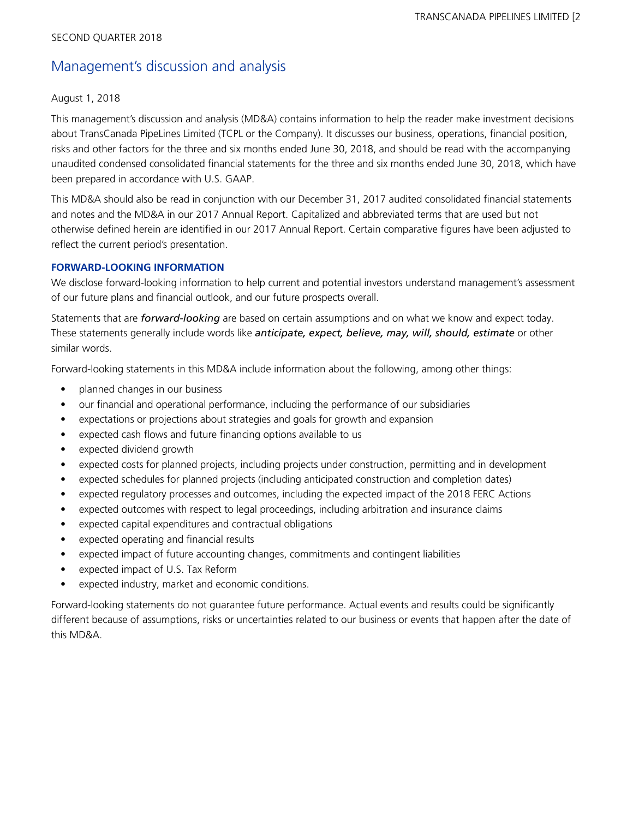# Management's discussion and analysis

# August 1, 2018

This management's discussion and analysis (MD&A) contains information to help the reader make investment decisions about TransCanada PipeLines Limited (TCPL or the Company). It discusses our business, operations, financial position, risks and other factors for the three and six months ended June 30, 2018, and should be read with the accompanying unaudited condensed consolidated financial statements for the three and six months ended June 30, 2018, which have been prepared in accordance with U.S. GAAP.

This MD&A should also be read in conjunction with our December 31, 2017 audited consolidated financial statements and notes and the MD&A in our 2017 Annual Report. Capitalized and abbreviated terms that are used but not otherwise defined herein are identified in our 2017 Annual Report. Certain comparative figures have been adjusted to reflect the current period's presentation.

# **FORWARD-LOOKING INFORMATION**

We disclose forward-looking information to help current and potential investors understand management's assessment of our future plans and financial outlook, and our future prospects overall.

Statements that are *forward-looking* are based on certain assumptions and on what we know and expect today. These statements generally include words like *anticipate, expect, believe, may, will, should, estimate* or other similar words.

Forward-looking statements in this MD&A include information about the following, among other things:

- planned changes in our business
- our financial and operational performance, including the performance of our subsidiaries
- expectations or projections about strategies and goals for growth and expansion
- expected cash flows and future financing options available to us
- expected dividend growth
- expected costs for planned projects, including projects under construction, permitting and in development
- expected schedules for planned projects (including anticipated construction and completion dates)
- expected regulatory processes and outcomes, including the expected impact of the 2018 FERC Actions
- expected outcomes with respect to legal proceedings, including arbitration and insurance claims
- expected capital expenditures and contractual obligations
- expected operating and financial results
- expected impact of future accounting changes, commitments and contingent liabilities
- expected impact of U.S. Tax Reform
- expected industry, market and economic conditions.

Forward-looking statements do not guarantee future performance. Actual events and results could be significantly different because of assumptions, risks or uncertainties related to our business or events that happen after the date of this MD&A.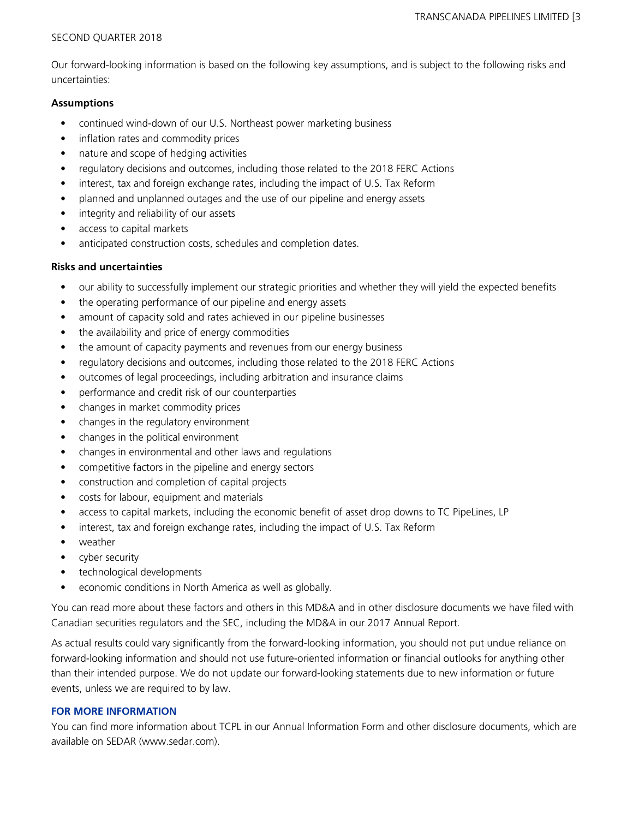Our forward-looking information is based on the following key assumptions, and is subject to the following risks and uncertainties:

# **Assumptions**

- continued wind-down of our U.S. Northeast power marketing business
- inflation rates and commodity prices
- nature and scope of hedging activities
- regulatory decisions and outcomes, including those related to the 2018 FERC Actions
- interest, tax and foreign exchange rates, including the impact of U.S. Tax Reform
- planned and unplanned outages and the use of our pipeline and energy assets
- integrity and reliability of our assets
- access to capital markets
- anticipated construction costs, schedules and completion dates.

# **Risks and uncertainties**

- our ability to successfully implement our strategic priorities and whether they will yield the expected benefits
- the operating performance of our pipeline and energy assets
- amount of capacity sold and rates achieved in our pipeline businesses
- the availability and price of energy commodities
- the amount of capacity payments and revenues from our energy business
- regulatory decisions and outcomes, including those related to the 2018 FERC Actions
- outcomes of legal proceedings, including arbitration and insurance claims
- performance and credit risk of our counterparties
- changes in market commodity prices
- changes in the regulatory environment
- changes in the political environment
- changes in environmental and other laws and regulations
- competitive factors in the pipeline and energy sectors
- construction and completion of capital projects
- costs for labour, equipment and materials
- access to capital markets, including the economic benefit of asset drop downs to TC PipeLines, LP
- interest, tax and foreign exchange rates, including the impact of U.S. Tax Reform
- weather
- cyber security
- technological developments
- economic conditions in North America as well as globally.

You can read more about these factors and others in this MD&A and in other disclosure documents we have filed with Canadian securities regulators and the SEC, including the MD&A in our 2017 Annual Report.

As actual results could vary significantly from the forward-looking information, you should not put undue reliance on forward-looking information and should not use future-oriented information or financial outlooks for anything other than their intended purpose. We do not update our forward-looking statements due to new information or future events, unless we are required to by law.

# **FOR MORE INFORMATION**

You can find more information about TCPL in our Annual Information Form and other disclosure documents, which are available on SEDAR (www.sedar.com).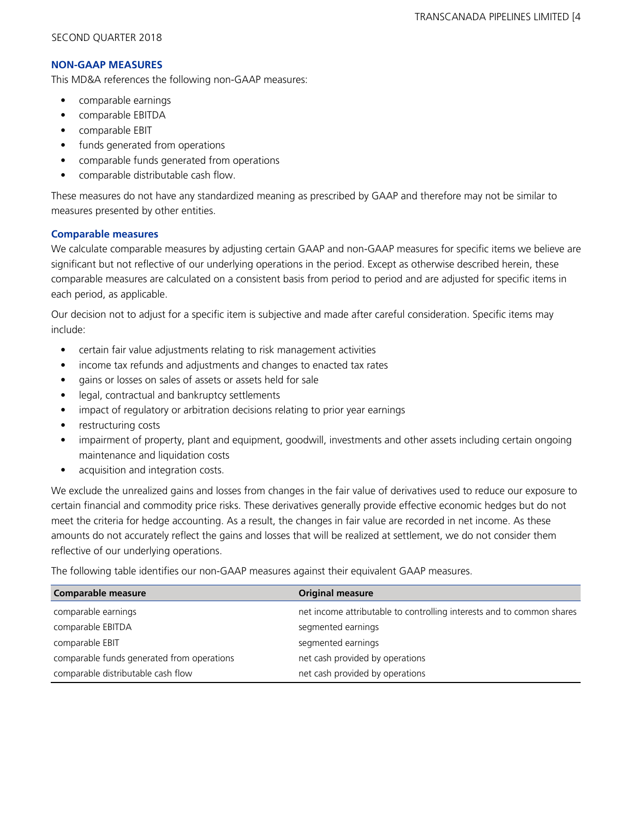#### **NON-GAAP MEASURES**

This MD&A references the following non-GAAP measures:

- **•** comparable earnings
- comparable EBITDA
- comparable EBIT
- funds generated from operations
- comparable funds generated from operations
- comparable distributable cash flow.

These measures do not have any standardized meaning as prescribed by GAAP and therefore may not be similar to measures presented by other entities.

# **Comparable measures**

We calculate comparable measures by adjusting certain GAAP and non-GAAP measures for specific items we believe are significant but not reflective of our underlying operations in the period. Except as otherwise described herein, these comparable measures are calculated on a consistent basis from period to period and are adjusted for specific items in each period, as applicable.

Our decision not to adjust for a specific item is subjective and made after careful consideration. Specific items may include:

- **•** certain fair value adjustments relating to risk management activities
- **•** income tax refunds and adjustments and changes to enacted tax rates
- **•** gains or losses on sales of assets or assets held for sale
- **•** legal, contractual and bankruptcy settlements
- impact of regulatory or arbitration decisions relating to prior year earnings
- restructuring costs
- **•** impairment of property, plant and equipment, goodwill, investments and other assets including certain ongoing maintenance and liquidation costs
- acquisition and integration costs.

We exclude the unrealized gains and losses from changes in the fair value of derivatives used to reduce our exposure to certain financial and commodity price risks. These derivatives generally provide effective economic hedges but do not meet the criteria for hedge accounting. As a result, the changes in fair value are recorded in net income. As these amounts do not accurately reflect the gains and losses that will be realized at settlement, we do not consider them reflective of our underlying operations.

The following table identifies our non-GAAP measures against their equivalent GAAP measures.

| <b>Comparable measure</b>                  | <b>Original measure</b>                                               |
|--------------------------------------------|-----------------------------------------------------------------------|
| comparable earnings                        | net income attributable to controlling interests and to common shares |
| comparable EBITDA                          | segmented earnings                                                    |
| comparable EBIT                            | segmented earnings                                                    |
| comparable funds generated from operations | net cash provided by operations                                       |
| comparable distributable cash flow         | net cash provided by operations                                       |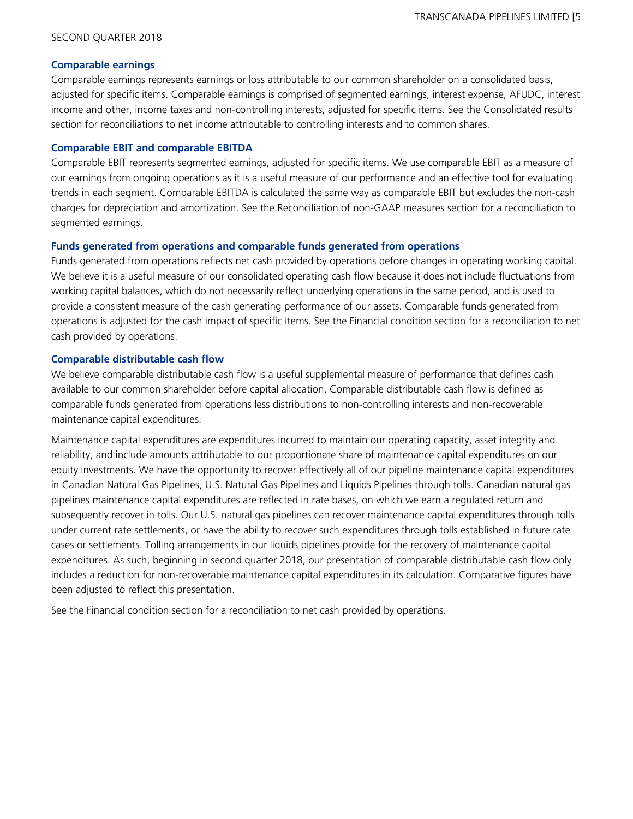#### **Comparable earnings**

Comparable earnings represents earnings or loss attributable to our common shareholder on a consolidated basis, adjusted for specific items. Comparable earnings is comprised of segmented earnings, interest expense, AFUDC, interest income and other, income taxes and non-controlling interests, adjusted for specific items. See the Consolidated results section for reconciliations to net income attributable to controlling interests and to common shares.

#### **Comparable EBIT and comparable EBITDA**

Comparable EBIT represents segmented earnings, adjusted for specific items. We use comparable EBIT as a measure of our earnings from ongoing operations as it is a useful measure of our performance and an effective tool for evaluating trends in each segment. Comparable EBITDA is calculated the same way as comparable EBIT but excludes the non-cash charges for depreciation and amortization. See the Reconciliation of non-GAAP measures section for a reconciliation to segmented earnings.

#### **Funds generated from operations and comparable funds generated from operations**

Funds generated from operations reflects net cash provided by operations before changes in operating working capital. We believe it is a useful measure of our consolidated operating cash flow because it does not include fluctuations from working capital balances, which do not necessarily reflect underlying operations in the same period, and is used to provide a consistent measure of the cash generating performance of our assets. Comparable funds generated from operations is adjusted for the cash impact of specific items. See the Financial condition section for a reconciliation to net cash provided by operations.

#### **Comparable distributable cash flow**

We believe comparable distributable cash flow is a useful supplemental measure of performance that defines cash available to our common shareholder before capital allocation. Comparable distributable cash flow is defined as comparable funds generated from operations less distributions to non-controlling interests and non-recoverable maintenance capital expenditures.

Maintenance capital expenditures are expenditures incurred to maintain our operating capacity, asset integrity and reliability, and include amounts attributable to our proportionate share of maintenance capital expenditures on our equity investments. We have the opportunity to recover effectively all of our pipeline maintenance capital expenditures in Canadian Natural Gas Pipelines, U.S. Natural Gas Pipelines and Liquids Pipelines through tolls. Canadian natural gas pipelines maintenance capital expenditures are reflected in rate bases, on which we earn a regulated return and subsequently recover in tolls. Our U.S. natural gas pipelines can recover maintenance capital expenditures through tolls under current rate settlements, or have the ability to recover such expenditures through tolls established in future rate cases or settlements. Tolling arrangements in our liquids pipelines provide for the recovery of maintenance capital expenditures. As such, beginning in second quarter 2018, our presentation of comparable distributable cash flow only includes a reduction for non-recoverable maintenance capital expenditures in its calculation. Comparative figures have been adjusted to reflect this presentation.

See the Financial condition section for a reconciliation to net cash provided by operations.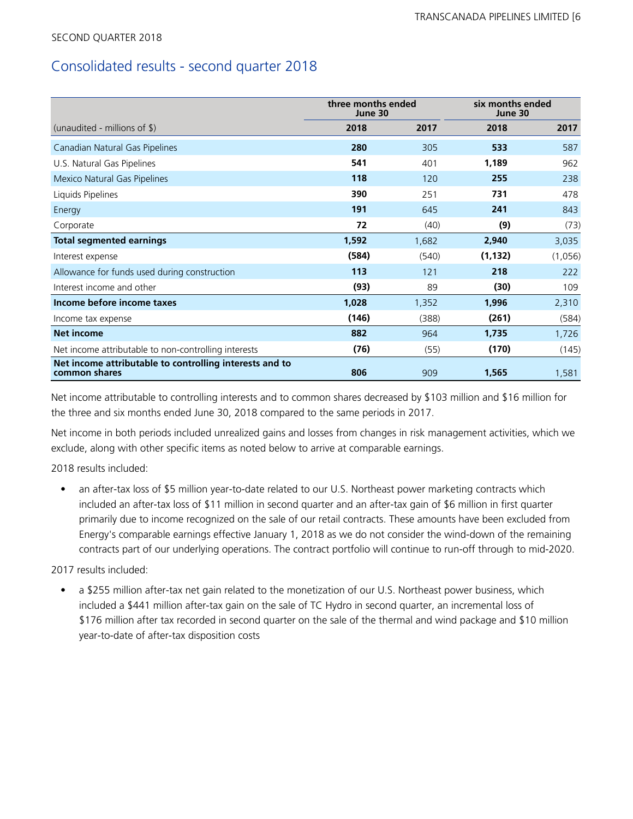# Consolidated results - second quarter 2018

|                                                                          | three months ended<br>June 30 |       | six months ended<br>June 30 |         |
|--------------------------------------------------------------------------|-------------------------------|-------|-----------------------------|---------|
| (unaudited - millions of $\frac{1}{2}$ )                                 | 2018                          | 2017  | 2018                        | 2017    |
| Canadian Natural Gas Pipelines                                           | 280                           | 305   | 533                         | 587     |
| U.S. Natural Gas Pipelines                                               | 541                           | 401   | 1,189                       | 962     |
| Mexico Natural Gas Pipelines                                             | 118                           | 120   | 255                         | 238     |
| Liquids Pipelines                                                        | 390                           | 251   | 731                         | 478     |
| Energy                                                                   | 191                           | 645   | 241                         | 843     |
| Corporate                                                                | 72                            | (40)  | (9)                         | (73)    |
| <b>Total segmented earnings</b>                                          | 1,592                         | 1,682 | 2,940                       | 3,035   |
| Interest expense                                                         | (584)                         | (540) | (1, 132)                    | (1,056) |
| Allowance for funds used during construction                             | 113                           | 121   | 218                         | 222     |
| Interest income and other                                                | (93)                          | 89    | (30)                        | 109     |
| Income before income taxes                                               | 1,028                         | 1,352 | 1,996                       | 2,310   |
| Income tax expense                                                       | (146)                         | (388) | (261)                       | (584)   |
| <b>Net income</b>                                                        | 882                           | 964   | 1,735                       | 1,726   |
| Net income attributable to non-controlling interests                     | (76)                          | (55)  | (170)                       | (145)   |
| Net income attributable to controlling interests and to<br>common shares | 806                           | 909   | 1,565                       | 1,581   |

Net income attributable to controlling interests and to common shares decreased by \$103 million and \$16 million for the three and six months ended June 30, 2018 compared to the same periods in 2017.

Net income in both periods included unrealized gains and losses from changes in risk management activities, which we exclude, along with other specific items as noted below to arrive at comparable earnings.

2018 results included:

• an after-tax loss of \$5 million year-to-date related to our U.S. Northeast power marketing contracts which included an after-tax loss of \$11 million in second quarter and an after-tax gain of \$6 million in first quarter primarily due to income recognized on the sale of our retail contracts. These amounts have been excluded from Energy's comparable earnings effective January 1, 2018 as we do not consider the wind-down of the remaining contracts part of our underlying operations. The contract portfolio will continue to run-off through to mid-2020.

2017 results included:

• a \$255 million after-tax net gain related to the monetization of our U.S. Northeast power business, which included a \$441 million after-tax gain on the sale of TC Hydro in second quarter, an incremental loss of \$176 million after tax recorded in second quarter on the sale of the thermal and wind package and \$10 million year-to-date of after-tax disposition costs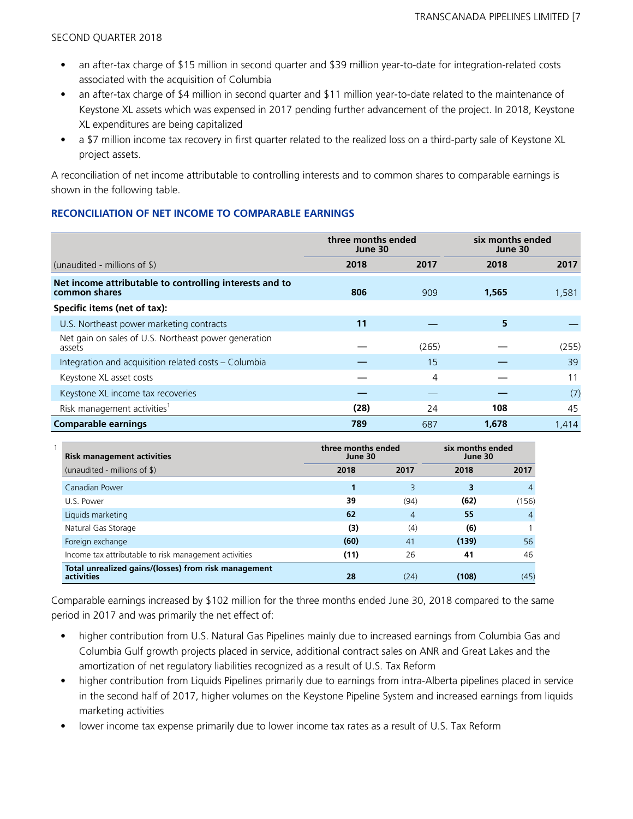- an after-tax charge of \$15 million in second quarter and \$39 million year-to-date for integration-related costs associated with the acquisition of Columbia
- an after-tax charge of \$4 million in second quarter and \$11 million year-to-date related to the maintenance of Keystone XL assets which was expensed in 2017 pending further advancement of the project. In 2018, Keystone XL expenditures are being capitalized
- a \$7 million income tax recovery in first quarter related to the realized loss on a third-party sale of Keystone XL project assets.

A reconciliation of net income attributable to controlling interests and to common shares to comparable earnings is shown in the following table.

# **RECONCILIATION OF NET INCOME TO COMPARABLE EARNINGS**

|                                                                          | three months ended<br>June 30 |       | six months ended<br>June 30 |       |
|--------------------------------------------------------------------------|-------------------------------|-------|-----------------------------|-------|
| (unaudited - millions of $\$\$ )                                         | 2018                          | 2017  | 2018                        | 2017  |
| Net income attributable to controlling interests and to<br>common shares | 806                           | 909   | 1,565                       | 1,581 |
| Specific items (net of tax):                                             |                               |       |                             |       |
| U.S. Northeast power marketing contracts                                 | 11                            |       | 5                           |       |
| Net gain on sales of U.S. Northeast power generation<br>assets           |                               | (265) |                             | (255) |
| Integration and acquisition related costs – Columbia                     |                               | 15    |                             | 39    |
| Keystone XL asset costs                                                  |                               | 4     |                             | 11    |
| Keystone XL income tax recoveries                                        |                               |       |                             | (7)   |
| Risk management activities <sup>1</sup>                                  | (28)                          | 24    | 108                         | 45    |
| <b>Comparable earnings</b>                                               | 789                           | 687   | 1,678                       | 1,414 |

| <b>Risk management activities</b>                                  | three months ended<br>June 30 |                | six months ended<br>June 30 |                |
|--------------------------------------------------------------------|-------------------------------|----------------|-----------------------------|----------------|
| (unaudited - millions of \$)                                       | 2018                          | 2017           | 2018                        | 2017           |
| Canadian Power                                                     |                               | 3              | 3                           | 4              |
| U.S. Power                                                         | 39                            | (94)           | (62)                        | (156)          |
| Liquids marketing                                                  | 62                            | $\overline{4}$ | 55                          | $\overline{4}$ |
| Natural Gas Storage                                                | (3)                           | (4)            | (6)                         |                |
| Foreign exchange                                                   | (60)                          | 41             | (139)                       | 56             |
| Income tax attributable to risk management activities              | (11)                          | 26             | 41                          | 46             |
| Total unrealized gains/(losses) from risk management<br>activities | 28                            | (24)           | (108)                       | (45)           |

Comparable earnings increased by \$102 million for the three months ended June 30, 2018 compared to the same period in 2017 and was primarily the net effect of:

- higher contribution from U.S. Natural Gas Pipelines mainly due to increased earnings from Columbia Gas and Columbia Gulf growth projects placed in service, additional contract sales on ANR and Great Lakes and the amortization of net regulatory liabilities recognized as a result of U.S. Tax Reform
- higher contribution from Liquids Pipelines primarily due to earnings from intra-Alberta pipelines placed in service in the second half of 2017, higher volumes on the Keystone Pipeline System and increased earnings from liquids marketing activities
- lower income tax expense primarily due to lower income tax rates as a result of U.S. Tax Reform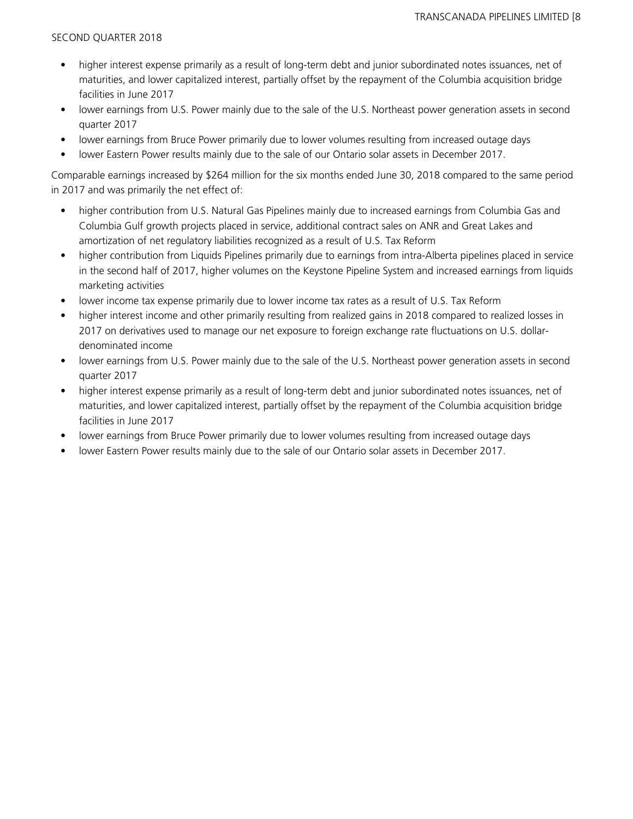- higher interest expense primarily as a result of long-term debt and junior subordinated notes issuances, net of maturities, and lower capitalized interest, partially offset by the repayment of the Columbia acquisition bridge facilities in June 2017
- lower earnings from U.S. Power mainly due to the sale of the U.S. Northeast power generation assets in second quarter 2017
- lower earnings from Bruce Power primarily due to lower volumes resulting from increased outage days
- lower Eastern Power results mainly due to the sale of our Ontario solar assets in December 2017.

Comparable earnings increased by \$264 million for the six months ended June 30, 2018 compared to the same period in 2017 and was primarily the net effect of:

- higher contribution from U.S. Natural Gas Pipelines mainly due to increased earnings from Columbia Gas and Columbia Gulf growth projects placed in service, additional contract sales on ANR and Great Lakes and amortization of net regulatory liabilities recognized as a result of U.S. Tax Reform
- higher contribution from Liquids Pipelines primarily due to earnings from intra-Alberta pipelines placed in service in the second half of 2017, higher volumes on the Keystone Pipeline System and increased earnings from liquids marketing activities
- lower income tax expense primarily due to lower income tax rates as a result of U.S. Tax Reform
- higher interest income and other primarily resulting from realized gains in 2018 compared to realized losses in 2017 on derivatives used to manage our net exposure to foreign exchange rate fluctuations on U.S. dollardenominated income
- lower earnings from U.S. Power mainly due to the sale of the U.S. Northeast power generation assets in second quarter 2017
- higher interest expense primarily as a result of long-term debt and junior subordinated notes issuances, net of maturities, and lower capitalized interest, partially offset by the repayment of the Columbia acquisition bridge facilities in June 2017
- lower earnings from Bruce Power primarily due to lower volumes resulting from increased outage days
- lower Eastern Power results mainly due to the sale of our Ontario solar assets in December 2017.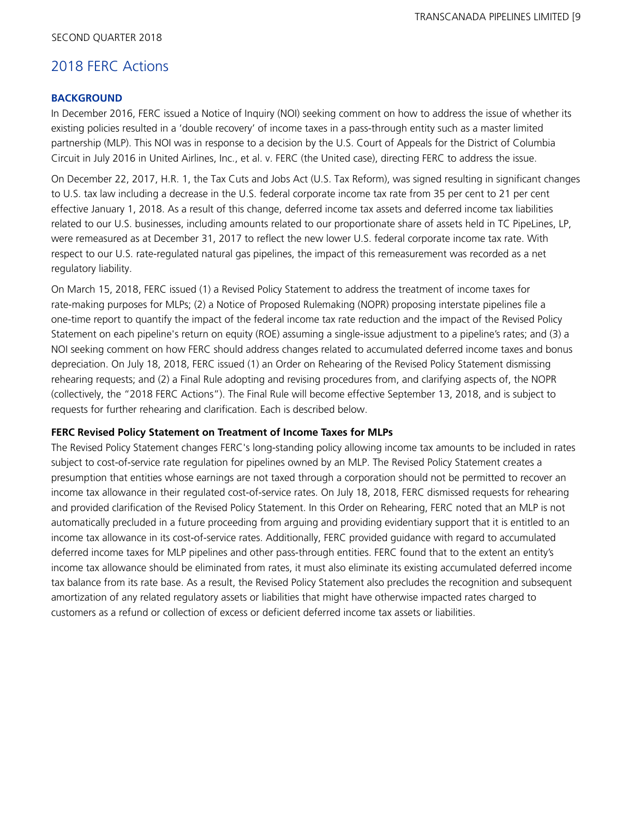# 2018 FERC Actions

### **BACKGROUND**

In December 2016, FERC issued a Notice of Inquiry (NOI) seeking comment on how to address the issue of whether its existing policies resulted in a 'double recovery' of income taxes in a pass-through entity such as a master limited partnership (MLP). This NOI was in response to a decision by the U.S. Court of Appeals for the District of Columbia Circuit in July 2016 in United Airlines, Inc., et al. v. FERC (the United case), directing FERC to address the issue.

On December 22, 2017, H.R. 1, the Tax Cuts and Jobs Act (U.S. Tax Reform), was signed resulting in significant changes to U.S. tax law including a decrease in the U.S. federal corporate income tax rate from 35 per cent to 21 per cent effective January 1, 2018. As a result of this change, deferred income tax assets and deferred income tax liabilities related to our U.S. businesses, including amounts related to our proportionate share of assets held in TC PipeLines, LP, were remeasured as at December 31, 2017 to reflect the new lower U.S. federal corporate income tax rate. With respect to our U.S. rate-regulated natural gas pipelines, the impact of this remeasurement was recorded as a net regulatory liability.

On March 15, 2018, FERC issued (1) a Revised Policy Statement to address the treatment of income taxes for rate-making purposes for MLPs; (2) a Notice of Proposed Rulemaking (NOPR) proposing interstate pipelines file a one-time report to quantify the impact of the federal income tax rate reduction and the impact of the Revised Policy Statement on each pipeline's return on equity (ROE) assuming a single-issue adjustment to a pipeline's rates; and (3) a NOI seeking comment on how FERC should address changes related to accumulated deferred income taxes and bonus depreciation. On July 18, 2018, FERC issued (1) an Order on Rehearing of the Revised Policy Statement dismissing rehearing requests; and (2) a Final Rule adopting and revising procedures from, and clarifying aspects of, the NOPR (collectively, the "2018 FERC Actions"). The Final Rule will become effective September 13, 2018, and is subject to requests for further rehearing and clarification. Each is described below.

# **FERC Revised Policy Statement on Treatment of Income Taxes for MLPs**

The Revised Policy Statement changes FERC's long-standing policy allowing income tax amounts to be included in rates subject to cost-of-service rate regulation for pipelines owned by an MLP. The Revised Policy Statement creates a presumption that entities whose earnings are not taxed through a corporation should not be permitted to recover an income tax allowance in their regulated cost-of-service rates. On July 18, 2018, FERC dismissed requests for rehearing and provided clarification of the Revised Policy Statement. In this Order on Rehearing, FERC noted that an MLP is not automatically precluded in a future proceeding from arguing and providing evidentiary support that it is entitled to an income tax allowance in its cost-of-service rates. Additionally, FERC provided guidance with regard to accumulated deferred income taxes for MLP pipelines and other pass-through entities. FERC found that to the extent an entity's income tax allowance should be eliminated from rates, it must also eliminate its existing accumulated deferred income tax balance from its rate base. As a result, the Revised Policy Statement also precludes the recognition and subsequent amortization of any related regulatory assets or liabilities that might have otherwise impacted rates charged to customers as a refund or collection of excess or deficient deferred income tax assets or liabilities.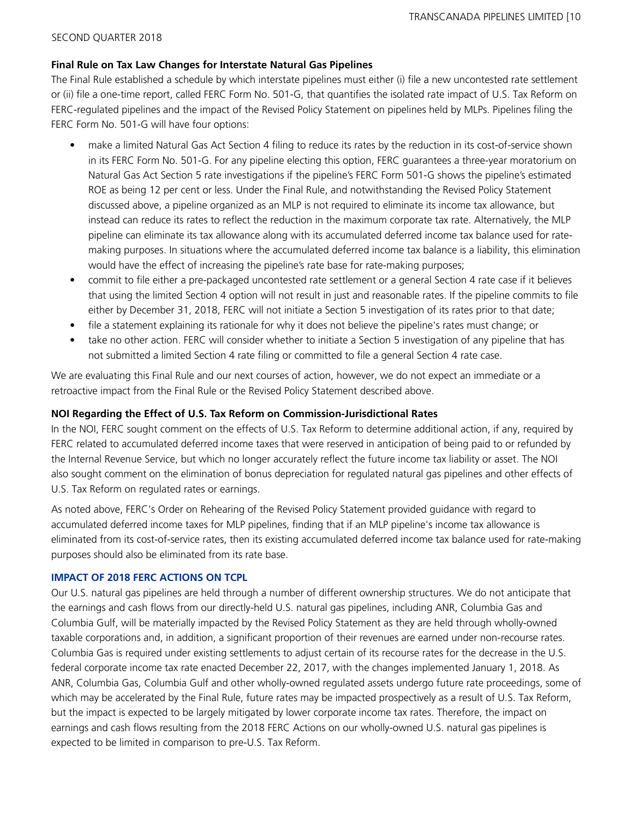#### **Final Rule on Tax Law Changes for Interstate Natural Gas Pipelines**

The Final Rule established a schedule by which interstate pipelines must either (i) file a new uncontested rate settlement or (ii) file a one-time report, called FERC Form No. 501-G, that quantifies the isolated rate impact of U.S. Tax Reform on FERC-regulated pipelines and the impact of the Revised Policy Statement on pipelines held by MLPs. Pipelines filing the FERC Form No. 501-G will have four options:

- make a limited Natural Gas Act Section 4 filing to reduce its rates by the reduction in its cost-of-service shown in its FERC Form No. 501-G. For any pipeline electing this option, FERC guarantees a three-year moratorium on Natural Gas Act Section 5 rate investigations if the pipeline's FERC Form 501-G shows the pipeline's estimated ROE as being 12 per cent or less. Under the Final Rule, and notwithstanding the Revised Policy Statement discussed above, a pipeline organized as an MLP is not required to eliminate its income tax allowance, but instead can reduce its rates to reflect the reduction in the maximum corporate tax rate. Alternatively, the MLP pipeline can eliminate its tax allowance along with its accumulated deferred income tax balance used for ratemaking purposes. In situations where the accumulated deferred income tax balance is a liability, this elimination would have the effect of increasing the pipeline's rate base for rate-making purposes;
- commit to file either a pre-packaged uncontested rate settlement or a general Section 4 rate case if it believes that using the limited Section 4 option will not result in just and reasonable rates. If the pipeline commits to file either by December 31, 2018, FERC will not initiate a Section 5 investigation of its rates prior to that date;
- file a statement explaining its rationale for why it does not believe the pipeline's rates must change; or
- take no other action. FERC will consider whether to initiate a Section 5 investigation of any pipeline that has not submitted a limited Section 4 rate filing or committed to file a general Section 4 rate case.

We are evaluating this Final Rule and our next courses of action, however, we do not expect an immediate or a retroactive impact from the Final Rule or the Revised Policy Statement described above.

#### **NOI Regarding the Effect of U.S. Tax Reform on Commission-Jurisdictional Rates**

In the NOI, FERC sought comment on the effects of U.S. Tax Reform to determine additional action, if any, required by FERC related to accumulated deferred income taxes that were reserved in anticipation of being paid to or refunded by the Internal Revenue Service, but which no longer accurately reflect the future income tax liability or asset. The NOI also sought comment on the elimination of bonus depreciation for regulated natural gas pipelines and other effects of U.S. Tax Reform on regulated rates or earnings.

As noted above, FERC's Order on Rehearing of the Revised Policy Statement provided guidance with regard to accumulated deferred income taxes for MLP pipelines, finding that if an MLP pipeline's income tax allowance is eliminated from its cost-of-service rates, then its existing accumulated deferred income tax balance used for rate-making purposes should also be eliminated from its rate base.

#### **IMPACT OF 2018 FERC ACTIONS ON TCPL**

Our U.S. natural gas pipelines are held through a number of different ownership structures. We do not anticipate that the earnings and cash flows from our directly-held U.S. natural gas pipelines, including ANR, Columbia Gas and Columbia Gulf, will be materially impacted by the Revised Policy Statement as they are held through wholly-owned taxable corporations and, in addition, a significant proportion of their revenues are earned under non-recourse rates. Columbia Gas is required under existing settlements to adjust certain of its recourse rates for the decrease in the U.S. federal corporate income tax rate enacted December 22, 2017, with the changes implemented January 1, 2018. As ANR, Columbia Gas, Columbia Gulf and other wholly-owned regulated assets undergo future rate proceedings, some of which may be accelerated by the Final Rule, future rates may be impacted prospectively as a result of U.S. Tax Reform, but the impact is expected to be largely mitigated by lower corporate income tax rates. Therefore, the impact on earnings and cash flows resulting from the 2018 FERC Actions on our wholly-owned U.S. natural gas pipelines is expected to be limited in comparison to pre-U.S. Tax Reform.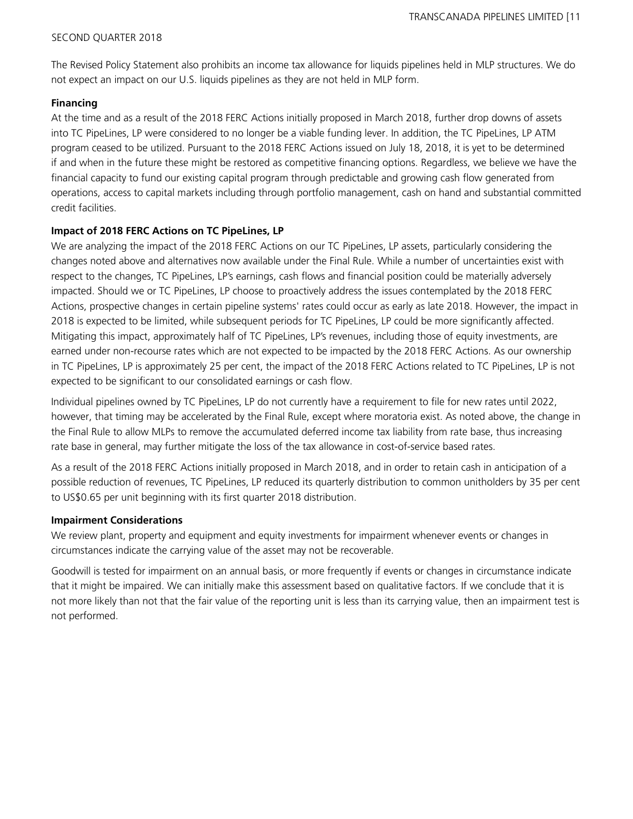The Revised Policy Statement also prohibits an income tax allowance for liquids pipelines held in MLP structures. We do not expect an impact on our U.S. liquids pipelines as they are not held in MLP form.

#### **Financing**

At the time and as a result of the 2018 FERC Actions initially proposed in March 2018, further drop downs of assets into TC PipeLines, LP were considered to no longer be a viable funding lever. In addition, the TC PipeLines, LP ATM program ceased to be utilized. Pursuant to the 2018 FERC Actions issued on July 18, 2018, it is yet to be determined if and when in the future these might be restored as competitive financing options. Regardless, we believe we have the financial capacity to fund our existing capital program through predictable and growing cash flow generated from operations, access to capital markets including through portfolio management, cash on hand and substantial committed credit facilities.

#### **Impact of 2018 FERC Actions on TC PipeLines, LP**

We are analyzing the impact of the 2018 FERC Actions on our TC PipeLines, LP assets, particularly considering the changes noted above and alternatives now available under the Final Rule. While a number of uncertainties exist with respect to the changes, TC PipeLines, LP's earnings, cash flows and financial position could be materially adversely impacted. Should we or TC PipeLines, LP choose to proactively address the issues contemplated by the 2018 FERC Actions, prospective changes in certain pipeline systems' rates could occur as early as late 2018. However, the impact in 2018 is expected to be limited, while subsequent periods for TC PipeLines, LP could be more significantly affected. Mitigating this impact, approximately half of TC PipeLines, LP's revenues, including those of equity investments, are earned under non-recourse rates which are not expected to be impacted by the 2018 FERC Actions. As our ownership in TC PipeLines, LP is approximately 25 per cent, the impact of the 2018 FERC Actions related to TC PipeLines, LP is not expected to be significant to our consolidated earnings or cash flow.

Individual pipelines owned by TC PipeLines, LP do not currently have a requirement to file for new rates until 2022, however, that timing may be accelerated by the Final Rule, except where moratoria exist. As noted above, the change in the Final Rule to allow MLPs to remove the accumulated deferred income tax liability from rate base, thus increasing rate base in general, may further mitigate the loss of the tax allowance in cost-of-service based rates.

As a result of the 2018 FERC Actions initially proposed in March 2018, and in order to retain cash in anticipation of a possible reduction of revenues, TC PipeLines, LP reduced its quarterly distribution to common unitholders by 35 per cent to US\$0.65 per unit beginning with its first quarter 2018 distribution.

#### **Impairment Considerations**

We review plant, property and equipment and equity investments for impairment whenever events or changes in circumstances indicate the carrying value of the asset may not be recoverable.

Goodwill is tested for impairment on an annual basis, or more frequently if events or changes in circumstance indicate that it might be impaired. We can initially make this assessment based on qualitative factors. If we conclude that it is not more likely than not that the fair value of the reporting unit is less than its carrying value, then an impairment test is not performed.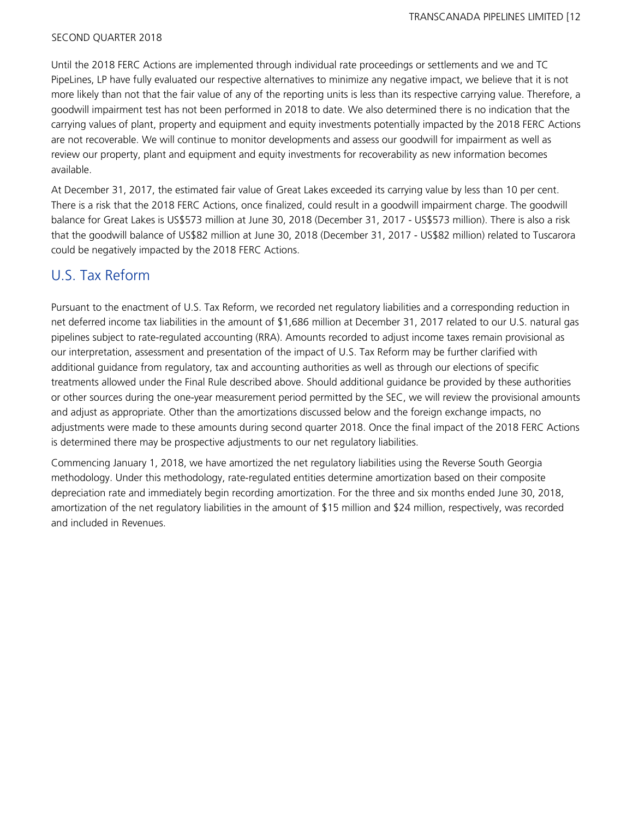Until the 2018 FERC Actions are implemented through individual rate proceedings or settlements and we and TC PipeLines, LP have fully evaluated our respective alternatives to minimize any negative impact, we believe that it is not more likely than not that the fair value of any of the reporting units is less than its respective carrying value. Therefore, a goodwill impairment test has not been performed in 2018 to date. We also determined there is no indication that the carrying values of plant, property and equipment and equity investments potentially impacted by the 2018 FERC Actions are not recoverable. We will continue to monitor developments and assess our goodwill for impairment as well as review our property, plant and equipment and equity investments for recoverability as new information becomes available.

At December 31, 2017, the estimated fair value of Great Lakes exceeded its carrying value by less than 10 per cent. There is a risk that the 2018 FERC Actions, once finalized, could result in a goodwill impairment charge. The goodwill balance for Great Lakes is US\$573 million at June 30, 2018 (December 31, 2017 - US\$573 million). There is also a risk that the goodwill balance of US\$82 million at June 30, 2018 (December 31, 2017 - US\$82 million) related to Tuscarora could be negatively impacted by the 2018 FERC Actions.

# U.S. Tax Reform

Pursuant to the enactment of U.S. Tax Reform, we recorded net regulatory liabilities and a corresponding reduction in net deferred income tax liabilities in the amount of \$1,686 million at December 31, 2017 related to our U.S. natural gas pipelines subject to rate-regulated accounting (RRA). Amounts recorded to adjust income taxes remain provisional as our interpretation, assessment and presentation of the impact of U.S. Tax Reform may be further clarified with additional guidance from regulatory, tax and accounting authorities as well as through our elections of specific treatments allowed under the Final Rule described above. Should additional guidance be provided by these authorities or other sources during the one-year measurement period permitted by the SEC, we will review the provisional amounts and adjust as appropriate. Other than the amortizations discussed below and the foreign exchange impacts, no adjustments were made to these amounts during second quarter 2018. Once the final impact of the 2018 FERC Actions is determined there may be prospective adjustments to our net regulatory liabilities.

Commencing January 1, 2018, we have amortized the net regulatory liabilities using the Reverse South Georgia methodology. Under this methodology, rate-regulated entities determine amortization based on their composite depreciation rate and immediately begin recording amortization. For the three and six months ended June 30, 2018, amortization of the net regulatory liabilities in the amount of \$15 million and \$24 million, respectively, was recorded and included in Revenues.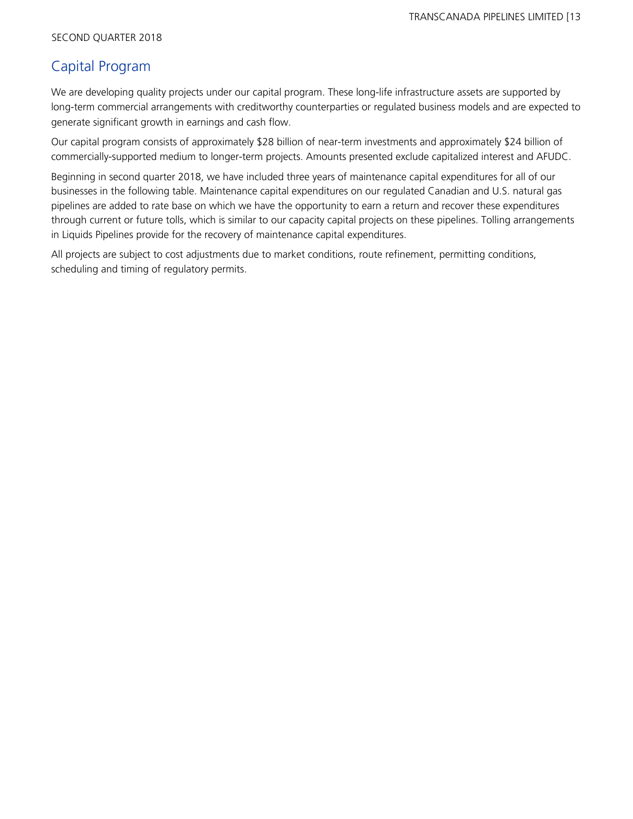# Capital Program

We are developing quality projects under our capital program. These long-life infrastructure assets are supported by long-term commercial arrangements with creditworthy counterparties or regulated business models and are expected to generate significant growth in earnings and cash flow.

Our capital program consists of approximately \$28 billion of near-term investments and approximately \$24 billion of commercially-supported medium to longer-term projects. Amounts presented exclude capitalized interest and AFUDC.

Beginning in second quarter 2018, we have included three years of maintenance capital expenditures for all of our businesses in the following table. Maintenance capital expenditures on our regulated Canadian and U.S. natural gas pipelines are added to rate base on which we have the opportunity to earn a return and recover these expenditures through current or future tolls, which is similar to our capacity capital projects on these pipelines. Tolling arrangements in Liquids Pipelines provide for the recovery of maintenance capital expenditures.

All projects are subject to cost adjustments due to market conditions, route refinement, permitting conditions, scheduling and timing of regulatory permits.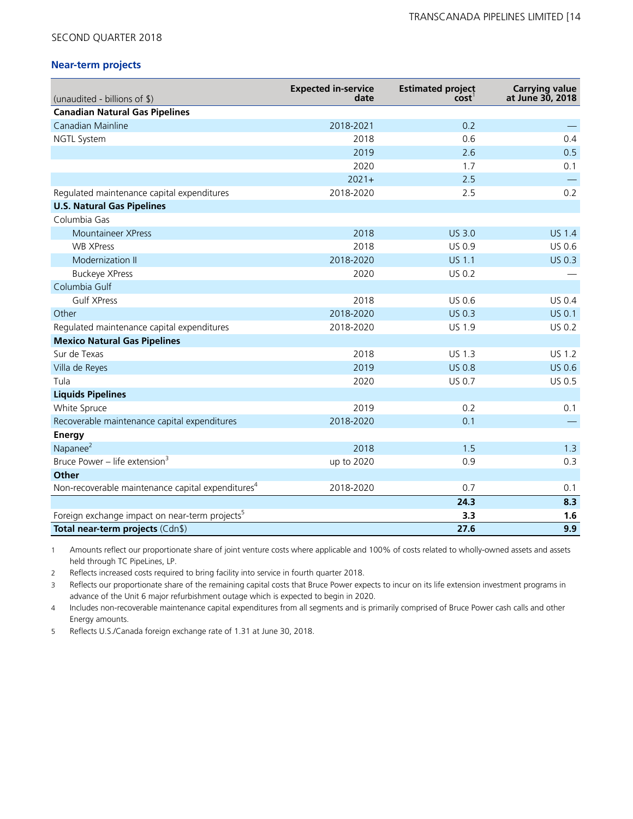#### **Near-term projects**

| (unaudited - billions of $\$ )                                | <b>Expected in-service</b><br>date | <b>Estimated project</b><br>cost: | <b>Carrying value</b><br>at June 30, 2018 |
|---------------------------------------------------------------|------------------------------------|-----------------------------------|-------------------------------------------|
| <b>Canadian Natural Gas Pipelines</b>                         |                                    |                                   |                                           |
| Canadian Mainline                                             | 2018-2021                          | 0.2                               |                                           |
| NGTL System                                                   | 2018                               | 0.6                               | 0.4                                       |
|                                                               | 2019                               | 2.6                               | 0.5                                       |
|                                                               | 2020                               | 1.7                               | 0.1                                       |
|                                                               | $2021+$                            | 2.5                               |                                           |
| Regulated maintenance capital expenditures                    | 2018-2020                          | 2.5                               | 0.2                                       |
| <b>U.S. Natural Gas Pipelines</b>                             |                                    |                                   |                                           |
| Columbia Gas                                                  |                                    |                                   |                                           |
| <b>Mountaineer XPress</b>                                     | 2018                               | <b>US 3.0</b>                     | <b>US 1.4</b>                             |
| <b>WB XPress</b>                                              | 2018                               | US 0.9                            | US 0.6                                    |
| Modernization II                                              | 2018-2020                          | <b>US 1.1</b>                     | US 0.3                                    |
| <b>Buckeye XPress</b>                                         | 2020                               | <b>US 0.2</b>                     |                                           |
| Columbia Gulf                                                 |                                    |                                   |                                           |
| <b>Gulf XPress</b>                                            | 2018                               | US 0.6                            | <b>US 0.4</b>                             |
| Other                                                         | 2018-2020                          | <b>US 0.3</b>                     | <b>US 0.1</b>                             |
| Regulated maintenance capital expenditures                    | 2018-2020                          | <b>US 1.9</b>                     | <b>US 0.2</b>                             |
| <b>Mexico Natural Gas Pipelines</b>                           |                                    |                                   |                                           |
| Sur de Texas                                                  | 2018                               | <b>US 1.3</b>                     | <b>US 1.2</b>                             |
| Villa de Reyes                                                | 2019                               | <b>US 0.8</b>                     | <b>US 0.6</b>                             |
| Tula                                                          | 2020                               | US 0.7                            | <b>US 0.5</b>                             |
| <b>Liquids Pipelines</b>                                      |                                    |                                   |                                           |
| White Spruce                                                  | 2019                               | 0.2                               | 0.1                                       |
| Recoverable maintenance capital expenditures                  | 2018-2020                          | 0.1                               |                                           |
| <b>Energy</b>                                                 |                                    |                                   |                                           |
| Napanee <sup>2</sup>                                          | 2018                               | 1.5                               | 1.3                                       |
| Bruce Power – life extension <sup>3</sup>                     | up to 2020                         | 0.9                               | 0.3                                       |
| Other                                                         |                                    |                                   |                                           |
| Non-recoverable maintenance capital expenditures <sup>4</sup> | 2018-2020                          | 0.7                               | 0.1                                       |
|                                                               |                                    | 24.3                              | 8.3                                       |
| Foreign exchange impact on near-term projects <sup>5</sup>    |                                    | 3.3                               | 1.6                                       |
| Total near-term projects (Cdn\$)                              |                                    | 27.6                              | 9.9                                       |

1 Amounts reflect our proportionate share of joint venture costs where applicable and 100% of costs related to wholly-owned assets and assets held through TC PipeLines, LP.

2 Reflects increased costs required to bring facility into service in fourth quarter 2018.

3 Reflects our proportionate share of the remaining capital costs that Bruce Power expects to incur on its life extension investment programs in advance of the Unit 6 major refurbishment outage which is expected to begin in 2020.

4 Includes non-recoverable maintenance capital expenditures from all segments and is primarily comprised of Bruce Power cash calls and other Energy amounts.

5 Reflects U.S./Canada foreign exchange rate of 1.31 at June 30, 2018.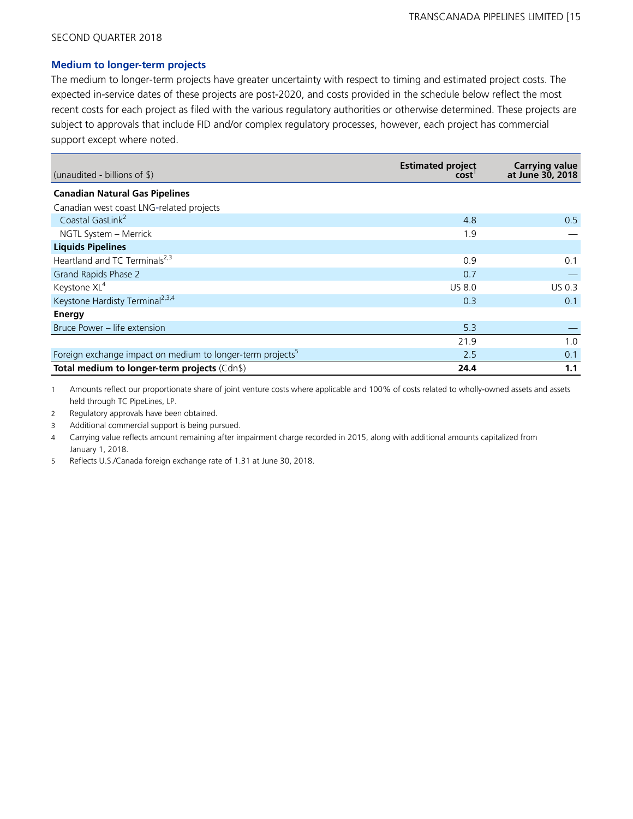#### **Medium to longer-term projects**

The medium to longer-term projects have greater uncertainty with respect to timing and estimated project costs. The expected in-service dates of these projects are post-2020, and costs provided in the schedule below reflect the most recent costs for each project as filed with the various regulatory authorities or otherwise determined. These projects are subject to approvals that include FID and/or complex regulatory processes, however, each project has commercial support except where noted.

| (unaudited - billions of \$)                                           | <b>Estimated project</b><br>cost <sup>'</sup> | <b>Carrying value</b><br>at June 30, 2018 |
|------------------------------------------------------------------------|-----------------------------------------------|-------------------------------------------|
| <b>Canadian Natural Gas Pipelines</b>                                  |                                               |                                           |
| Canadian west coast LNG-related projects                               |                                               |                                           |
| Coastal GasLink <sup>2</sup>                                           | 4.8                                           | 0.5                                       |
| NGTL System - Merrick                                                  | 1.9                                           |                                           |
| <b>Liquids Pipelines</b>                                               |                                               |                                           |
| Heartland and TC Terminals <sup>2,3</sup>                              | 0.9                                           | 0.1                                       |
| Grand Rapids Phase 2                                                   | 0.7                                           |                                           |
| Keystone XL <sup>4</sup>                                               | <b>US 8.0</b>                                 | US 0.3                                    |
| Keystone Hardisty Terminal <sup>2,3,4</sup>                            | 0.3                                           | 0.1                                       |
| <b>Energy</b>                                                          |                                               |                                           |
| Bruce Power – life extension                                           | 5.3                                           |                                           |
|                                                                        | 21.9                                          | 1.0                                       |
| Foreign exchange impact on medium to longer-term projects <sup>5</sup> | 2.5                                           | 0.1                                       |
| Total medium to longer-term projects (Cdn\$)                           | 24.4                                          | 1.1                                       |

1 Amounts reflect our proportionate share of joint venture costs where applicable and 100% of costs related to wholly-owned assets and assets held through TC PipeLines, LP.

2 Regulatory approvals have been obtained.

3 Additional commercial support is being pursued.

4 Carrying value reflects amount remaining after impairment charge recorded in 2015, along with additional amounts capitalized from January 1, 2018.

5 Reflects U.S./Canada foreign exchange rate of 1.31 at June 30, 2018.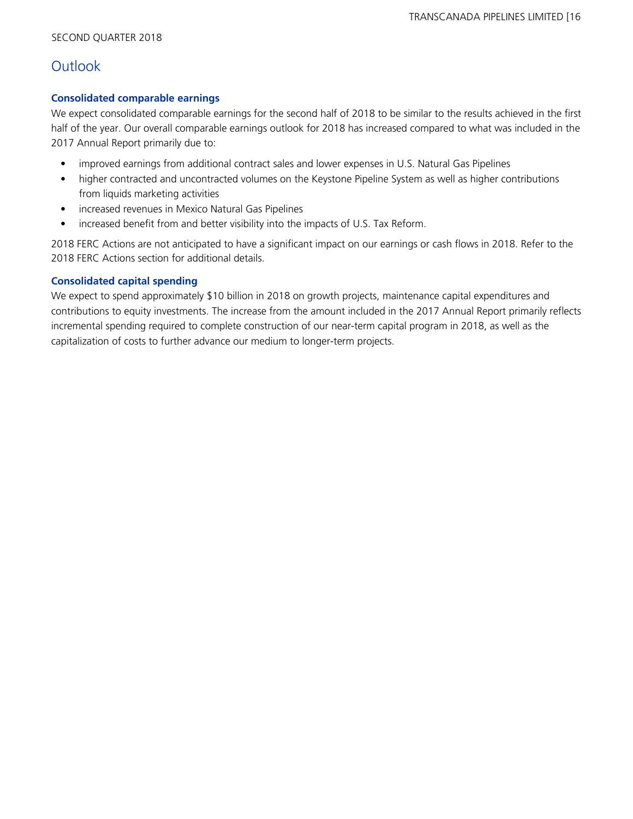# **Outlook**

# **Consolidated comparable earnings**

We expect consolidated comparable earnings for the second half of 2018 to be similar to the results achieved in the first half of the year. Our overall comparable earnings outlook for 2018 has increased compared to what was included in the 2017 Annual Report primarily due to:

- improved earnings from additional contract sales and lower expenses in U.S. Natural Gas Pipelines
- higher contracted and uncontracted volumes on the Keystone Pipeline System as well as higher contributions from liquids marketing activities
- increased revenues in Mexico Natural Gas Pipelines
- increased benefit from and better visibility into the impacts of U.S. Tax Reform.

2018 FERC Actions are not anticipated to have a significant impact on our earnings or cash flows in 2018. Refer to the 2018 FERC Actions section for additional details.

# **Consolidated capital spending**

We expect to spend approximately \$10 billion in 2018 on growth projects, maintenance capital expenditures and contributions to equity investments. The increase from the amount included in the 2017 Annual Report primarily reflects incremental spending required to complete construction of our near-term capital program in 2018, as well as the capitalization of costs to further advance our medium to longer-term projects.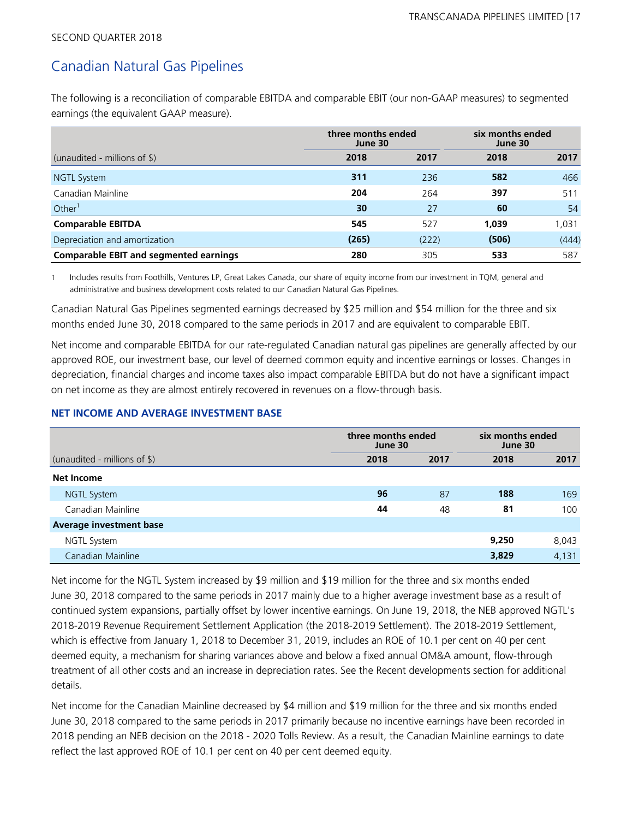# Canadian Natural Gas Pipelines

The following is a reconciliation of comparable EBITDA and comparable EBIT (our non-GAAP measures) to segmented earnings (the equivalent GAAP measure).

|                                               | three months ended<br>June 30 |       | six months ended<br>June 30 |       |
|-----------------------------------------------|-------------------------------|-------|-----------------------------|-------|
| (unaudited - millions of $\$\$ )              | 2018                          | 2017  | 2018                        | 2017  |
| <b>NGTL System</b>                            | 311                           | 236   | 582                         | 466   |
| Canadian Mainline                             | 204                           | 264   | 397                         | 511   |
| Other $1$                                     | 30                            | 27    | 60                          | 54    |
| <b>Comparable EBITDA</b>                      | 545                           | 527   | 1,039                       | 1,031 |
| Depreciation and amortization                 | (265)                         | (222) | (506)                       | (444) |
| <b>Comparable EBIT and segmented earnings</b> | 280                           | 305   | 533                         | 587   |

1 Includes results from Foothills, Ventures LP, Great Lakes Canada, our share of equity income from our investment in TQM, general and administrative and business development costs related to our Canadian Natural Gas Pipelines.

Canadian Natural Gas Pipelines segmented earnings decreased by \$25 million and \$54 million for the three and six months ended June 30, 2018 compared to the same periods in 2017 and are equivalent to comparable EBIT.

Net income and comparable EBITDA for our rate-regulated Canadian natural gas pipelines are generally affected by our approved ROE, our investment base, our level of deemed common equity and incentive earnings or losses. Changes in depreciation, financial charges and income taxes also impact comparable EBITDA but do not have a significant impact on net income as they are almost entirely recovered in revenues on a flow-through basis.

# **NET INCOME AND AVERAGE INVESTMENT BASE**

|                              | three months ended<br>June 30 |      | six months ended<br>June 30 |       |
|------------------------------|-------------------------------|------|-----------------------------|-------|
| (unaudited - millions of \$) | 2018                          | 2017 | 2018                        | 2017  |
| Net Income                   |                               |      |                             |       |
| <b>NGTL System</b>           | 96                            | 87   | 188                         | 169   |
| Canadian Mainline            | 44                            | 48   | 81                          | 100   |
| Average investment base      |                               |      |                             |       |
| <b>NGTL System</b>           |                               |      | 9,250                       | 8,043 |
| Canadian Mainline            |                               |      | 3,829                       | 4,131 |

Net income for the NGTL System increased by \$9 million and \$19 million for the three and six months ended June 30, 2018 compared to the same periods in 2017 mainly due to a higher average investment base as a result of continued system expansions, partially offset by lower incentive earnings. On June 19, 2018, the NEB approved NGTL's 2018-2019 Revenue Requirement Settlement Application (the 2018-2019 Settlement). The 2018-2019 Settlement, which is effective from January 1, 2018 to December 31, 2019, includes an ROE of 10.1 per cent on 40 per cent deemed equity, a mechanism for sharing variances above and below a fixed annual OM&A amount, flow-through treatment of all other costs and an increase in depreciation rates. See the Recent developments section for additional details.

Net income for the Canadian Mainline decreased by \$4 million and \$19 million for the three and six months ended June 30, 2018 compared to the same periods in 2017 primarily because no incentive earnings have been recorded in 2018 pending an NEB decision on the 2018 - 2020 Tolls Review. As a result, the Canadian Mainline earnings to date reflect the last approved ROE of 10.1 per cent on 40 per cent deemed equity.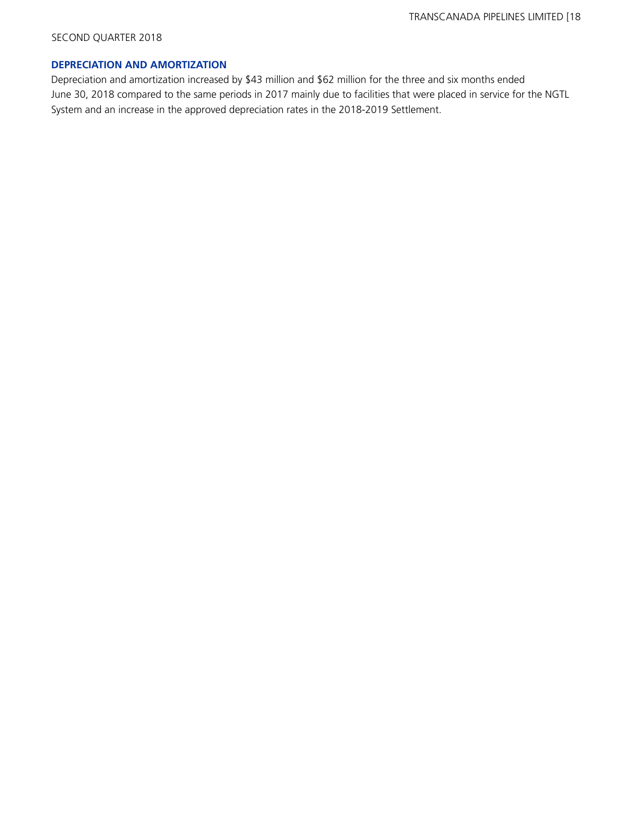### **DEPRECIATION AND AMORTIZATION**

Depreciation and amortization increased by \$43 million and \$62 million for the three and six months ended June 30, 2018 compared to the same periods in 2017 mainly due to facilities that were placed in service for the NGTL System and an increase in the approved depreciation rates in the 2018-2019 Settlement.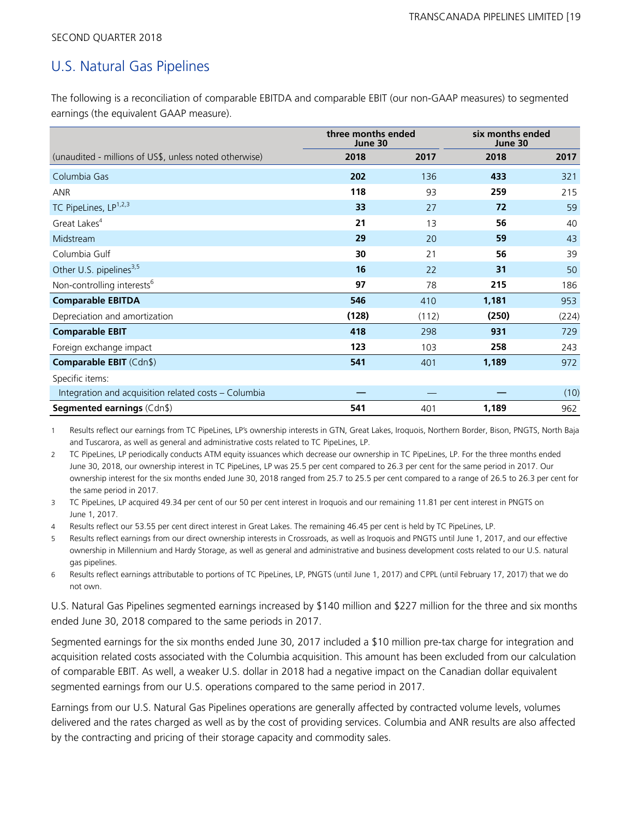# U.S. Natural Gas Pipelines

The following is a reconciliation of comparable EBITDA and comparable EBIT (our non-GAAP measures) to segmented earnings (the equivalent GAAP measure).

|                                                        | three months ended<br>June 30 |       | six months ended<br>June 30 |       |  |
|--------------------------------------------------------|-------------------------------|-------|-----------------------------|-------|--|
| (unaudited - millions of US\$, unless noted otherwise) | 2018                          | 2017  | 2018                        | 2017  |  |
| Columbia Gas                                           | 202                           | 136   | 433                         | 321   |  |
| <b>ANR</b>                                             | 118                           | 93    | 259                         | 215   |  |
| TC PipeLines, LP <sup>1,2,3</sup>                      | 33                            | 27    | 72                          | 59    |  |
| Great Lakes <sup>4</sup>                               | 21                            | 13    | 56                          | 40    |  |
| Midstream                                              | 29                            | 20    | 59                          | 43    |  |
| Columbia Gulf                                          | 30                            | 21    | 56                          | 39    |  |
| Other U.S. pipelines <sup>3,5</sup>                    | 16                            | 22    | 31                          | 50    |  |
| Non-controlling interests <sup>6</sup>                 | 97                            | 78    | 215                         | 186   |  |
| <b>Comparable EBITDA</b>                               | 546                           | 410   | 1,181                       | 953   |  |
| Depreciation and amortization                          | (128)                         | (112) | (250)                       | (224) |  |
| <b>Comparable EBIT</b>                                 | 418                           | 298   | 931                         | 729   |  |
| Foreign exchange impact                                | 123                           | 103   | 258                         | 243   |  |
| Comparable EBIT (Cdn\$)                                | 541                           | 401   | 1,189                       | 972   |  |
| Specific items:                                        |                               |       |                             |       |  |
| Integration and acquisition related costs – Columbia   |                               |       |                             | (10)  |  |
| <b>Segmented earnings (Cdn\$)</b>                      | 541                           | 401   | 1,189                       | 962   |  |

1 Results reflect our earnings from TC PipeLines, LP's ownership interests in GTN, Great Lakes, Iroquois, Northern Border, Bison, PNGTS, North Baja and Tuscarora, as well as general and administrative costs related to TC PipeLines, LP.

2 TC PipeLines, LP periodically conducts ATM equity issuances which decrease our ownership in TC PipeLines, LP. For the three months ended June 30, 2018, our ownership interest in TC PipeLines, LP was 25.5 per cent compared to 26.3 per cent for the same period in 2017. Our ownership interest for the six months ended June 30, 2018 ranged from 25.7 to 25.5 per cent compared to a range of 26.5 to 26.3 per cent for the same period in 2017.

3 TC PipeLines, LP acquired 49.34 per cent of our 50 per cent interest in Iroquois and our remaining 11.81 per cent interest in PNGTS on June 1, 2017.

4 Results reflect our 53.55 per cent direct interest in Great Lakes. The remaining 46.45 per cent is held by TC PipeLines, LP.

5 Results reflect earnings from our direct ownership interests in Crossroads, as well as Iroquois and PNGTS until June 1, 2017, and our effective ownership in Millennium and Hardy Storage, as well as general and administrative and business development costs related to our U.S. natural gas pipelines.

6 Results reflect earnings attributable to portions of TC PipeLines, LP, PNGTS (until June 1, 2017) and CPPL (until February 17, 2017) that we do not own.

U.S. Natural Gas Pipelines segmented earnings increased by \$140 million and \$227 million for the three and six months ended June 30, 2018 compared to the same periods in 2017.

Segmented earnings for the six months ended June 30, 2017 included a \$10 million pre-tax charge for integration and acquisition related costs associated with the Columbia acquisition. This amount has been excluded from our calculation of comparable EBIT. As well, a weaker U.S. dollar in 2018 had a negative impact on the Canadian dollar equivalent segmented earnings from our U.S. operations compared to the same period in 2017.

Earnings from our U.S. Natural Gas Pipelines operations are generally affected by contracted volume levels, volumes delivered and the rates charged as well as by the cost of providing services. Columbia and ANR results are also affected by the contracting and pricing of their storage capacity and commodity sales.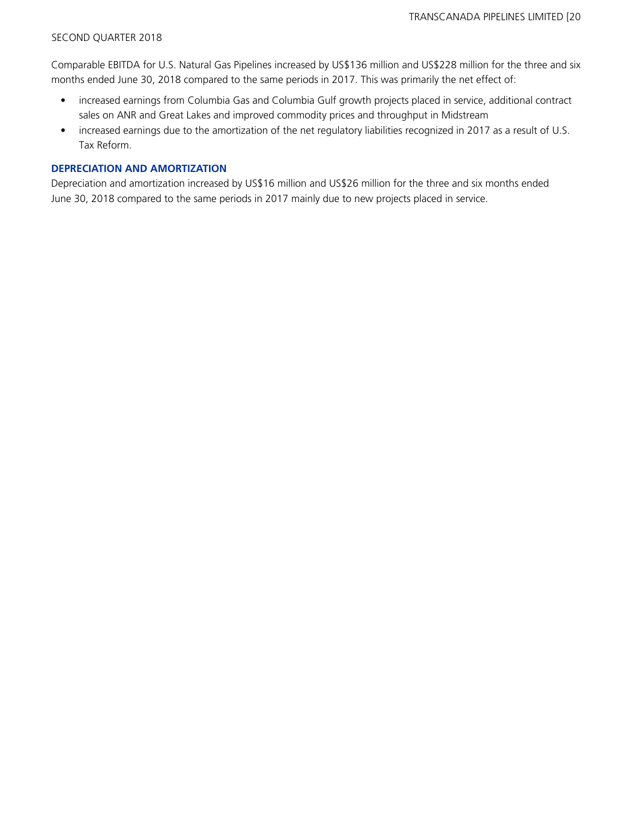Comparable EBITDA for U.S. Natural Gas Pipelines increased by US\$136 million and US\$228 million for the three and six months ended June 30, 2018 compared to the same periods in 2017. This was primarily the net effect of:

- increased earnings from Columbia Gas and Columbia Gulf growth projects placed in service, additional contract sales on ANR and Great Lakes and improved commodity prices and throughput in Midstream
- increased earnings due to the amortization of the net regulatory liabilities recognized in 2017 as a result of U.S. Tax Reform.

### **DEPRECIATION AND AMORTIZATION**

Depreciation and amortization increased by US\$16 million and US\$26 million for the three and six months ended June 30, 2018 compared to the same periods in 2017 mainly due to new projects placed in service.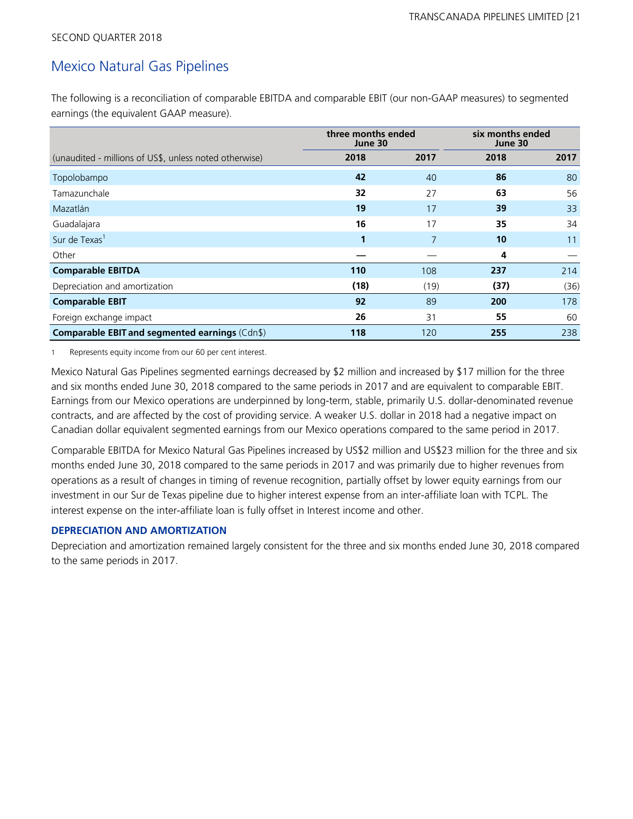# Mexico Natural Gas Pipelines

The following is a reconciliation of comparable EBITDA and comparable EBIT (our non-GAAP measures) to segmented earnings (the equivalent GAAP measure).

|                                                        | three months ended<br>June 30 |      | six months ended<br>June 30 |      |  |
|--------------------------------------------------------|-------------------------------|------|-----------------------------|------|--|
| (unaudited - millions of US\$, unless noted otherwise) | 2018                          | 2017 | 2018                        | 2017 |  |
| Topolobampo                                            | 42                            | 40   | 86                          | 80   |  |
| Tamazunchale                                           | 32                            | 27   | 63                          | 56   |  |
| Mazatlán                                               | 19                            | 17   | 39                          | 33   |  |
| Guadalajara                                            | 16                            | 17   | 35                          | 34   |  |
| Sur de Texas <sup>1</sup>                              | 1                             | 7    | 10                          | 11   |  |
| Other                                                  |                               |      | 4                           |      |  |
| <b>Comparable EBITDA</b>                               | 110                           | 108  | 237                         | 214  |  |
| Depreciation and amortization                          | (18)                          | (19) | (37)                        | (36) |  |
| <b>Comparable EBIT</b>                                 | 92                            | 89   | 200                         | 178  |  |
| Foreign exchange impact                                | 26                            | 31   | 55                          | 60   |  |
| Comparable EBIT and segmented earnings (Cdn\$)         | 118                           | 120  | 255                         | 238  |  |

1 Represents equity income from our 60 per cent interest.

Mexico Natural Gas Pipelines segmented earnings decreased by \$2 million and increased by \$17 million for the three and six months ended June 30, 2018 compared to the same periods in 2017 and are equivalent to comparable EBIT. Earnings from our Mexico operations are underpinned by long-term, stable, primarily U.S. dollar-denominated revenue contracts, and are affected by the cost of providing service. A weaker U.S. dollar in 2018 had a negative impact on Canadian dollar equivalent segmented earnings from our Mexico operations compared to the same period in 2017.

Comparable EBITDA for Mexico Natural Gas Pipelines increased by US\$2 million and US\$23 million for the three and six months ended June 30, 2018 compared to the same periods in 2017 and was primarily due to higher revenues from operations as a result of changes in timing of revenue recognition, partially offset by lower equity earnings from our investment in our Sur de Texas pipeline due to higher interest expense from an inter-affiliate loan with TCPL. The interest expense on the inter-affiliate loan is fully offset in Interest income and other.

#### **DEPRECIATION AND AMORTIZATION**

Depreciation and amortization remained largely consistent for the three and six months ended June 30, 2018 compared to the same periods in 2017.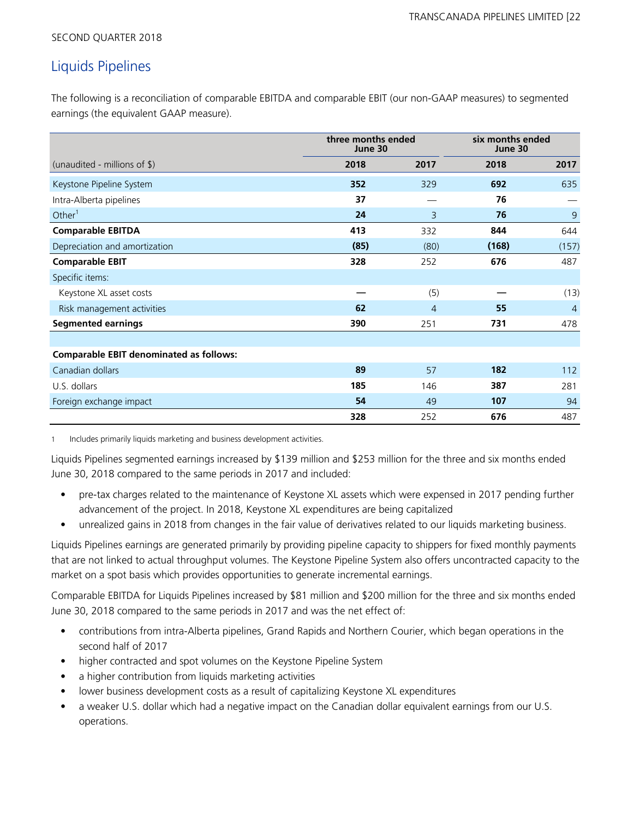# Liquids Pipelines

The following is a reconciliation of comparable EBITDA and comparable EBIT (our non-GAAP measures) to segmented earnings (the equivalent GAAP measure).

|                                                | three months ended<br>June 30 |                | six months ended<br>June 30 |       |
|------------------------------------------------|-------------------------------|----------------|-----------------------------|-------|
| (unaudited - millions of \$)                   | 2018                          | 2017           | 2018                        | 2017  |
| Keystone Pipeline System                       | 352                           | 329            | 692                         | 635   |
| Intra-Alberta pipelines                        | 37                            |                | 76                          |       |
| Other $1$                                      | 24                            | 3              | 76                          | 9     |
| <b>Comparable EBITDA</b>                       | 413                           | 332            | 844                         | 644   |
| Depreciation and amortization                  | (85)                          | (80)           | (168)                       | (157) |
| <b>Comparable EBIT</b>                         | 328                           | 252            | 676                         | 487   |
| Specific items:                                |                               |                |                             |       |
| Keystone XL asset costs                        |                               | (5)            |                             | (13)  |
| Risk management activities                     | 62                            | $\overline{4}$ | 55                          | 4     |
| <b>Segmented earnings</b>                      | 390                           | 251            | 731                         | 478   |
|                                                |                               |                |                             |       |
| <b>Comparable EBIT denominated as follows:</b> |                               |                |                             |       |
| Canadian dollars                               | 89                            | 57             | 182                         | 112   |
| U.S. dollars                                   | 185                           | 146            | 387                         | 281   |
| Foreign exchange impact                        | 54                            | 49             | 107                         | 94    |
|                                                | 328                           | 252            | 676                         | 487   |

1 Includes primarily liquids marketing and business development activities.

Liquids Pipelines segmented earnings increased by \$139 million and \$253 million for the three and six months ended June 30, 2018 compared to the same periods in 2017 and included:

- pre-tax charges related to the maintenance of Keystone XL assets which were expensed in 2017 pending further advancement of the project. In 2018, Keystone XL expenditures are being capitalized
- unrealized gains in 2018 from changes in the fair value of derivatives related to our liquids marketing business.

Liquids Pipelines earnings are generated primarily by providing pipeline capacity to shippers for fixed monthly payments that are not linked to actual throughput volumes. The Keystone Pipeline System also offers uncontracted capacity to the market on a spot basis which provides opportunities to generate incremental earnings.

Comparable EBITDA for Liquids Pipelines increased by \$81 million and \$200 million for the three and six months ended June 30, 2018 compared to the same periods in 2017 and was the net effect of:

- contributions from intra-Alberta pipelines, Grand Rapids and Northern Courier, which began operations in the second half of 2017
- higher contracted and spot volumes on the Keystone Pipeline System
- a higher contribution from liquids marketing activities
- lower business development costs as a result of capitalizing Keystone XL expenditures
- a weaker U.S. dollar which had a negative impact on the Canadian dollar equivalent earnings from our U.S. operations.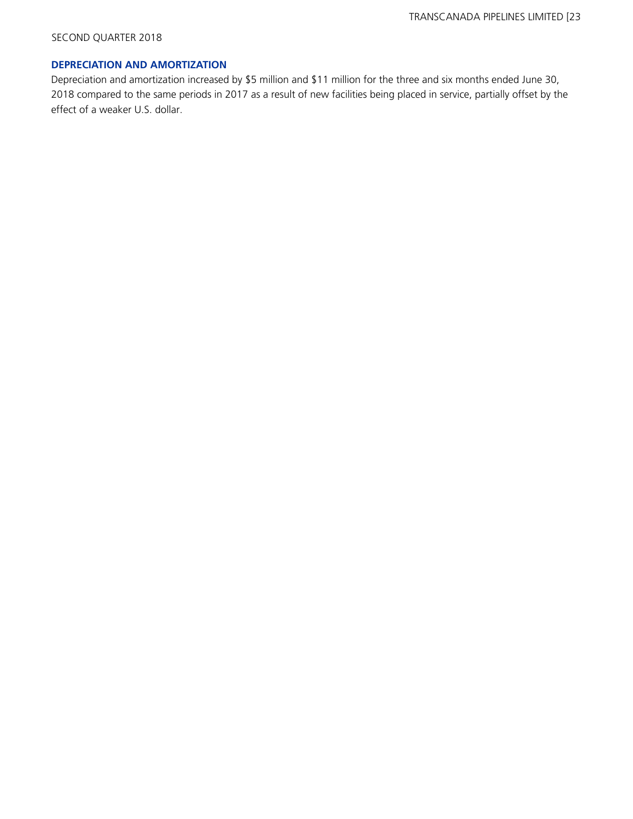# **DEPRECIATION AND AMORTIZATION**

Depreciation and amortization increased by \$5 million and \$11 million for the three and six months ended June 30, 2018 compared to the same periods in 2017 as a result of new facilities being placed in service, partially offset by the effect of a weaker U.S. dollar.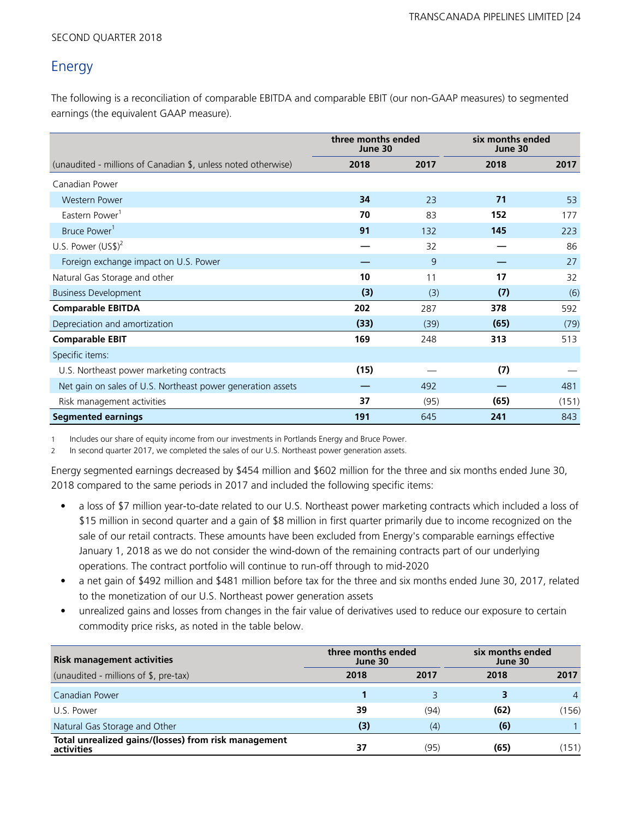# Energy

The following is a reconciliation of comparable EBITDA and comparable EBIT (our non-GAAP measures) to segmented earnings (the equivalent GAAP measure).

|                                                               | three months ended<br>June 30 |      | six months ended<br>June 30 |       |
|---------------------------------------------------------------|-------------------------------|------|-----------------------------|-------|
| (unaudited - millions of Canadian \$, unless noted otherwise) | 2018                          | 2017 | 2018                        | 2017  |
| Canadian Power                                                |                               |      |                             |       |
| <b>Western Power</b>                                          | 34                            | 23   | 71                          | 53    |
| Eastern Power <sup>1</sup>                                    | 70                            | 83   | 152                         | 177   |
| Bruce Power <sup>1</sup>                                      | 91                            | 132  | 145                         | 223   |
| U.S. Power $(US$)^2$                                          |                               | 32   |                             | 86    |
| Foreign exchange impact on U.S. Power                         |                               | 9    |                             | 27    |
| Natural Gas Storage and other                                 | 10                            | 11   | 17                          | 32    |
| <b>Business Development</b>                                   | (3)                           | (3)  | (7)                         | (6)   |
| <b>Comparable EBITDA</b>                                      | 202                           | 287  | 378                         | 592   |
| Depreciation and amortization                                 | (33)                          | (39) | (65)                        | (79)  |
| <b>Comparable EBIT</b>                                        | 169                           | 248  | 313                         | 513   |
| Specific items:                                               |                               |      |                             |       |
| U.S. Northeast power marketing contracts                      | (15)                          |      | (7)                         |       |
| Net gain on sales of U.S. Northeast power generation assets   |                               | 492  |                             | 481   |
| Risk management activities                                    | 37                            | (95) | (65)                        | (151) |
| <b>Segmented earnings</b>                                     | 191                           | 645  | 241                         | 843   |

1 Includes our share of equity income from our investments in Portlands Energy and Bruce Power.

2 In second quarter 2017, we completed the sales of our U.S. Northeast power generation assets.

Energy segmented earnings decreased by \$454 million and \$602 million for the three and six months ended June 30, 2018 compared to the same periods in 2017 and included the following specific items:

- a loss of \$7 million year-to-date related to our U.S. Northeast power marketing contracts which included a loss of \$15 million in second quarter and a gain of \$8 million in first quarter primarily due to income recognized on the sale of our retail contracts. These amounts have been excluded from Energy's comparable earnings effective January 1, 2018 as we do not consider the wind-down of the remaining contracts part of our underlying operations. The contract portfolio will continue to run-off through to mid-2020
- a net gain of \$492 million and \$481 million before tax for the three and six months ended June 30, 2017, related to the monetization of our U.S. Northeast power generation assets
- unrealized gains and losses from changes in the fair value of derivatives used to reduce our exposure to certain commodity price risks, as noted in the table below.

| <b>Risk management activities</b>                                  | three months ended<br>June 30 |      |      | six months ended<br>June 30 |  |
|--------------------------------------------------------------------|-------------------------------|------|------|-----------------------------|--|
| (unaudited - millions of \$, pre-tax)                              | 2018                          | 2017 | 2018 | 2017                        |  |
| Canadian Power                                                     |                               |      |      | 4                           |  |
| U.S. Power                                                         | 39                            | (94) | (62) | (156)                       |  |
| Natural Gas Storage and Other                                      | (3)                           | (4)  | (6)  |                             |  |
| Total unrealized gains/(losses) from risk management<br>activities | 37                            | (95) | (65) | (151)                       |  |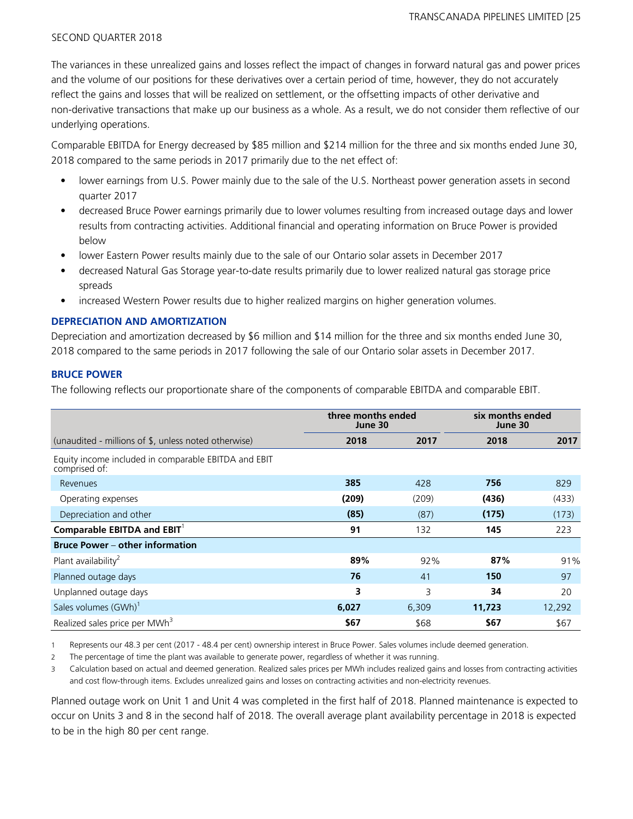The variances in these unrealized gains and losses reflect the impact of changes in forward natural gas and power prices and the volume of our positions for these derivatives over a certain period of time, however, they do not accurately reflect the gains and losses that will be realized on settlement, or the offsetting impacts of other derivative and non-derivative transactions that make up our business as a whole. As a result, we do not consider them reflective of our underlying operations.

Comparable EBITDA for Energy decreased by \$85 million and \$214 million for the three and six months ended June 30, 2018 compared to the same periods in 2017 primarily due to the net effect of:

- lower earnings from U.S. Power mainly due to the sale of the U.S. Northeast power generation assets in second quarter 2017
- decreased Bruce Power earnings primarily due to lower volumes resulting from increased outage days and lower results from contracting activities. Additional financial and operating information on Bruce Power is provided below
- lower Eastern Power results mainly due to the sale of our Ontario solar assets in December 2017
- decreased Natural Gas Storage year-to-date results primarily due to lower realized natural gas storage price spreads
- increased Western Power results due to higher realized margins on higher generation volumes.

# **DEPRECIATION AND AMORTIZATION**

Depreciation and amortization decreased by \$6 million and \$14 million for the three and six months ended June 30, 2018 compared to the same periods in 2017 following the sale of our Ontario solar assets in December 2017.

# **BRUCE POWER**

The following reflects our proportionate share of the components of comparable EBITDA and comparable EBIT.

|                                                                       | three months ended<br>June 30 |       | six months ended<br>June 30 |        |  |
|-----------------------------------------------------------------------|-------------------------------|-------|-----------------------------|--------|--|
| (unaudited - millions of \$, unless noted otherwise)                  | 2018                          | 2017  | 2018                        | 2017   |  |
| Equity income included in comparable EBITDA and EBIT<br>comprised of: |                               |       |                             |        |  |
| Revenues                                                              | 385                           | 428   | 756                         | 829    |  |
| Operating expenses                                                    | (209)                         | (209) | (436)                       | (433)  |  |
| Depreciation and other                                                | (85)                          | (87)  | (175)                       | (173)  |  |
| Comparable EBITDA and $EBIT1$                                         | 91                            | 132   | 145                         | 223    |  |
| <b>Bruce Power – other information</b>                                |                               |       |                             |        |  |
| Plant availability <sup>2</sup>                                       | 89%                           | 92%   | 87%                         | 91%    |  |
| Planned outage days                                                   | 76                            | 41    | 150                         | 97     |  |
| Unplanned outage days                                                 | 3                             | 3     | 34                          | 20     |  |
| Sales volumes (GWh) <sup>1</sup>                                      | 6,027                         | 6,309 | 11,723                      | 12,292 |  |
| Realized sales price per MWh <sup>3</sup>                             | \$67                          | \$68  | \$67                        | \$67   |  |

1 Represents our 48.3 per cent (2017 - 48.4 per cent) ownership interest in Bruce Power. Sales volumes include deemed generation.

2 The percentage of time the plant was available to generate power, regardless of whether it was running.

3 Calculation based on actual and deemed generation. Realized sales prices per MWh includes realized gains and losses from contracting activities and cost flow-through items. Excludes unrealized gains and losses on contracting activities and non-electricity revenues.

Planned outage work on Unit 1 and Unit 4 was completed in the first half of 2018. Planned maintenance is expected to occur on Units 3 and 8 in the second half of 2018. The overall average plant availability percentage in 2018 is expected to be in the high 80 per cent range.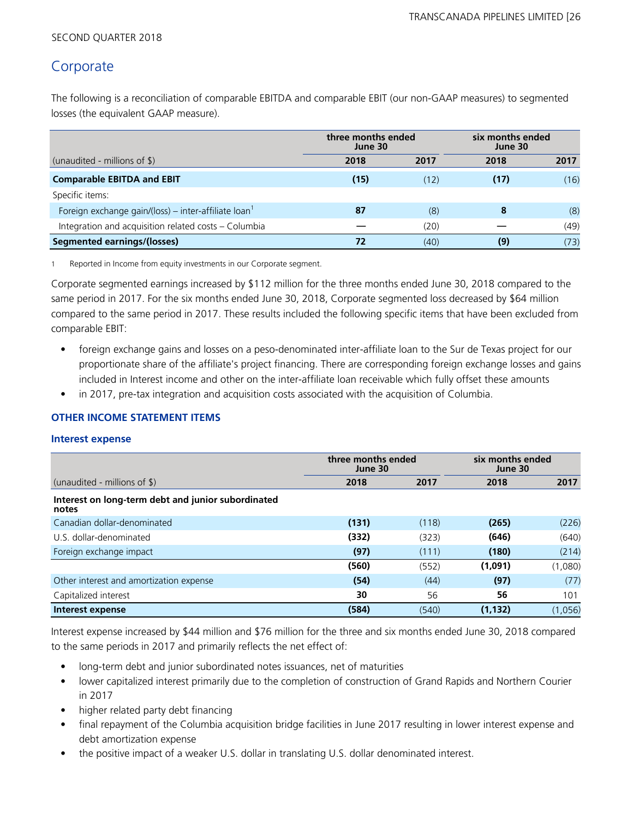# **Corporate**

The following is a reconciliation of comparable EBITDA and comparable EBIT (our non-GAAP measures) to segmented losses (the equivalent GAAP measure).

|                                                                  |      | three months ended<br>June 30 |      | six months ended |
|------------------------------------------------------------------|------|-------------------------------|------|------------------|
| (unaudited - millions of $\frac{1}{2}$ )                         | 2018 | 2017                          | 2018 | 2017             |
| <b>Comparable EBITDA and EBIT</b>                                | (15) | (12)                          | (17) | (16)             |
| Specific items:                                                  |      |                               |      |                  |
| Foreign exchange gain/(loss) – inter-affiliate loan <sup>1</sup> | 87   | (8)                           | 8    | (8)              |
| Integration and acquisition related costs - Columbia             |      | (20)                          |      | (49)             |
| Segmented earnings/(losses)                                      | 72   | (40)                          | (9)  | (73)             |

1 Reported in Income from equity investments in our Corporate segment.

Corporate segmented earnings increased by \$112 million for the three months ended June 30, 2018 compared to the same period in 2017. For the six months ended June 30, 2018, Corporate segmented loss decreased by \$64 million compared to the same period in 2017. These results included the following specific items that have been excluded from comparable EBIT:

- foreign exchange gains and losses on a peso-denominated inter-affiliate loan to the Sur de Texas project for our proportionate share of the affiliate's project financing. There are corresponding foreign exchange losses and gains included in Interest income and other on the inter-affiliate loan receivable which fully offset these amounts
- in 2017, pre-tax integration and acquisition costs associated with the acquisition of Columbia.

# **OTHER INCOME STATEMENT ITEMS**

#### **Interest expense**

|                                                             | three months ended<br>June 30 |       | six months ended<br>June 30 |         |
|-------------------------------------------------------------|-------------------------------|-------|-----------------------------|---------|
| (unaudited - millions of $\$\$ )                            | 2018                          | 2017  | 2018                        | 2017    |
| Interest on long-term debt and junior subordinated<br>notes |                               |       |                             |         |
| Canadian dollar-denominated                                 | (131)                         | (118) | (265)                       | (226)   |
| U.S. dollar-denominated                                     | (332)                         | (323) | (646)                       | (640)   |
| Foreign exchange impact                                     | (97)                          | (111) | (180)                       | (214)   |
|                                                             | (560)                         | (552) | (1,091)                     | (1,080) |
| Other interest and amortization expense                     | (54)                          | (44)  | (97)                        | (77)    |
| Capitalized interest                                        | 30                            | 56    | 56                          | 101     |
| Interest expense                                            | (584)                         | (540) | (1, 132)                    | (1,056) |

Interest expense increased by \$44 million and \$76 million for the three and six months ended June 30, 2018 compared to the same periods in 2017 and primarily reflects the net effect of:

- long-term debt and junior subordinated notes issuances, net of maturities
- lower capitalized interest primarily due to the completion of construction of Grand Rapids and Northern Courier in 2017
- higher related party debt financing
- final repayment of the Columbia acquisition bridge facilities in June 2017 resulting in lower interest expense and debt amortization expense
- the positive impact of a weaker U.S. dollar in translating U.S. dollar denominated interest.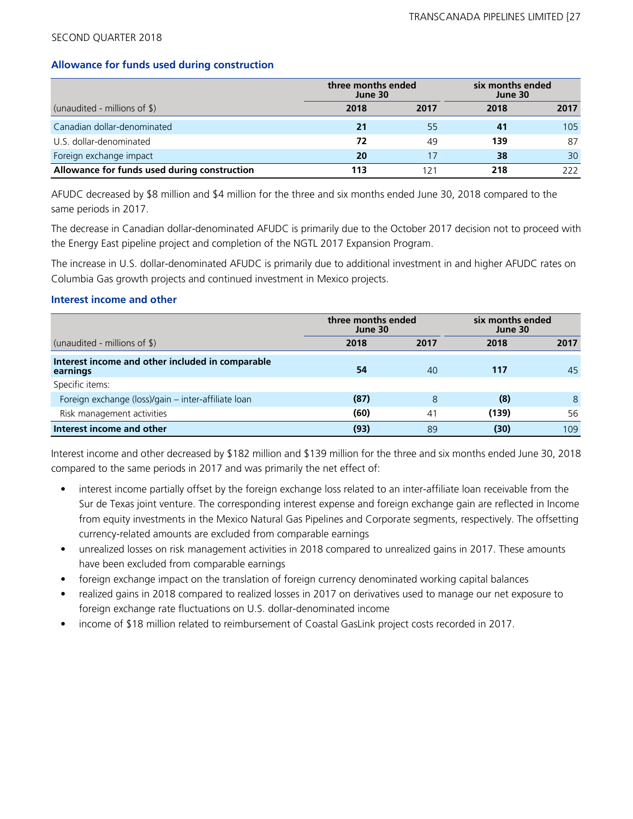#### **Allowance for funds used during construction**

|                                              |      | three months ended<br>June 30 |      | six months ended<br>June 30 |  |
|----------------------------------------------|------|-------------------------------|------|-----------------------------|--|
| (unaudited - millions of $\$\$ )             | 2018 | 2017                          | 2018 | 2017                        |  |
| Canadian dollar-denominated                  | 21   | 55                            | 41   | 105                         |  |
| U.S. dollar-denominated                      | 72   | 49                            | 139  | 87                          |  |
| Foreign exchange impact                      | 20   | 17                            | 38   | 30                          |  |
| Allowance for funds used during construction | 113  |                               | 218  |                             |  |

AFUDC decreased by \$8 million and \$4 million for the three and six months ended June 30, 2018 compared to the same periods in 2017.

The decrease in Canadian dollar-denominated AFUDC is primarily due to the October 2017 decision not to proceed with the Energy East pipeline project and completion of the NGTL 2017 Expansion Program.

The increase in U.S. dollar-denominated AFUDC is primarily due to additional investment in and higher AFUDC rates on Columbia Gas growth projects and continued investment in Mexico projects.

#### **Interest income and other**

|                                                              | three months ended<br>June 30 |      | six months ended<br>June 30 |      |
|--------------------------------------------------------------|-------------------------------|------|-----------------------------|------|
| (unaudited - millions of $\frac{1}{2}$ )                     | 2018                          | 2017 | 2018                        | 2017 |
| Interest income and other included in comparable<br>earnings | 54                            | 40   | 117                         | 45   |
| Specific items:                                              |                               |      |                             |      |
| Foreign exchange (loss)/gain - inter-affiliate loan          | (87)                          | 8    | (8)                         | 8    |
| Risk management activities                                   | (60)                          | 41   | (139)                       | 56   |
| Interest income and other                                    | (93)                          | 89   | (30)                        | 109  |

Interest income and other decreased by \$182 million and \$139 million for the three and six months ended June 30, 2018 compared to the same periods in 2017 and was primarily the net effect of:

- interest income partially offset by the foreign exchange loss related to an inter-affiliate loan receivable from the Sur de Texas joint venture. The corresponding interest expense and foreign exchange gain are reflected in Income from equity investments in the Mexico Natural Gas Pipelines and Corporate segments, respectively. The offsetting currency-related amounts are excluded from comparable earnings
- unrealized losses on risk management activities in 2018 compared to unrealized gains in 2017. These amounts have been excluded from comparable earnings
- foreign exchange impact on the translation of foreign currency denominated working capital balances
- realized gains in 2018 compared to realized losses in 2017 on derivatives used to manage our net exposure to foreign exchange rate fluctuations on U.S. dollar-denominated income
- income of \$18 million related to reimbursement of Coastal GasLink project costs recorded in 2017.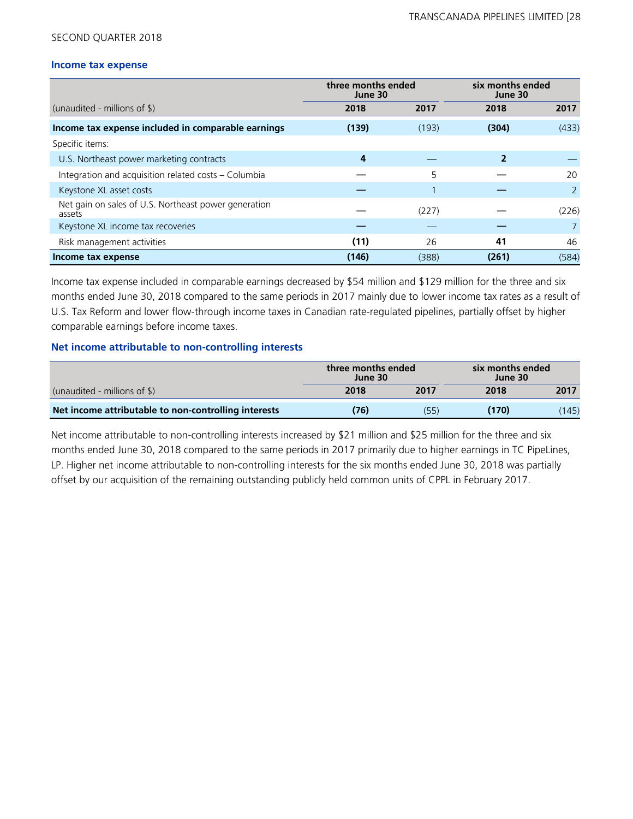#### **Income tax expense**

|                                                                | three months ended<br>June 30 |       | six months ended<br>June 30 |                |
|----------------------------------------------------------------|-------------------------------|-------|-----------------------------|----------------|
| (unaudited - millions of $\frac{1}{2}$ )                       | 2018                          | 2017  | 2018                        | 2017           |
| Income tax expense included in comparable earnings             | (139)                         | (193) | (304)                       | (433)          |
| Specific items:                                                |                               |       |                             |                |
| U.S. Northeast power marketing contracts                       | 4                             |       | $\mathbf{2}$                |                |
| Integration and acquisition related costs – Columbia           |                               | 5     |                             | 20             |
| Keystone XL asset costs                                        |                               |       |                             | $\overline{2}$ |
| Net gain on sales of U.S. Northeast power generation<br>assets |                               | (227) |                             | (226)          |
| Keystone XL income tax recoveries                              |                               |       |                             |                |
| Risk management activities                                     | (11)                          | 26    | 41                          | 46             |
| Income tax expense                                             | (146)                         | (388) | (261)                       | (584)          |

Income tax expense included in comparable earnings decreased by \$54 million and \$129 million for the three and six months ended June 30, 2018 compared to the same periods in 2017 mainly due to lower income tax rates as a result of U.S. Tax Reform and lower flow-through income taxes in Canadian rate-regulated pipelines, partially offset by higher comparable earnings before income taxes.

### **Net income attributable to non-controlling interests**

|                                                      | three months ended<br>June 30 |      | six months ended<br>June 30 |       |
|------------------------------------------------------|-------------------------------|------|-----------------------------|-------|
| (unaudited - millions of $$)$ )                      | 2018                          | 2017 | 2018                        | 2017  |
| Net income attributable to non-controlling interests | (76)                          | (55) | (170)                       | (145) |

Net income attributable to non-controlling interests increased by \$21 million and \$25 million for the three and six months ended June 30, 2018 compared to the same periods in 2017 primarily due to higher earnings in TC PipeLines, LP. Higher net income attributable to non-controlling interests for the six months ended June 30, 2018 was partially offset by our acquisition of the remaining outstanding publicly held common units of CPPL in February 2017.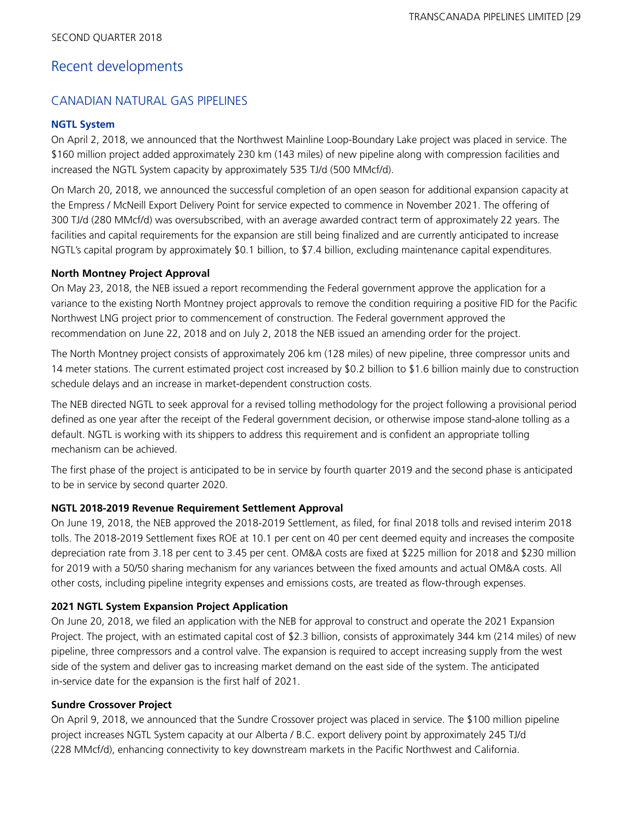# Recent developments

# CANADIAN NATURAL GAS PIPELINES

# **NGTL System**

On April 2, 2018, we announced that the Northwest Mainline Loop-Boundary Lake project was placed in service. The \$160 million project added approximately 230 km (143 miles) of new pipeline along with compression facilities and increased the NGTL System capacity by approximately 535 TJ/d (500 MMcf/d).

On March 20, 2018, we announced the successful completion of an open season for additional expansion capacity at the Empress / McNeill Export Delivery Point for service expected to commence in November 2021. The offering of 300 TJ/d (280 MMcf/d) was oversubscribed, with an average awarded contract term of approximately 22 years. The facilities and capital requirements for the expansion are still being finalized and are currently anticipated to increase NGTL's capital program by approximately \$0.1 billion, to \$7.4 billion, excluding maintenance capital expenditures.

### **North Montney Project Approval**

On May 23, 2018, the NEB issued a report recommending the Federal government approve the application for a variance to the existing North Montney project approvals to remove the condition requiring a positive FID for the Pacific Northwest LNG project prior to commencement of construction. The Federal government approved the recommendation on June 22, 2018 and on July 2, 2018 the NEB issued an amending order for the project.

The North Montney project consists of approximately 206 km (128 miles) of new pipeline, three compressor units and 14 meter stations. The current estimated project cost increased by \$0.2 billion to \$1.6 billion mainly due to construction schedule delays and an increase in market-dependent construction costs.

The NEB directed NGTL to seek approval for a revised tolling methodology for the project following a provisional period defined as one year after the receipt of the Federal government decision, or otherwise impose stand-alone tolling as a default. NGTL is working with its shippers to address this requirement and is confident an appropriate tolling mechanism can be achieved.

The first phase of the project is anticipated to be in service by fourth quarter 2019 and the second phase is anticipated to be in service by second quarter 2020.

# **NGTL 2018-2019 Revenue Requirement Settlement Approval**

On June 19, 2018, the NEB approved the 2018-2019 Settlement, as filed, for final 2018 tolls and revised interim 2018 tolls. The 2018-2019 Settlement fixes ROE at 10.1 per cent on 40 per cent deemed equity and increases the composite depreciation rate from 3.18 per cent to 3.45 per cent. OM&A costs are fixed at \$225 million for 2018 and \$230 million for 2019 with a 50/50 sharing mechanism for any variances between the fixed amounts and actual OM&A costs. All other costs, including pipeline integrity expenses and emissions costs, are treated as flow-through expenses.

# **2021 NGTL System Expansion Project Application**

On June 20, 2018, we filed an application with the NEB for approval to construct and operate the 2021 Expansion Project. The project, with an estimated capital cost of \$2.3 billion, consists of approximately 344 km (214 miles) of new pipeline, three compressors and a control valve. The expansion is required to accept increasing supply from the west side of the system and deliver gas to increasing market demand on the east side of the system. The anticipated in-service date for the expansion is the first half of 2021.

#### **Sundre Crossover Project**

On April 9, 2018, we announced that the Sundre Crossover project was placed in service. The \$100 million pipeline project increases NGTL System capacity at our Alberta / B.C. export delivery point by approximately 245 TJ/d (228 MMcf/d), enhancing connectivity to key downstream markets in the Pacific Northwest and California.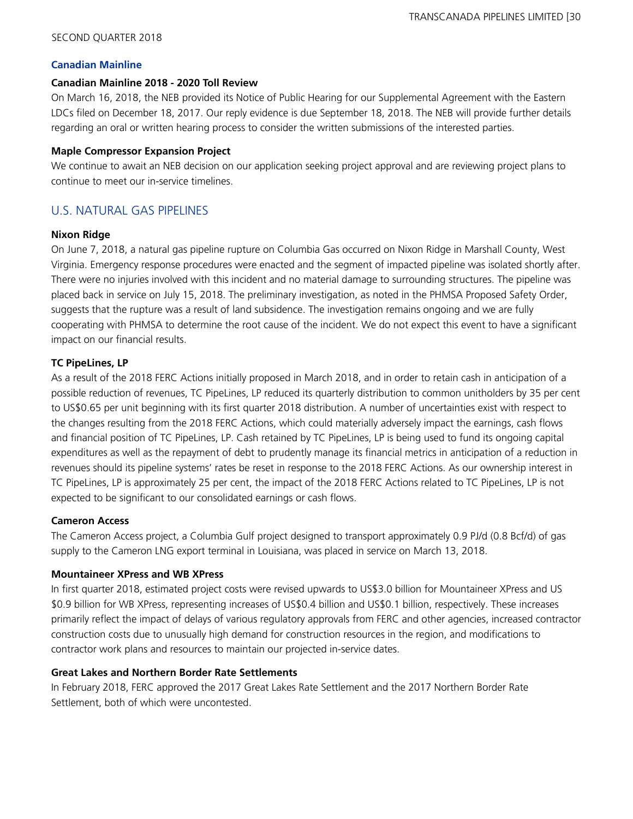# **Canadian Mainline**

#### **Canadian Mainline 2018 - 2020 Toll Review**

On March 16, 2018, the NEB provided its Notice of Public Hearing for our Supplemental Agreement with the Eastern LDCs filed on December 18, 2017. Our reply evidence is due September 18, 2018. The NEB will provide further details regarding an oral or written hearing process to consider the written submissions of the interested parties.

### **Maple Compressor Expansion Project**

We continue to await an NEB decision on our application seeking project approval and are reviewing project plans to continue to meet our in-service timelines.

# U.S. NATURAL GAS PIPELINES

### **Nixon Ridge**

On June 7, 2018, a natural gas pipeline rupture on Columbia Gas occurred on Nixon Ridge in Marshall County, West Virginia. Emergency response procedures were enacted and the segment of impacted pipeline was isolated shortly after. There were no injuries involved with this incident and no material damage to surrounding structures. The pipeline was placed back in service on July 15, 2018. The preliminary investigation, as noted in the PHMSA Proposed Safety Order, suggests that the rupture was a result of land subsidence. The investigation remains ongoing and we are fully cooperating with PHMSA to determine the root cause of the incident. We do not expect this event to have a significant impact on our financial results.

# **TC PipeLines, LP**

As a result of the 2018 FERC Actions initially proposed in March 2018, and in order to retain cash in anticipation of a possible reduction of revenues, TC PipeLines, LP reduced its quarterly distribution to common unitholders by 35 per cent to US\$0.65 per unit beginning with its first quarter 2018 distribution. A number of uncertainties exist with respect to the changes resulting from the 2018 FERC Actions, which could materially adversely impact the earnings, cash flows and financial position of TC PipeLines, LP. Cash retained by TC PipeLines, LP is being used to fund its ongoing capital expenditures as well as the repayment of debt to prudently manage its financial metrics in anticipation of a reduction in revenues should its pipeline systems' rates be reset in response to the 2018 FERC Actions. As our ownership interest in TC PipeLines, LP is approximately 25 per cent, the impact of the 2018 FERC Actions related to TC PipeLines, LP is not expected to be significant to our consolidated earnings or cash flows.

#### **Cameron Access**

The Cameron Access project, a Columbia Gulf project designed to transport approximately 0.9 PJ/d (0.8 Bcf/d) of gas supply to the Cameron LNG export terminal in Louisiana, was placed in service on March 13, 2018.

#### **Mountaineer XPress and WB XPress**

In first quarter 2018, estimated project costs were revised upwards to US\$3.0 billion for Mountaineer XPress and US \$0.9 billion for WB XPress, representing increases of US\$0.4 billion and US\$0.1 billion, respectively. These increases primarily reflect the impact of delays of various regulatory approvals from FERC and other agencies, increased contractor construction costs due to unusually high demand for construction resources in the region, and modifications to contractor work plans and resources to maintain our projected in-service dates.

# **Great Lakes and Northern Border Rate Settlements**

In February 2018, FERC approved the 2017 Great Lakes Rate Settlement and the 2017 Northern Border Rate Settlement, both of which were uncontested.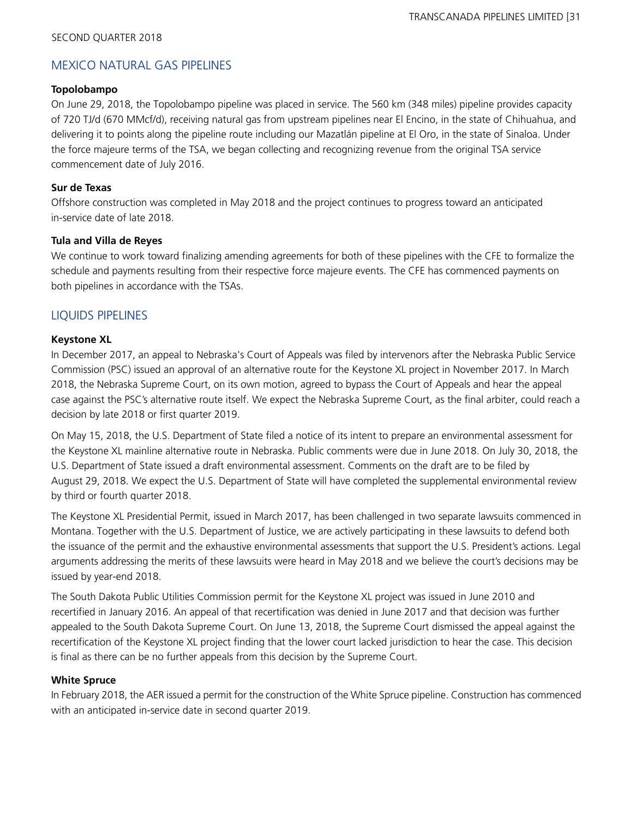# MEXICO NATURAL GAS PIPELINES

#### **Topolobampo**

On June 29, 2018, the Topolobampo pipeline was placed in service. The 560 km (348 miles) pipeline provides capacity of 720 TJ/d (670 MMcf/d), receiving natural gas from upstream pipelines near El Encino, in the state of Chihuahua, and delivering it to points along the pipeline route including our Mazatlán pipeline at El Oro, in the state of Sinaloa. Under the force majeure terms of the TSA, we began collecting and recognizing revenue from the original TSA service commencement date of July 2016.

### **Sur de Texas**

Offshore construction was completed in May 2018 and the project continues to progress toward an anticipated in-service date of late 2018.

### **Tula and Villa de Reyes**

We continue to work toward finalizing amending agreements for both of these pipelines with the CFE to formalize the schedule and payments resulting from their respective force majeure events. The CFE has commenced payments on both pipelines in accordance with the TSAs.

# LIQUIDS PIPELINES

# **Keystone XL**

In December 2017, an appeal to Nebraska's Court of Appeals was filed by intervenors after the Nebraska Public Service Commission (PSC) issued an approval of an alternative route for the Keystone XL project in November 2017. In March 2018, the Nebraska Supreme Court, on its own motion, agreed to bypass the Court of Appeals and hear the appeal case against the PSC's alternative route itself. We expect the Nebraska Supreme Court, as the final arbiter, could reach a decision by late 2018 or first quarter 2019.

On May 15, 2018, the U.S. Department of State filed a notice of its intent to prepare an environmental assessment for the Keystone XL mainline alternative route in Nebraska. Public comments were due in June 2018. On July 30, 2018, the U.S. Department of State issued a draft environmental assessment. Comments on the draft are to be filed by August 29, 2018. We expect the U.S. Department of State will have completed the supplemental environmental review by third or fourth quarter 2018.

The Keystone XL Presidential Permit, issued in March 2017, has been challenged in two separate lawsuits commenced in Montana. Together with the U.S. Department of Justice, we are actively participating in these lawsuits to defend both the issuance of the permit and the exhaustive environmental assessments that support the U.S. President's actions. Legal arguments addressing the merits of these lawsuits were heard in May 2018 and we believe the court's decisions may be issued by year-end 2018.

The South Dakota Public Utilities Commission permit for the Keystone XL project was issued in June 2010 and recertified in January 2016. An appeal of that recertification was denied in June 2017 and that decision was further appealed to the South Dakota Supreme Court. On June 13, 2018, the Supreme Court dismissed the appeal against the recertification of the Keystone XL project finding that the lower court lacked jurisdiction to hear the case. This decision is final as there can be no further appeals from this decision by the Supreme Court.

#### **White Spruce**

In February 2018, the AER issued a permit for the construction of the White Spruce pipeline. Construction has commenced with an anticipated in-service date in second quarter 2019.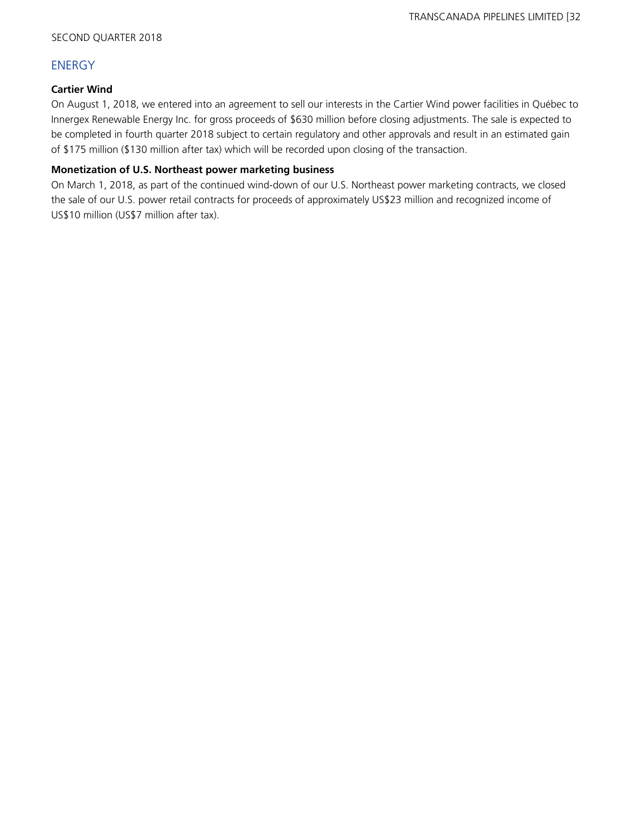# ENERGY

# **Cartier Wind**

On August 1, 2018, we entered into an agreement to sell our interests in the Cartier Wind power facilities in Québec to Innergex Renewable Energy Inc. for gross proceeds of \$630 million before closing adjustments. The sale is expected to be completed in fourth quarter 2018 subject to certain regulatory and other approvals and result in an estimated gain of \$175 million (\$130 million after tax) which will be recorded upon closing of the transaction.

# **Monetization of U.S. Northeast power marketing business**

On March 1, 2018, as part of the continued wind-down of our U.S. Northeast power marketing contracts, we closed the sale of our U.S. power retail contracts for proceeds of approximately US\$23 million and recognized income of US\$10 million (US\$7 million after tax).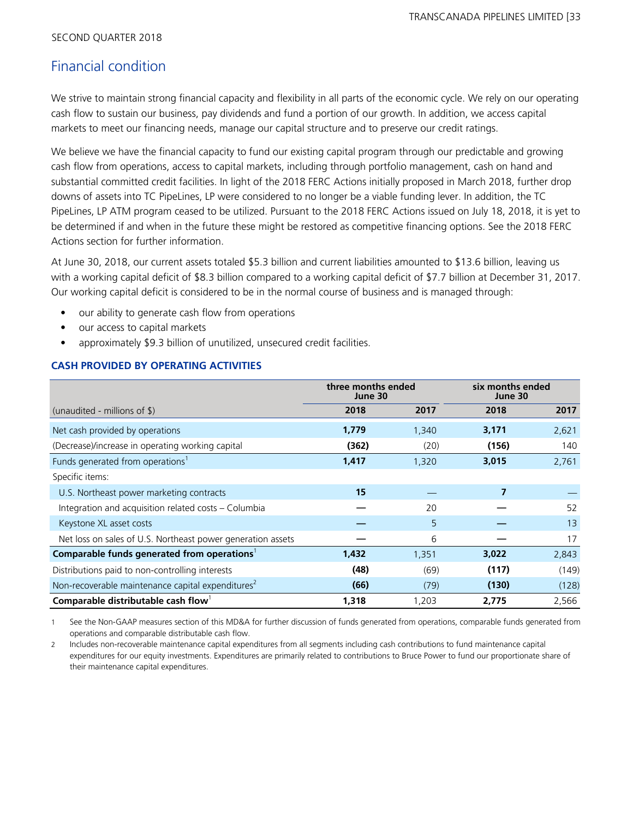# Financial condition

We strive to maintain strong financial capacity and flexibility in all parts of the economic cycle. We rely on our operating cash flow to sustain our business, pay dividends and fund a portion of our growth. In addition, we access capital markets to meet our financing needs, manage our capital structure and to preserve our credit ratings.

We believe we have the financial capacity to fund our existing capital program through our predictable and growing cash flow from operations, access to capital markets, including through portfolio management, cash on hand and substantial committed credit facilities. In light of the 2018 FERC Actions initially proposed in March 2018, further drop downs of assets into TC PipeLines, LP were considered to no longer be a viable funding lever. In addition, the TC PipeLines, LP ATM program ceased to be utilized. Pursuant to the 2018 FERC Actions issued on July 18, 2018, it is yet to be determined if and when in the future these might be restored as competitive financing options. See the 2018 FERC Actions section for further information.

At June 30, 2018, our current assets totaled \$5.3 billion and current liabilities amounted to \$13.6 billion, leaving us with a working capital deficit of \$8.3 billion compared to a working capital deficit of \$7.7 billion at December 31, 2017. Our working capital deficit is considered to be in the normal course of business and is managed through:

- our ability to generate cash flow from operations
- our access to capital markets
- approximately \$9.3 billion of unutilized, unsecured credit facilities.

# **CASH PROVIDED BY OPERATING ACTIVITIES**

|                                                               | three months ended<br>June 30 |       | six months ended<br>June 30 |       |  |
|---------------------------------------------------------------|-------------------------------|-------|-----------------------------|-------|--|
| (unaudited - millions of $\frac{1}{2}$ )                      | 2018                          | 2017  | 2018                        | 2017  |  |
| Net cash provided by operations                               | 1,779                         | 1,340 | 3,171                       | 2,621 |  |
| (Decrease)/increase in operating working capital              | (362)                         | (20)  | (156)                       | 140   |  |
| Funds generated from operations <sup>1</sup>                  | 1,417                         | 1,320 | 3,015                       | 2,761 |  |
| Specific items:                                               |                               |       |                             |       |  |
| U.S. Northeast power marketing contracts                      | 15                            |       | $\overline{7}$              |       |  |
| Integration and acquisition related costs - Columbia          |                               | 20    |                             | 52    |  |
| Keystone XL asset costs                                       |                               | 5     |                             | 13    |  |
| Net loss on sales of U.S. Northeast power generation assets   |                               | 6     |                             | 17    |  |
| Comparable funds generated from operations <sup>1</sup>       | 1,432                         | 1,351 | 3,022                       | 2,843 |  |
| Distributions paid to non-controlling interests               | (48)                          | (69)  | (117)                       | (149) |  |
| Non-recoverable maintenance capital expenditures <sup>2</sup> | (66)                          | (79)  | (130)                       | (128) |  |
| Comparable distributable cash flow <sup>1</sup>               | 1,318                         | 1,203 | 2,775                       | 2,566 |  |

1 See the Non-GAAP measures section of this MD&A for further discussion of funds generated from operations, comparable funds generated from operations and comparable distributable cash flow.

2 Includes non-recoverable maintenance capital expenditures from all segments including cash contributions to fund maintenance capital expenditures for our equity investments. Expenditures are primarily related to contributions to Bruce Power to fund our proportionate share of their maintenance capital expenditures.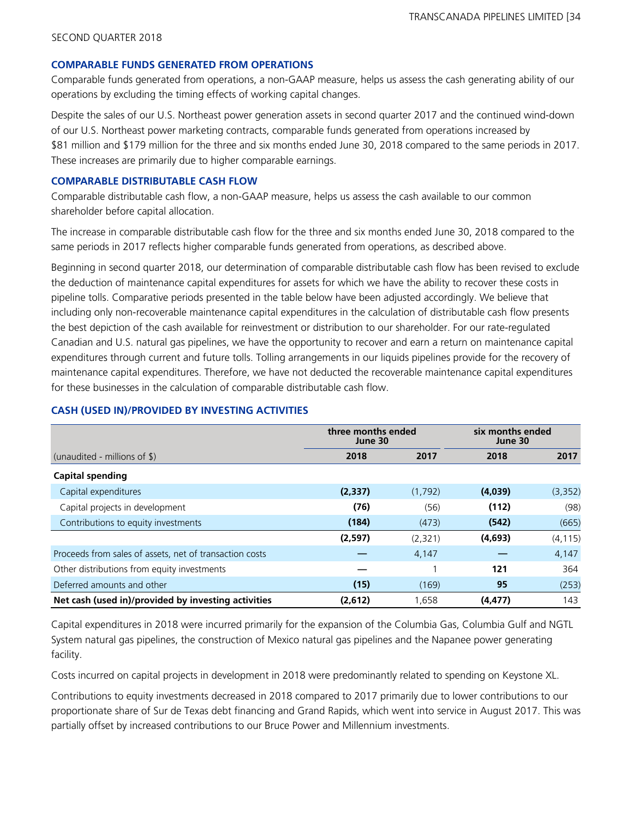### **COMPARABLE FUNDS GENERATED FROM OPERATIONS**

Comparable funds generated from operations, a non-GAAP measure, helps us assess the cash generating ability of our operations by excluding the timing effects of working capital changes.

Despite the sales of our U.S. Northeast power generation assets in second quarter 2017 and the continued wind-down of our U.S. Northeast power marketing contracts, comparable funds generated from operations increased by \$81 million and \$179 million for the three and six months ended June 30, 2018 compared to the same periods in 2017. These increases are primarily due to higher comparable earnings.

### **COMPARABLE DISTRIBUTABLE CASH FLOW**

Comparable distributable cash flow, a non-GAAP measure, helps us assess the cash available to our common shareholder before capital allocation.

The increase in comparable distributable cash flow for the three and six months ended June 30, 2018 compared to the same periods in 2017 reflects higher comparable funds generated from operations, as described above.

Beginning in second quarter 2018, our determination of comparable distributable cash flow has been revised to exclude the deduction of maintenance capital expenditures for assets for which we have the ability to recover these costs in pipeline tolls. Comparative periods presented in the table below have been adjusted accordingly. We believe that including only non-recoverable maintenance capital expenditures in the calculation of distributable cash flow presents the best depiction of the cash available for reinvestment or distribution to our shareholder. For our rate-regulated Canadian and U.S. natural gas pipelines, we have the opportunity to recover and earn a return on maintenance capital expenditures through current and future tolls. Tolling arrangements in our liquids pipelines provide for the recovery of maintenance capital expenditures. Therefore, we have not deducted the recoverable maintenance capital expenditures for these businesses in the calculation of comparable distributable cash flow.

|                                                         | three months ended<br>June 30 |         | six months ended<br>June 30 |          |
|---------------------------------------------------------|-------------------------------|---------|-----------------------------|----------|
| (unaudited - millions of $\$\$ )                        | 2018                          | 2017    | 2018                        | 2017     |
| <b>Capital spending</b>                                 |                               |         |                             |          |
| Capital expenditures                                    | (2, 337)                      | (1,792) | (4,039)                     | (3, 352) |
| Capital projects in development                         | (76)                          | (56)    | (112)                       | (98)     |
| Contributions to equity investments                     | (184)                         | (473)   | (542)                       | (665)    |
|                                                         | (2,597)                       | (2,321) | (4,693)                     | (4, 115) |
| Proceeds from sales of assets, net of transaction costs |                               | 4,147   |                             | 4,147    |
| Other distributions from equity investments             |                               |         | 121                         | 364      |
| Deferred amounts and other                              | (15)                          | (169)   | 95                          | (253)    |
| Net cash (used in)/provided by investing activities     | (2,612)                       | 1.658   | (4, 477)                    | 143      |

# **CASH (USED IN)/PROVIDED BY INVESTING ACTIVITIES**

Capital expenditures in 2018 were incurred primarily for the expansion of the Columbia Gas, Columbia Gulf and NGTL System natural gas pipelines, the construction of Mexico natural gas pipelines and the Napanee power generating facility.

Costs incurred on capital projects in development in 2018 were predominantly related to spending on Keystone XL.

Contributions to equity investments decreased in 2018 compared to 2017 primarily due to lower contributions to our proportionate share of Sur de Texas debt financing and Grand Rapids, which went into service in August 2017. This was partially offset by increased contributions to our Bruce Power and Millennium investments.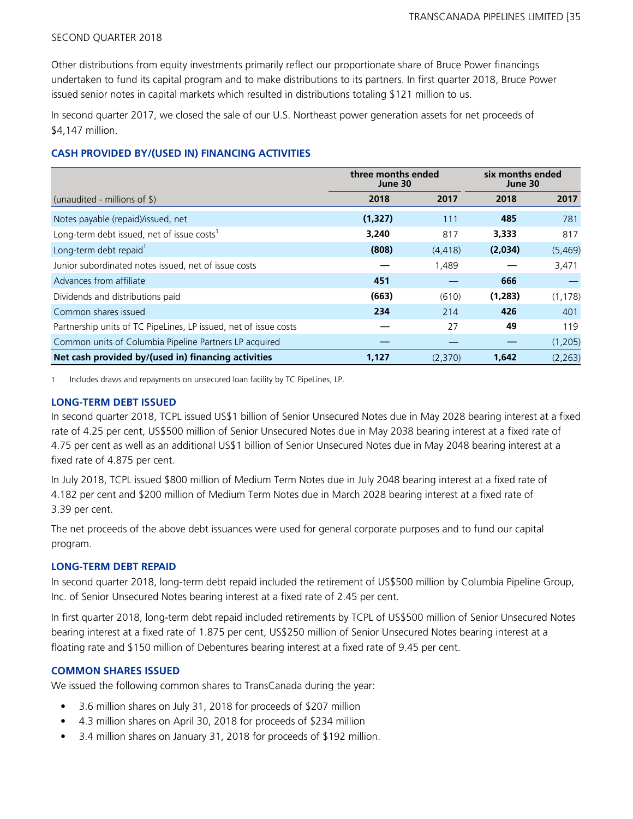Other distributions from equity investments primarily reflect our proportionate share of Bruce Power financings undertaken to fund its capital program and to make distributions to its partners. In first quarter 2018, Bruce Power issued senior notes in capital markets which resulted in distributions totaling \$121 million to us.

In second quarter 2017, we closed the sale of our U.S. Northeast power generation assets for net proceeds of \$4,147 million.

# **CASH PROVIDED BY/(USED IN) FINANCING ACTIVITIES**

|                                                                  | three months ended<br>June 30 |          | six months ended<br>June 30 |          |
|------------------------------------------------------------------|-------------------------------|----------|-----------------------------|----------|
| (unaudited - millions of $\$\$ )                                 | 2018                          | 2017     | 2018                        | 2017     |
| Notes payable (repaid)/issued, net                               | (1,327)                       | 111      | 485                         | 781      |
| Long-term debt issued, net of issue costs <sup>1</sup>           | 3,240                         | 817      | 3,333                       | 817      |
| Long-term debt repaid <sup>1</sup>                               | (808)                         | (4, 418) | (2,034)                     | (5,469)  |
| Junior subordinated notes issued, net of issue costs             |                               | 1.489    |                             | 3,471    |
| Advances from affiliate                                          | 451                           |          | 666                         |          |
| Dividends and distributions paid                                 | (663)                         | (610)    | (1,283)                     | (1, 178) |
| Common shares issued                                             | 234                           | 214      | 426                         | 401      |
| Partnership units of TC PipeLines, LP issued, net of issue costs |                               | 27       | 49                          | 119      |
| Common units of Columbia Pipeline Partners LP acquired           |                               |          |                             | (1,205)  |
| Net cash provided by/(used in) financing activities              | 1,127                         | (2,370)  | 1,642                       | (2, 263) |

1 Includes draws and repayments on unsecured loan facility by TC PipeLines, LP.

### **LONG-TERM DEBT ISSUED**

In second quarter 2018, TCPL issued US\$1 billion of Senior Unsecured Notes due in May 2028 bearing interest at a fixed rate of 4.25 per cent, US\$500 million of Senior Unsecured Notes due in May 2038 bearing interest at a fixed rate of 4.75 per cent as well as an additional US\$1 billion of Senior Unsecured Notes due in May 2048 bearing interest at a fixed rate of 4.875 per cent.

In July 2018, TCPL issued \$800 million of Medium Term Notes due in July 2048 bearing interest at a fixed rate of 4.182 per cent and \$200 million of Medium Term Notes due in March 2028 bearing interest at a fixed rate of 3.39 per cent.

The net proceeds of the above debt issuances were used for general corporate purposes and to fund our capital program.

#### **LONG-TERM DEBT REPAID**

In second quarter 2018, long-term debt repaid included the retirement of US\$500 million by Columbia Pipeline Group, Inc. of Senior Unsecured Notes bearing interest at a fixed rate of 2.45 per cent.

In first quarter 2018, long-term debt repaid included retirements by TCPL of US\$500 million of Senior Unsecured Notes bearing interest at a fixed rate of 1.875 per cent, US\$250 million of Senior Unsecured Notes bearing interest at a floating rate and \$150 million of Debentures bearing interest at a fixed rate of 9.45 per cent.

#### **COMMON SHARES ISSUED**

We issued the following common shares to TransCanada during the year:

- 3.6 million shares on July 31, 2018 for proceeds of \$207 million
- 4.3 million shares on April 30, 2018 for proceeds of \$234 million
- 3.4 million shares on January 31, 2018 for proceeds of \$192 million.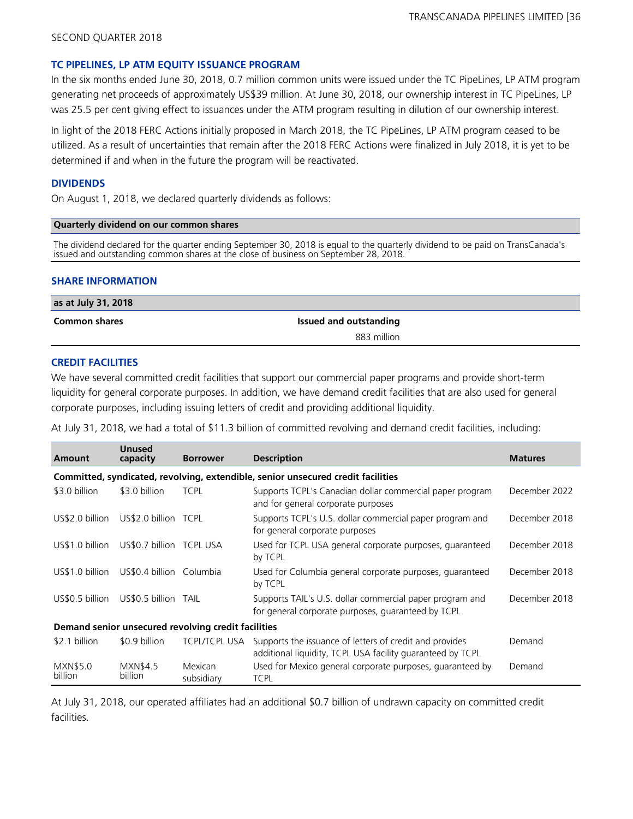#### **TC PIPELINES, LP ATM EQUITY ISSUANCE PROGRAM**

In the six months ended June 30, 2018, 0.7 million common units were issued under the TC PipeLines, LP ATM program generating net proceeds of approximately US\$39 million. At June 30, 2018, our ownership interest in TC PipeLines, LP was 25.5 per cent giving effect to issuances under the ATM program resulting in dilution of our ownership interest.

In light of the 2018 FERC Actions initially proposed in March 2018, the TC PipeLines, LP ATM program ceased to be utilized. As a result of uncertainties that remain after the 2018 FERC Actions were finalized in July 2018, it is yet to be determined if and when in the future the program will be reactivated.

#### **DIVIDENDS**

On August 1, 2018, we declared quarterly dividends as follows:

#### **Quarterly dividend on our common shares**

The dividend declared for the quarter ending September 30, 2018 is equal to the quarterly dividend to be paid on TransCanada's issued and outstanding common shares at the close of business on September 28, 2018.

#### **SHARE INFORMATION**

| as at July 31, 2018  |                               |  |
|----------------------|-------------------------------|--|
| <b>Common shares</b> | <b>Issued and outstanding</b> |  |
|                      | 883 million                   |  |

#### **CREDIT FACILITIES**

We have several committed credit facilities that support our commercial paper programs and provide short-term liquidity for general corporate purposes. In addition, we have demand credit facilities that are also used for general corporate purposes, including issuing letters of credit and providing additional liquidity.

At July 31, 2018, we had a total of \$11.3 billion of committed revolving and demand credit facilities, including:

| Amount                                                                           | <b>Unused</b><br>capacity  | <b>Borrower</b>       | <b>Description</b>                                                                                                    | <b>Matures</b> |  |
|----------------------------------------------------------------------------------|----------------------------|-----------------------|-----------------------------------------------------------------------------------------------------------------------|----------------|--|
| Committed, syndicated, revolving, extendible, senior unsecured credit facilities |                            |                       |                                                                                                                       |                |  |
| \$3.0 billion                                                                    | \$3.0 billion              | <b>TCPL</b>           | Supports TCPL's Canadian dollar commercial paper program<br>and for general corporate purposes                        | December 2022  |  |
| US\$2.0 billion                                                                  | US\$2.0 billion TCPL       |                       | Supports TCPL's U.S. dollar commercial paper program and<br>for general corporate purposes                            | December 2018  |  |
| US\$1.0 billion                                                                  | US\$0.7 billion TCPL USA   |                       | Used for TCPL USA general corporate purposes, guaranteed<br>by TCPL                                                   | December 2018  |  |
| US\$1.0 billion                                                                  | US\$0.4 billion Columbia   |                       | Used for Columbia general corporate purposes, guaranteed<br>by TCPL                                                   | December 2018  |  |
| US\$0.5 billion                                                                  | US\$0.5 billion TAIL       |                       | Supports TAIL's U.S. dollar commercial paper program and<br>for general corporate purposes, guaranteed by TCPL        | December 2018  |  |
| Demand senior unsecured revolving credit facilities                              |                            |                       |                                                                                                                       |                |  |
| \$2.1 billion                                                                    | \$0.9 billion              | <b>TCPL/TCPL USA</b>  | Supports the issuance of letters of credit and provides<br>additional liquidity, TCPL USA facility guaranteed by TCPL | Demand         |  |
| <b>MXN\$5.0</b><br>billion                                                       | <b>MXN\$4.5</b><br>billion | Mexican<br>subsidiary | Used for Mexico general corporate purposes, guaranteed by<br><b>TCPL</b>                                              | Demand         |  |

At July 31, 2018, our operated affiliates had an additional \$0.7 billion of undrawn capacity on committed credit facilities.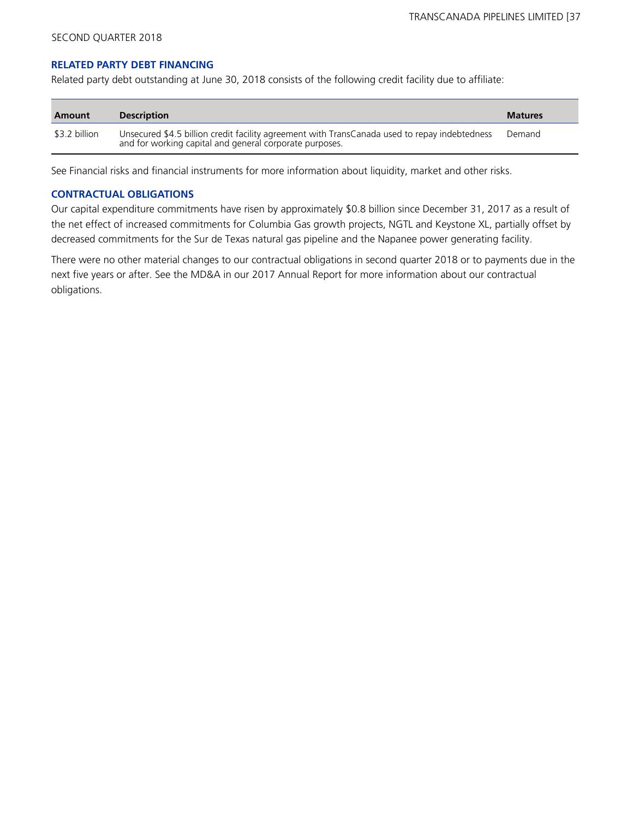#### **RELATED PARTY DEBT FINANCING**

Related party debt outstanding at June 30, 2018 consists of the following credit facility due to affiliate:

| Amount        | <b>Description</b>                                                                                                                                       | <b>Matures</b> |
|---------------|----------------------------------------------------------------------------------------------------------------------------------------------------------|----------------|
| \$3.2 billion | Unsecured \$4.5 billion credit facility agreement with TransCanada used to repay indebtedness<br>and for working capital and general corporate purposes. | Demand         |

See Financial risks and financial instruments for more information about liquidity, market and other risks.

#### **CONTRACTUAL OBLIGATIONS**

Our capital expenditure commitments have risen by approximately \$0.8 billion since December 31, 2017 as a result of the net effect of increased commitments for Columbia Gas growth projects, NGTL and Keystone XL, partially offset by decreased commitments for the Sur de Texas natural gas pipeline and the Napanee power generating facility.

There were no other material changes to our contractual obligations in second quarter 2018 or to payments due in the next five years or after. See the MD&A in our 2017 Annual Report for more information about our contractual obligations.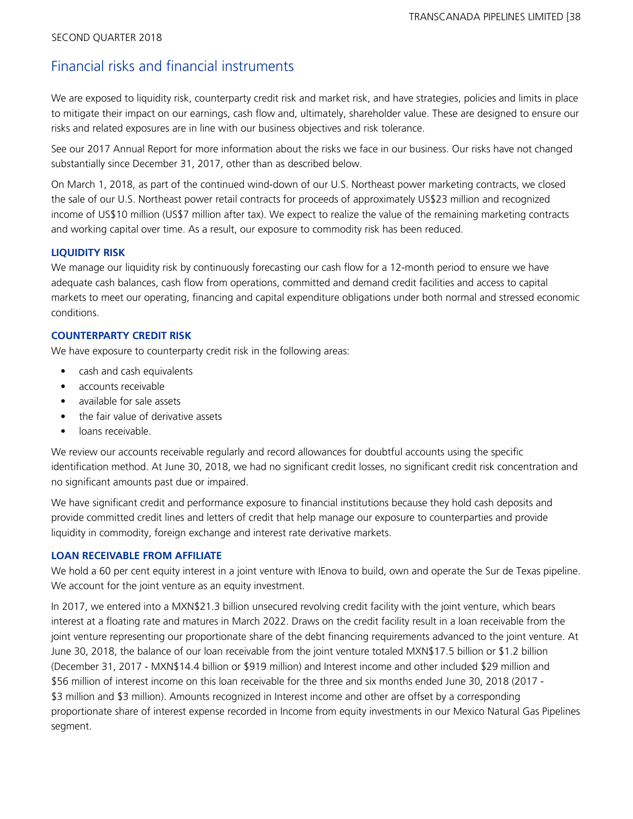## Financial risks and financial instruments

We are exposed to liquidity risk, counterparty credit risk and market risk, and have strategies, policies and limits in place to mitigate their impact on our earnings, cash flow and, ultimately, shareholder value. These are designed to ensure our risks and related exposures are in line with our business objectives and risk tolerance.

See our 2017 Annual Report for more information about the risks we face in our business. Our risks have not changed substantially since December 31, 2017, other than as described below.

On March 1, 2018, as part of the continued wind-down of our U.S. Northeast power marketing contracts, we closed the sale of our U.S. Northeast power retail contracts for proceeds of approximately US\$23 million and recognized income of US\$10 million (US\$7 million after tax). We expect to realize the value of the remaining marketing contracts and working capital over time. As a result, our exposure to commodity risk has been reduced.

#### **LIQUIDITY RISK**

We manage our liquidity risk by continuously forecasting our cash flow for a 12-month period to ensure we have adequate cash balances, cash flow from operations, committed and demand credit facilities and access to capital markets to meet our operating, financing and capital expenditure obligations under both normal and stressed economic conditions.

#### **COUNTERPARTY CREDIT RISK**

We have exposure to counterparty credit risk in the following areas:

- **•** cash and cash equivalents
- accounts receivable
- available for sale assets
- **•** the fair value of derivative assets
- loans receivable.

We review our accounts receivable regularly and record allowances for doubtful accounts using the specific identification method. At June 30, 2018, we had no significant credit losses, no significant credit risk concentration and no significant amounts past due or impaired.

We have significant credit and performance exposure to financial institutions because they hold cash deposits and provide committed credit lines and letters of credit that help manage our exposure to counterparties and provide liquidity in commodity, foreign exchange and interest rate derivative markets.

#### **LOAN RECEIVABLE FROM AFFILIATE**

We hold a 60 per cent equity interest in a joint venture with IEnova to build, own and operate the Sur de Texas pipeline. We account for the joint venture as an equity investment.

In 2017, we entered into a MXN\$21.3 billion unsecured revolving credit facility with the joint venture, which bears interest at a floating rate and matures in March 2022. Draws on the credit facility result in a loan receivable from the joint venture representing our proportionate share of the debt financing requirements advanced to the joint venture. At June 30, 2018, the balance of our loan receivable from the joint venture totaled MXN\$17.5 billion or \$1.2 billion (December 31, 2017 - MXN\$14.4 billion or \$919 million) and Interest income and other included \$29 million and \$56 million of interest income on this loan receivable for the three and six months ended June 30, 2018 (2017 - \$3 million and \$3 million). Amounts recognized in Interest income and other are offset by a corresponding proportionate share of interest expense recorded in Income from equity investments in our Mexico Natural Gas Pipelines segment.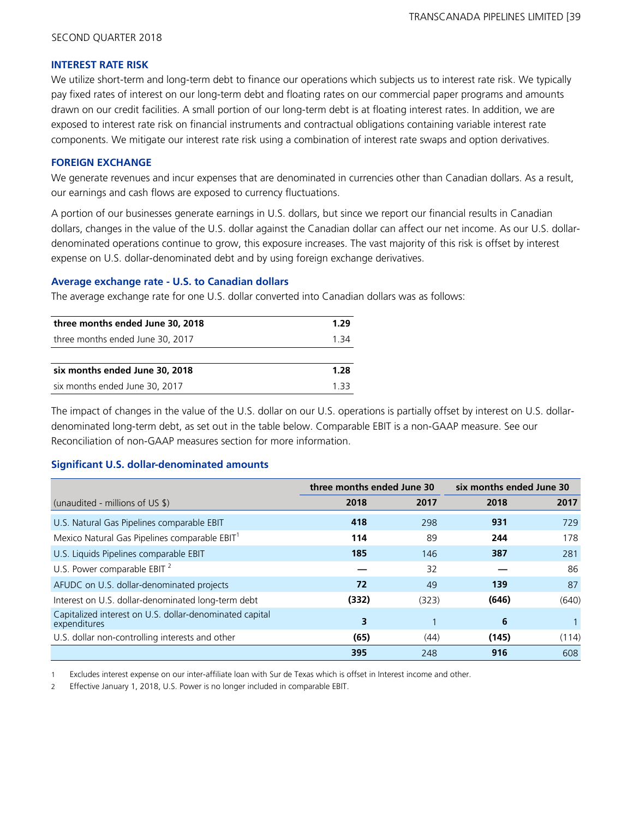#### **INTEREST RATE RISK**

We utilize short-term and long-term debt to finance our operations which subjects us to interest rate risk. We typically pay fixed rates of interest on our long-term debt and floating rates on our commercial paper programs and amounts drawn on our credit facilities. A small portion of our long-term debt is at floating interest rates. In addition, we are exposed to interest rate risk on financial instruments and contractual obligations containing variable interest rate components. We mitigate our interest rate risk using a combination of interest rate swaps and option derivatives.

#### **FOREIGN EXCHANGE**

We generate revenues and incur expenses that are denominated in currencies other than Canadian dollars. As a result, our earnings and cash flows are exposed to currency fluctuations.

A portion of our businesses generate earnings in U.S. dollars, but since we report our financial results in Canadian dollars, changes in the value of the U.S. dollar against the Canadian dollar can affect our net income. As our U.S. dollardenominated operations continue to grow, this exposure increases. The vast majority of this risk is offset by interest expense on U.S. dollar-denominated debt and by using foreign exchange derivatives.

#### **Average exchange rate - U.S. to Canadian dollars**

The average exchange rate for one U.S. dollar converted into Canadian dollars was as follows:

| three months ended June 30, 2018 | 1.29 |
|----------------------------------|------|
| three months ended June 30, 2017 | 1 34 |
|                                  |      |
| six months ended June 30, 2018   | 1.28 |
| six months ended June 30, 2017   | 1 33 |

The impact of changes in the value of the U.S. dollar on our U.S. operations is partially offset by interest on U.S. dollardenominated long-term debt, as set out in the table below. Comparable EBIT is a non-GAAP measure. See our Reconciliation of non-GAAP measures section for more information.

#### **Significant U.S. dollar-denominated amounts**

|                                                                         | three months ended June 30 |       | six months ended June 30 |       |
|-------------------------------------------------------------------------|----------------------------|-------|--------------------------|-------|
| (unaudited - millions of US \$)                                         | 2018                       | 2017  | 2018                     | 2017  |
| U.S. Natural Gas Pipelines comparable EBIT                              | 418                        | 298   | 931                      | 729   |
| Mexico Natural Gas Pipelines comparable EBIT <sup>1</sup>               | 114                        | 89    | 244                      | 178   |
| U.S. Liquids Pipelines comparable EBIT                                  | 185                        | 146   | 387                      | 281   |
| U.S. Power comparable EBIT <sup>2</sup>                                 |                            | 32    |                          | 86    |
| AFUDC on U.S. dollar-denominated projects                               | 72                         | 49    | 139                      | 87    |
| Interest on U.S. dollar-denominated long-term debt                      | (332)                      | (323) | (646)                    | (640) |
| Capitalized interest on U.S. dollar-denominated capital<br>expenditures | 3                          |       | 6                        |       |
| U.S. dollar non-controlling interests and other                         | (65)                       | (44)  | (145)                    | (114) |
|                                                                         | 395                        | 248   | 916                      | 608   |

1 Excludes interest expense on our inter-affiliate loan with Sur de Texas which is offset in Interest income and other.

2 Effective January 1, 2018, U.S. Power is no longer included in comparable EBIT.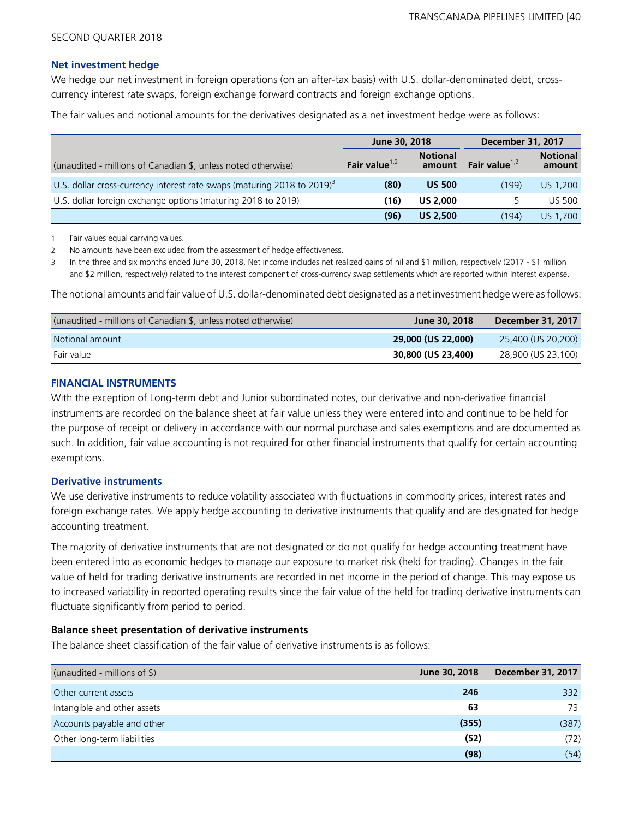#### **Net investment hedge**

We hedge our net investment in foreign operations (on an after-tax basis) with U.S. dollar-denominated debt, crosscurrency interest rate swaps, foreign exchange forward contracts and foreign exchange options.

The fair values and notional amounts for the derivatives designated as a net investment hedge were as follows:

|                                                                             | June 30, 2018       |                           | <b>December 31, 2017</b> |                           |
|-----------------------------------------------------------------------------|---------------------|---------------------------|--------------------------|---------------------------|
| (unaudited - millions of Canadian \$, unless noted otherwise)               | Fair value $^{1,2}$ | <b>Notional</b><br>amount | Fair value $1,2$         | <b>Notional</b><br>amount |
| U.S. dollar cross-currency interest rate swaps (maturing 2018 to 2019) $^3$ | (80)                | <b>US 500</b>             | (199)                    | US 1,200                  |
| U.S. dollar foreign exchange options (maturing 2018 to 2019)                | (16)                | <b>US 2,000</b>           |                          | <b>US 500</b>             |
|                                                                             | (96)                | <b>US 2,500</b>           | (194)                    | US 1,700                  |

1 Fair values equal carrying values.

2 No amounts have been excluded from the assessment of hedge effectiveness.

3 In the three and six months ended June 30, 2018, Net income includes net realized gains of nil and \$1 million, respectively (2017 - \$1 million and \$2 million, respectively) related to the interest component of cross-currency swap settlements which are reported within Interest expense.

The notional amounts and fair value of U.S. dollar-denominated debt designated as a net investment hedge were as follows:

| (unaudited - millions of Canadian \$, unless noted otherwise) | June 30, 2018      | December 31, 2017  |
|---------------------------------------------------------------|--------------------|--------------------|
| Notional amount                                               | 29,000 (US 22,000) | 25,400 (US 20,200) |
| Fair value                                                    | 30,800 (US 23,400) | 28,900 (US 23,100) |

#### **FINANCIAL INSTRUMENTS**

With the exception of Long-term debt and Junior subordinated notes, our derivative and non-derivative financial instruments are recorded on the balance sheet at fair value unless they were entered into and continue to be held for the purpose of receipt or delivery in accordance with our normal purchase and sales exemptions and are documented as such. In addition, fair value accounting is not required for other financial instruments that qualify for certain accounting exemptions.

#### **Derivative instruments**

We use derivative instruments to reduce volatility associated with fluctuations in commodity prices, interest rates and foreign exchange rates. We apply hedge accounting to derivative instruments that qualify and are designated for hedge accounting treatment.

The majority of derivative instruments that are not designated or do not qualify for hedge accounting treatment have been entered into as economic hedges to manage our exposure to market risk (held for trading). Changes in the fair value of held for trading derivative instruments are recorded in net income in the period of change. This may expose us to increased variability in reported operating results since the fair value of the held for trading derivative instruments can fluctuate significantly from period to period.

#### **Balance sheet presentation of derivative instruments**

The balance sheet classification of the fair value of derivative instruments is as follows:

| (unaudited - millions of $\frac{1}{2}$ ) | June 30, 2018 | December 31, 2017 |
|------------------------------------------|---------------|-------------------|
| Other current assets                     | 246           | 332               |
| Intangible and other assets              | 63            | 73                |
| Accounts payable and other               | (355)         | (387)             |
| Other long-term liabilities              | (52)          | (72)              |
|                                          | (98)          | (54)              |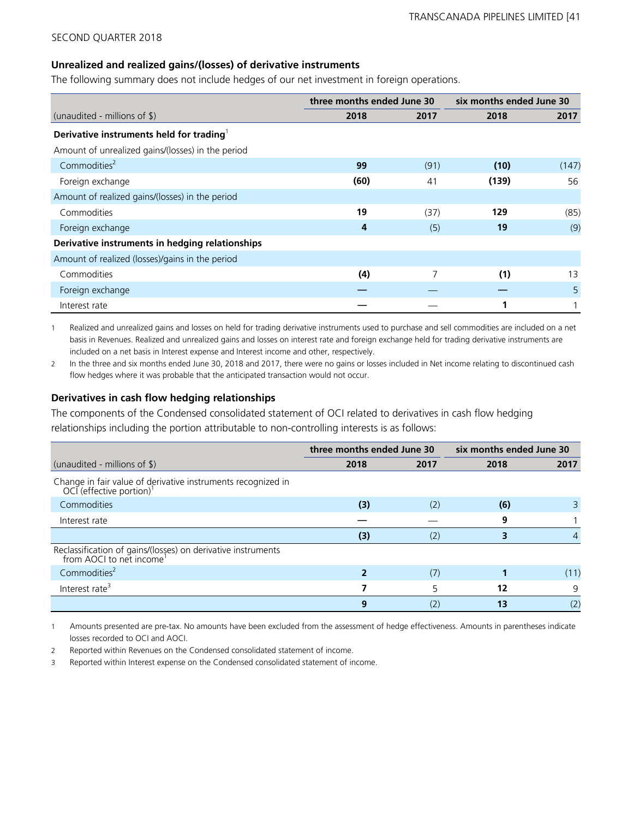#### **Unrealized and realized gains/(losses) of derivative instruments**

The following summary does not include hedges of our net investment in foreign operations.

|                                                      | three months ended June 30 |      | six months ended June 30 |       |  |
|------------------------------------------------------|----------------------------|------|--------------------------|-------|--|
| (unaudited - millions of $\frac{1}{2}$ )             | 2018                       | 2017 | 2018                     | 2017  |  |
| Derivative instruments held for trading <sup>1</sup> |                            |      |                          |       |  |
| Amount of unrealized gains/(losses) in the period    |                            |      |                          |       |  |
| Commodities <sup>2</sup>                             | 99                         | (91) | (10)                     | (147) |  |
| Foreign exchange                                     | (60)                       | 41   | (139)                    | 56    |  |
| Amount of realized gains/(losses) in the period      |                            |      |                          |       |  |
| Commodities                                          | 19                         | (37) | 129                      | (85)  |  |
| Foreign exchange                                     | 4                          | (5)  | 19                       | (9)   |  |
| Derivative instruments in hedging relationships      |                            |      |                          |       |  |
| Amount of realized (losses)/gains in the period      |                            |      |                          |       |  |
| Commodities                                          | (4)                        |      | (1)                      | 13    |  |
| Foreign exchange                                     |                            |      |                          | 5     |  |
| Interest rate                                        |                            |      |                          |       |  |

1 Realized and unrealized gains and losses on held for trading derivative instruments used to purchase and sell commodities are included on a net basis in Revenues. Realized and unrealized gains and losses on interest rate and foreign exchange held for trading derivative instruments are included on a net basis in Interest expense and Interest income and other, respectively.

2 In the three and six months ended June 30, 2018 and 2017, there were no gains or losses included in Net income relating to discontinued cash flow hedges where it was probable that the anticipated transaction would not occur.

#### **Derivatives in cash flow hedging relationships**

The components of the Condensed consolidated statement of OCI related to derivatives in cash flow hedging relationships including the portion attributable to non-controlling interests is as follows:

|                                                                                                      | three months ended June 30 |      | six months ended June 30 |      |  |
|------------------------------------------------------------------------------------------------------|----------------------------|------|--------------------------|------|--|
| (unaudited - millions of $\frac{1}{2}$ )                                                             | 2018                       | 2017 | 2018                     | 2017 |  |
| Change in fair value of derivative instruments recognized in<br>OCI (effective portion) <sup>1</sup> |                            |      |                          |      |  |
| Commodities                                                                                          | (3)                        | (2)  | (6)                      |      |  |
| Interest rate                                                                                        |                            |      | 9                        |      |  |
|                                                                                                      | (3)                        | (2)  | 3                        |      |  |
| Reclassification of gains/(losses) on derivative instruments<br>from AOCI to net income <sup>1</sup> |                            |      |                          |      |  |
| Commodities <sup>2</sup>                                                                             |                            | (7)  |                          | (11) |  |
| Interest rate <sup>3</sup>                                                                           |                            |      | 12                       | 9    |  |
|                                                                                                      |                            | (2)  | 13                       | (2)  |  |

1 Amounts presented are pre-tax. No amounts have been excluded from the assessment of hedge effectiveness. Amounts in parentheses indicate losses recorded to OCI and AOCI.

2 Reported within Revenues on the Condensed consolidated statement of income.

3 Reported within Interest expense on the Condensed consolidated statement of income.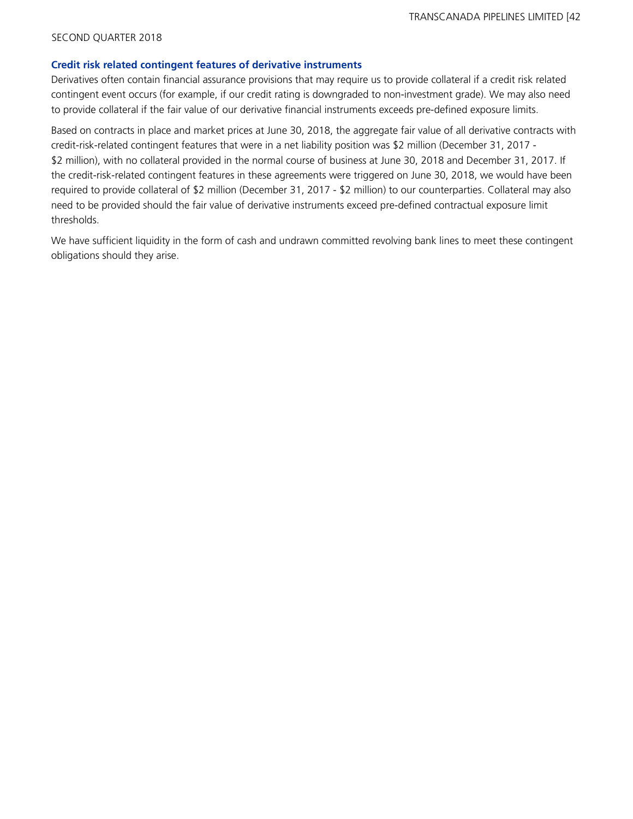#### **Credit risk related contingent features of derivative instruments**

Derivatives often contain financial assurance provisions that may require us to provide collateral if a credit risk related contingent event occurs (for example, if our credit rating is downgraded to non-investment grade). We may also need to provide collateral if the fair value of our derivative financial instruments exceeds pre-defined exposure limits.

Based on contracts in place and market prices at June 30, 2018, the aggregate fair value of all derivative contracts with credit-risk-related contingent features that were in a net liability position was \$2 million (December 31, 2017 - \$2 million), with no collateral provided in the normal course of business at June 30, 2018 and December 31, 2017. If the credit-risk-related contingent features in these agreements were triggered on June 30, 2018, we would have been required to provide collateral of \$2 million (December 31, 2017 - \$2 million) to our counterparties. Collateral may also need to be provided should the fair value of derivative instruments exceed pre-defined contractual exposure limit thresholds.

We have sufficient liquidity in the form of cash and undrawn committed revolving bank lines to meet these contingent obligations should they arise.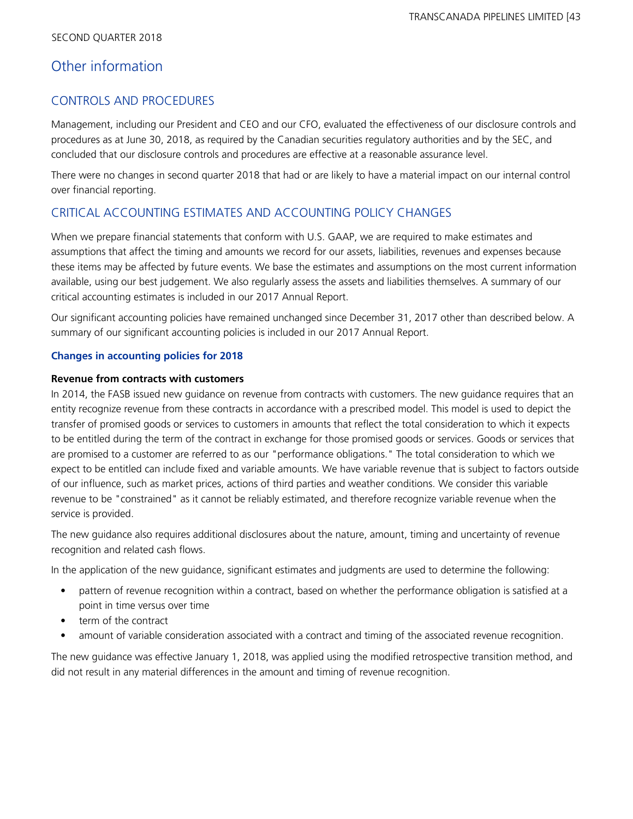## Other information

## CONTROLS AND PROCEDURES

Management, including our President and CEO and our CFO, evaluated the effectiveness of our disclosure controls and procedures as at June 30, 2018, as required by the Canadian securities regulatory authorities and by the SEC, and concluded that our disclosure controls and procedures are effective at a reasonable assurance level.

There were no changes in second quarter 2018 that had or are likely to have a material impact on our internal control over financial reporting.

## CRITICAL ACCOUNTING ESTIMATES AND ACCOUNTING POLICY CHANGES

When we prepare financial statements that conform with U.S. GAAP, we are required to make estimates and assumptions that affect the timing and amounts we record for our assets, liabilities, revenues and expenses because these items may be affected by future events. We base the estimates and assumptions on the most current information available, using our best judgement. We also regularly assess the assets and liabilities themselves. A summary of our critical accounting estimates is included in our 2017 Annual Report.

Our significant accounting policies have remained unchanged since December 31, 2017 other than described below. A summary of our significant accounting policies is included in our 2017 Annual Report.

#### **Changes in accounting policies for 2018**

#### **Revenue from contracts with customers**

In 2014, the FASB issued new guidance on revenue from contracts with customers. The new guidance requires that an entity recognize revenue from these contracts in accordance with a prescribed model. This model is used to depict the transfer of promised goods or services to customers in amounts that reflect the total consideration to which it expects to be entitled during the term of the contract in exchange for those promised goods or services. Goods or services that are promised to a customer are referred to as our "performance obligations." The total consideration to which we expect to be entitled can include fixed and variable amounts. We have variable revenue that is subject to factors outside of our influence, such as market prices, actions of third parties and weather conditions. We consider this variable revenue to be "constrained" as it cannot be reliably estimated, and therefore recognize variable revenue when the service is provided.

The new guidance also requires additional disclosures about the nature, amount, timing and uncertainty of revenue recognition and related cash flows.

In the application of the new guidance, significant estimates and judgments are used to determine the following:

- pattern of revenue recognition within a contract, based on whether the performance obligation is satisfied at a point in time versus over time
- term of the contract
- amount of variable consideration associated with a contract and timing of the associated revenue recognition.

The new guidance was effective January 1, 2018, was applied using the modified retrospective transition method, and did not result in any material differences in the amount and timing of revenue recognition.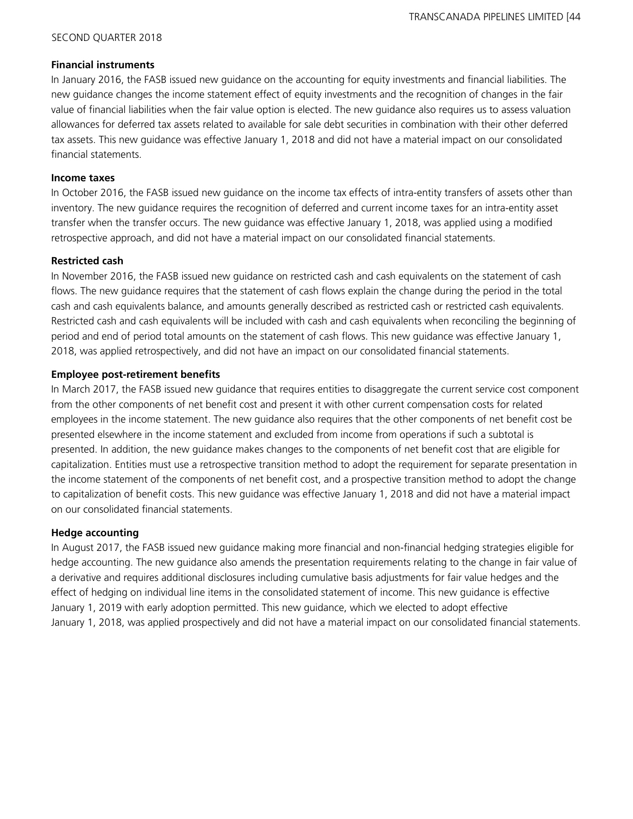#### **Financial instruments**

In January 2016, the FASB issued new guidance on the accounting for equity investments and financial liabilities. The new guidance changes the income statement effect of equity investments and the recognition of changes in the fair value of financial liabilities when the fair value option is elected. The new guidance also requires us to assess valuation allowances for deferred tax assets related to available for sale debt securities in combination with their other deferred tax assets. This new guidance was effective January 1, 2018 and did not have a material impact on our consolidated financial statements.

#### **Income taxes**

In October 2016, the FASB issued new guidance on the income tax effects of intra-entity transfers of assets other than inventory. The new guidance requires the recognition of deferred and current income taxes for an intra-entity asset transfer when the transfer occurs. The new guidance was effective January 1, 2018, was applied using a modified retrospective approach, and did not have a material impact on our consolidated financial statements.

#### **Restricted cash**

In November 2016, the FASB issued new guidance on restricted cash and cash equivalents on the statement of cash flows. The new guidance requires that the statement of cash flows explain the change during the period in the total cash and cash equivalents balance, and amounts generally described as restricted cash or restricted cash equivalents. Restricted cash and cash equivalents will be included with cash and cash equivalents when reconciling the beginning of period and end of period total amounts on the statement of cash flows. This new guidance was effective January 1, 2018, was applied retrospectively, and did not have an impact on our consolidated financial statements.

#### **Employee post-retirement benefits**

In March 2017, the FASB issued new guidance that requires entities to disaggregate the current service cost component from the other components of net benefit cost and present it with other current compensation costs for related employees in the income statement. The new guidance also requires that the other components of net benefit cost be presented elsewhere in the income statement and excluded from income from operations if such a subtotal is presented. In addition, the new guidance makes changes to the components of net benefit cost that are eligible for capitalization. Entities must use a retrospective transition method to adopt the requirement for separate presentation in the income statement of the components of net benefit cost, and a prospective transition method to adopt the change to capitalization of benefit costs. This new guidance was effective January 1, 2018 and did not have a material impact on our consolidated financial statements.

#### **Hedge accounting**

In August 2017, the FASB issued new guidance making more financial and non-financial hedging strategies eligible for hedge accounting. The new guidance also amends the presentation requirements relating to the change in fair value of a derivative and requires additional disclosures including cumulative basis adjustments for fair value hedges and the effect of hedging on individual line items in the consolidated statement of income. This new guidance is effective January 1, 2019 with early adoption permitted. This new guidance, which we elected to adopt effective January 1, 2018, was applied prospectively and did not have a material impact on our consolidated financial statements.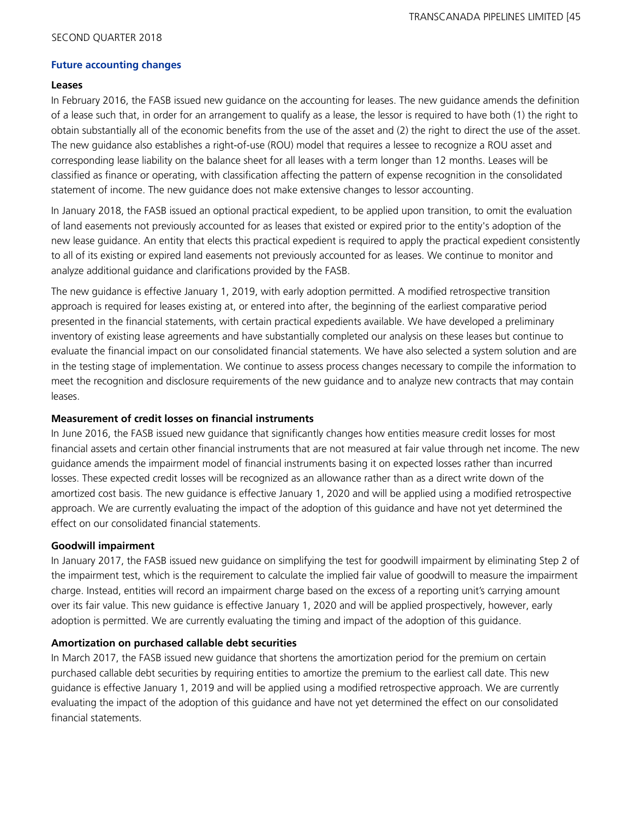#### **Future accounting changes**

#### **Leases**

In February 2016, the FASB issued new guidance on the accounting for leases. The new guidance amends the definition of a lease such that, in order for an arrangement to qualify as a lease, the lessor is required to have both (1) the right to obtain substantially all of the economic benefits from the use of the asset and (2) the right to direct the use of the asset. The new guidance also establishes a right-of-use (ROU) model that requires a lessee to recognize a ROU asset and corresponding lease liability on the balance sheet for all leases with a term longer than 12 months. Leases will be classified as finance or operating, with classification affecting the pattern of expense recognition in the consolidated statement of income. The new guidance does not make extensive changes to lessor accounting.

In January 2018, the FASB issued an optional practical expedient, to be applied upon transition, to omit the evaluation of land easements not previously accounted for as leases that existed or expired prior to the entity's adoption of the new lease guidance. An entity that elects this practical expedient is required to apply the practical expedient consistently to all of its existing or expired land easements not previously accounted for as leases. We continue to monitor and analyze additional guidance and clarifications provided by the FASB.

The new guidance is effective January 1, 2019, with early adoption permitted. A modified retrospective transition approach is required for leases existing at, or entered into after, the beginning of the earliest comparative period presented in the financial statements, with certain practical expedients available. We have developed a preliminary inventory of existing lease agreements and have substantially completed our analysis on these leases but continue to evaluate the financial impact on our consolidated financial statements. We have also selected a system solution and are in the testing stage of implementation. We continue to assess process changes necessary to compile the information to meet the recognition and disclosure requirements of the new guidance and to analyze new contracts that may contain leases.

#### **Measurement of credit losses on financial instruments**

In June 2016, the FASB issued new guidance that significantly changes how entities measure credit losses for most financial assets and certain other financial instruments that are not measured at fair value through net income. The new guidance amends the impairment model of financial instruments basing it on expected losses rather than incurred losses. These expected credit losses will be recognized as an allowance rather than as a direct write down of the amortized cost basis. The new guidance is effective January 1, 2020 and will be applied using a modified retrospective approach. We are currently evaluating the impact of the adoption of this guidance and have not yet determined the effect on our consolidated financial statements.

#### **Goodwill impairment**

In January 2017, the FASB issued new guidance on simplifying the test for goodwill impairment by eliminating Step 2 of the impairment test, which is the requirement to calculate the implied fair value of goodwill to measure the impairment charge. Instead, entities will record an impairment charge based on the excess of a reporting unit's carrying amount over its fair value. This new guidance is effective January 1, 2020 and will be applied prospectively, however, early adoption is permitted. We are currently evaluating the timing and impact of the adoption of this guidance.

#### **Amortization on purchased callable debt securities**

In March 2017, the FASB issued new guidance that shortens the amortization period for the premium on certain purchased callable debt securities by requiring entities to amortize the premium to the earliest call date. This new guidance is effective January 1, 2019 and will be applied using a modified retrospective approach. We are currently evaluating the impact of the adoption of this guidance and have not yet determined the effect on our consolidated financial statements.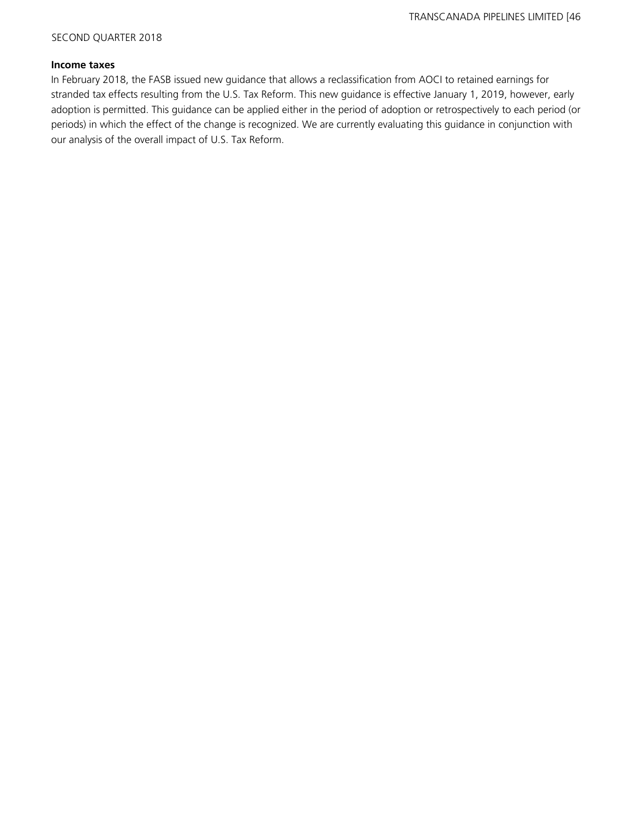#### **Income taxes**

In February 2018, the FASB issued new guidance that allows a reclassification from AOCI to retained earnings for stranded tax effects resulting from the U.S. Tax Reform. This new guidance is effective January 1, 2019, however, early adoption is permitted. This guidance can be applied either in the period of adoption or retrospectively to each period (or periods) in which the effect of the change is recognized. We are currently evaluating this guidance in conjunction with our analysis of the overall impact of U.S. Tax Reform.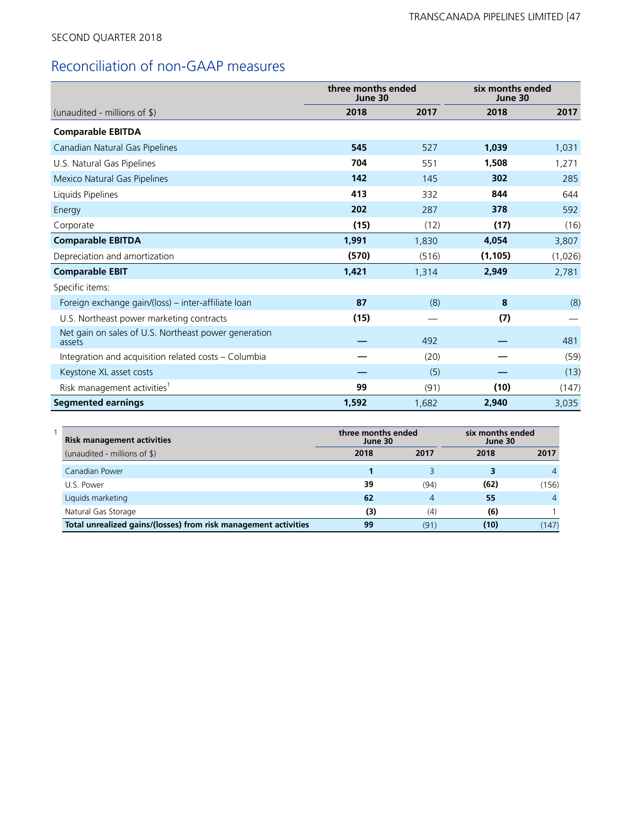# Reconciliation of non-GAAP measures

|                                                                | three months ended<br>June 30 |       | six months ended<br>June 30 |         |
|----------------------------------------------------------------|-------------------------------|-------|-----------------------------|---------|
| (unaudited - millions of \$)                                   | 2018                          | 2017  | 2018                        | 2017    |
| <b>Comparable EBITDA</b>                                       |                               |       |                             |         |
| Canadian Natural Gas Pipelines                                 | 545                           | 527   | 1,039                       | 1,031   |
| U.S. Natural Gas Pipelines                                     | 704                           | 551   | 1,508                       | 1,271   |
| Mexico Natural Gas Pipelines                                   | 142                           | 145   | 302                         | 285     |
| Liquids Pipelines                                              | 413                           | 332   | 844                         | 644     |
| Energy                                                         | 202                           | 287   | 378                         | 592     |
| Corporate                                                      | (15)                          | (12)  | (17)                        | (16)    |
| <b>Comparable EBITDA</b>                                       | 1,991                         | 1,830 | 4,054                       | 3,807   |
| Depreciation and amortization                                  | (570)                         | (516) | (1, 105)                    | (1,026) |
| <b>Comparable EBIT</b>                                         | 1,421                         | 1,314 | 2,949                       | 2,781   |
| Specific items:                                                |                               |       |                             |         |
| Foreign exchange gain/(loss) - inter-affiliate loan            | 87                            | (8)   | 8                           | (8)     |
| U.S. Northeast power marketing contracts                       | (15)                          |       | (7)                         |         |
| Net gain on sales of U.S. Northeast power generation<br>assets |                               | 492   |                             | 481     |
| Integration and acquisition related costs - Columbia           |                               | (20)  |                             | (59)    |
| Keystone XL asset costs                                        |                               | (5)   |                             | (13)    |
| Risk management activities <sup>1</sup>                        | 99                            | (91)  | (10)                        | (147)   |
| <b>Segmented earnings</b>                                      | 1,592                         | 1,682 | 2,940                       | 3,035   |

| <b>Risk management activities</b>                               | three months ended<br>June 30 |      | six months ended<br>June 30 |       |  |
|-----------------------------------------------------------------|-------------------------------|------|-----------------------------|-------|--|
| (unaudited - millions of \$)                                    | 2018                          | 2017 | 2018                        | 2017  |  |
| Canadian Power                                                  |                               |      |                             | 4     |  |
| U.S. Power                                                      | 39                            | (94) | (62)                        | (156) |  |
| Liquids marketing                                               | 62                            | 4    | 55                          | 4     |  |
| Natural Gas Storage                                             | (3)                           | (4)  | (6)                         |       |  |
| Total unrealized gains/(losses) from risk management activities | 99                            | (91) | (10)                        | (147) |  |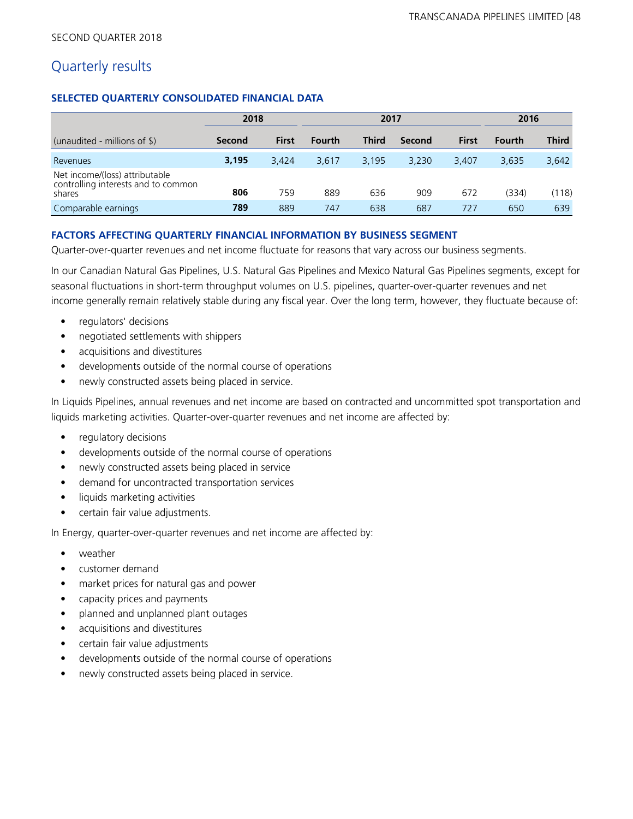# Quarterly results

### **SELECTED QUARTERLY CONSOLIDATED FINANCIAL DATA**

|                                                                                 | 2018   |              | 2017          |              |        | 2016         |               |              |
|---------------------------------------------------------------------------------|--------|--------------|---------------|--------------|--------|--------------|---------------|--------------|
| (unaudited - millions of $\$\$ )                                                | Second | <b>First</b> | <b>Fourth</b> | <b>Third</b> | Second | <b>First</b> | <b>Fourth</b> | <b>Third</b> |
| Revenues                                                                        | 3,195  | 3.424        | 3,617         | 3.195        | 3.230  | 3.407        | 3.635         | 3,642        |
| Net income/(loss) attributable<br>controlling interests and to common<br>shares | 806    | 759          | 889           | 636          | 909    | 672          | (334)         | (118)        |
| Comparable earnings                                                             | 789    | 889          | 747           | 638          | 687    | 727          | 650           | 639          |

### **FACTORS AFFECTING QUARTERLY FINANCIAL INFORMATION BY BUSINESS SEGMENT**

Quarter-over-quarter revenues and net income fluctuate for reasons that vary across our business segments.

In our Canadian Natural Gas Pipelines, U.S. Natural Gas Pipelines and Mexico Natural Gas Pipelines segments, except for seasonal fluctuations in short-term throughput volumes on U.S. pipelines, quarter-over-quarter revenues and net income generally remain relatively stable during any fiscal year. Over the long term, however, they fluctuate because of:

- regulators' decisions
- negotiated settlements with shippers
- acquisitions and divestitures
- developments outside of the normal course of operations
- newly constructed assets being placed in service.

In Liquids Pipelines, annual revenues and net income are based on contracted and uncommitted spot transportation and liquids marketing activities. Quarter-over-quarter revenues and net income are affected by:

- regulatory decisions
- developments outside of the normal course of operations
- newly constructed assets being placed in service
- demand for uncontracted transportation services
- liquids marketing activities
- certain fair value adjustments.

In Energy, quarter-over-quarter revenues and net income are affected by:

- weather
- customer demand
- market prices for natural gas and power
- capacity prices and payments
- planned and unplanned plant outages
- acquisitions and divestitures
- certain fair value adjustments
- developments outside of the normal course of operations
- newly constructed assets being placed in service.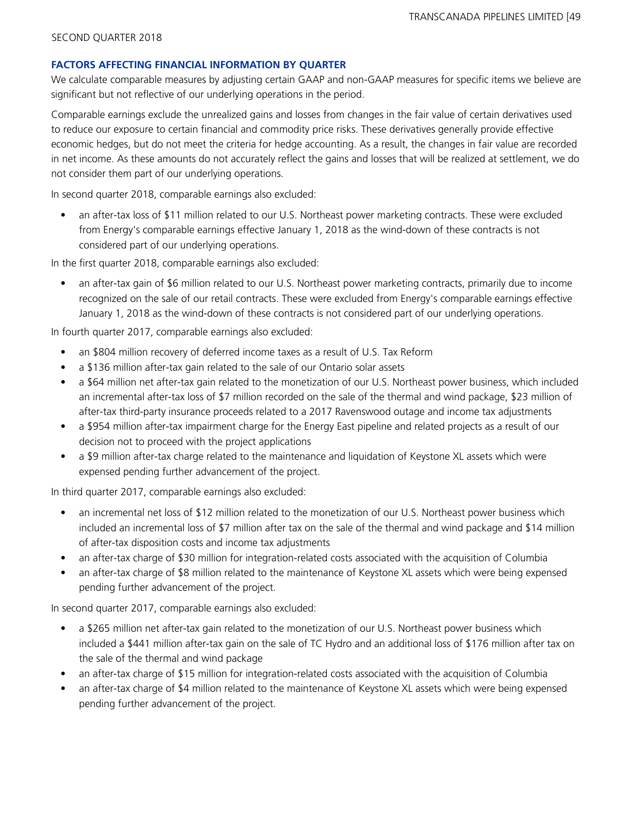#### **FACTORS AFFECTING FINANCIAL INFORMATION BY QUARTER**

We calculate comparable measures by adjusting certain GAAP and non-GAAP measures for specific items we believe are significant but not reflective of our underlying operations in the period.

Comparable earnings exclude the unrealized gains and losses from changes in the fair value of certain derivatives used to reduce our exposure to certain financial and commodity price risks. These derivatives generally provide effective economic hedges, but do not meet the criteria for hedge accounting. As a result, the changes in fair value are recorded in net income. As these amounts do not accurately reflect the gains and losses that will be realized at settlement, we do not consider them part of our underlying operations.

In second quarter 2018, comparable earnings also excluded:

• an after-tax loss of \$11 million related to our U.S. Northeast power marketing contracts. These were excluded from Energy's comparable earnings effective January 1, 2018 as the wind-down of these contracts is not considered part of our underlying operations.

In the first quarter 2018, comparable earnings also excluded:

• an after-tax gain of \$6 million related to our U.S. Northeast power marketing contracts, primarily due to income recognized on the sale of our retail contracts. These were excluded from Energy's comparable earnings effective January 1, 2018 as the wind-down of these contracts is not considered part of our underlying operations.

In fourth quarter 2017, comparable earnings also excluded:

- an \$804 million recovery of deferred income taxes as a result of U.S. Tax Reform
- a \$136 million after-tax gain related to the sale of our Ontario solar assets
- a \$64 million net after-tax gain related to the monetization of our U.S. Northeast power business, which included an incremental after-tax loss of \$7 million recorded on the sale of the thermal and wind package, \$23 million of after-tax third-party insurance proceeds related to a 2017 Ravenswood outage and income tax adjustments
- a \$954 million after-tax impairment charge for the Energy East pipeline and related projects as a result of our decision not to proceed with the project applications
- a \$9 million after-tax charge related to the maintenance and liquidation of Keystone XL assets which were expensed pending further advancement of the project.

In third quarter 2017, comparable earnings also excluded:

- an incremental net loss of \$12 million related to the monetization of our U.S. Northeast power business which included an incremental loss of \$7 million after tax on the sale of the thermal and wind package and \$14 million of after-tax disposition costs and income tax adjustments
- an after-tax charge of \$30 million for integration-related costs associated with the acquisition of Columbia
- an after-tax charge of \$8 million related to the maintenance of Keystone XL assets which were being expensed pending further advancement of the project.

In second quarter 2017, comparable earnings also excluded:

- a \$265 million net after-tax gain related to the monetization of our U.S. Northeast power business which included a \$441 million after-tax gain on the sale of TC Hydro and an additional loss of \$176 million after tax on the sale of the thermal and wind package
- an after-tax charge of \$15 million for integration-related costs associated with the acquisition of Columbia
- an after-tax charge of \$4 million related to the maintenance of Keystone XL assets which were being expensed pending further advancement of the project.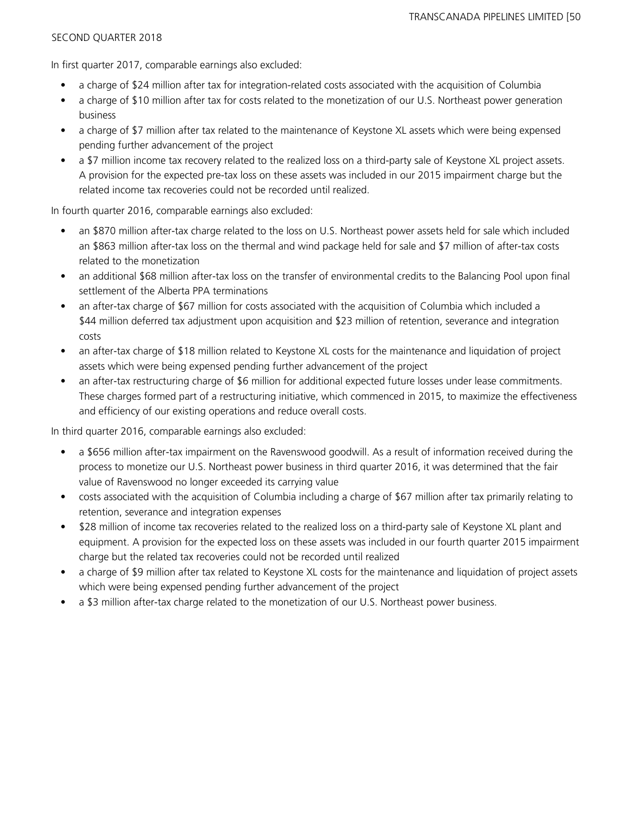In first quarter 2017, comparable earnings also excluded:

- a charge of \$24 million after tax for integration-related costs associated with the acquisition of Columbia
- a charge of \$10 million after tax for costs related to the monetization of our U.S. Northeast power generation business
- a charge of \$7 million after tax related to the maintenance of Keystone XL assets which were being expensed pending further advancement of the project
- a \$7 million income tax recovery related to the realized loss on a third-party sale of Keystone XL project assets. A provision for the expected pre-tax loss on these assets was included in our 2015 impairment charge but the related income tax recoveries could not be recorded until realized.

In fourth quarter 2016, comparable earnings also excluded:

- an \$870 million after-tax charge related to the loss on U.S. Northeast power assets held for sale which included an \$863 million after-tax loss on the thermal and wind package held for sale and \$7 million of after-tax costs related to the monetization
- an additional \$68 million after-tax loss on the transfer of environmental credits to the Balancing Pool upon final settlement of the Alberta PPA terminations
- an after-tax charge of \$67 million for costs associated with the acquisition of Columbia which included a \$44 million deferred tax adjustment upon acquisition and \$23 million of retention, severance and integration costs
- an after-tax charge of \$18 million related to Keystone XL costs for the maintenance and liquidation of project assets which were being expensed pending further advancement of the project
- an after-tax restructuring charge of \$6 million for additional expected future losses under lease commitments. These charges formed part of a restructuring initiative, which commenced in 2015, to maximize the effectiveness and efficiency of our existing operations and reduce overall costs.

In third quarter 2016, comparable earnings also excluded:

- a \$656 million after-tax impairment on the Ravenswood goodwill. As a result of information received during the process to monetize our U.S. Northeast power business in third quarter 2016, it was determined that the fair value of Ravenswood no longer exceeded its carrying value
- costs associated with the acquisition of Columbia including a charge of \$67 million after tax primarily relating to retention, severance and integration expenses
- \$28 million of income tax recoveries related to the realized loss on a third-party sale of Keystone XL plant and equipment. A provision for the expected loss on these assets was included in our fourth quarter 2015 impairment charge but the related tax recoveries could not be recorded until realized
- a charge of \$9 million after tax related to Keystone XL costs for the maintenance and liquidation of project assets which were being expensed pending further advancement of the project
- a \$3 million after-tax charge related to the monetization of our U.S. Northeast power business.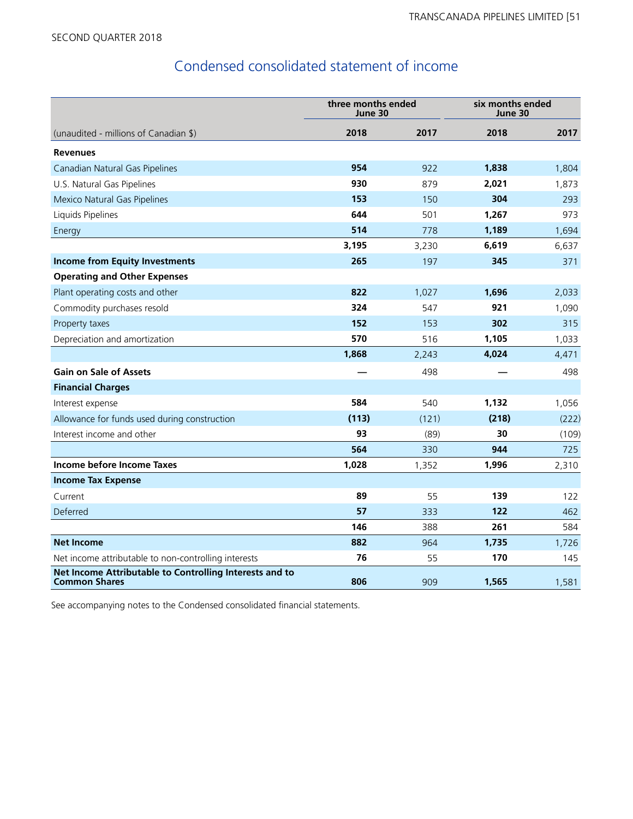# Condensed consolidated statement of income

|                                                                                 | three months ended<br>June 30 |       | six months ended<br>June 30 |       |
|---------------------------------------------------------------------------------|-------------------------------|-------|-----------------------------|-------|
| (unaudited - millions of Canadian \$)                                           | 2018                          | 2017  | 2018                        | 2017  |
| <b>Revenues</b>                                                                 |                               |       |                             |       |
| Canadian Natural Gas Pipelines                                                  | 954                           | 922   | 1,838                       | 1,804 |
| U.S. Natural Gas Pipelines                                                      | 930                           | 879   | 2,021                       | 1,873 |
| Mexico Natural Gas Pipelines                                                    | 153                           | 150   | 304                         | 293   |
| Liquids Pipelines                                                               | 644                           | 501   | 1,267                       | 973   |
| Energy                                                                          | 514                           | 778   | 1,189                       | 1,694 |
|                                                                                 | 3,195                         | 3,230 | 6,619                       | 6,637 |
| <b>Income from Equity Investments</b>                                           | 265                           | 197   | 345                         | 371   |
| <b>Operating and Other Expenses</b>                                             |                               |       |                             |       |
| Plant operating costs and other                                                 | 822                           | 1,027 | 1,696                       | 2,033 |
| Commodity purchases resold                                                      | 324                           | 547   | 921                         | 1,090 |
| Property taxes                                                                  | 152                           | 153   | 302                         | 315   |
| Depreciation and amortization                                                   | 570                           | 516   | 1,105                       | 1,033 |
|                                                                                 | 1,868                         | 2,243 | 4,024                       | 4,471 |
| <b>Gain on Sale of Assets</b>                                                   |                               | 498   |                             | 498   |
| <b>Financial Charges</b>                                                        |                               |       |                             |       |
| Interest expense                                                                | 584                           | 540   | 1,132                       | 1,056 |
| Allowance for funds used during construction                                    | (113)                         | (121) | (218)                       | (222) |
| Interest income and other                                                       | 93                            | (89)  | 30                          | (109) |
|                                                                                 | 564                           | 330   | 944                         | 725   |
| Income before Income Taxes                                                      | 1,028                         | 1,352 | 1,996                       | 2,310 |
| <b>Income Tax Expense</b>                                                       |                               |       |                             |       |
| Current                                                                         | 89                            | 55    | 139                         | 122   |
| Deferred                                                                        | 57                            | 333   | 122                         | 462   |
|                                                                                 | 146                           | 388   | 261                         | 584   |
| <b>Net Income</b>                                                               | 882                           | 964   | 1,735                       | 1,726 |
| Net income attributable to non-controlling interests                            | 76                            | 55    | 170                         | 145   |
| Net Income Attributable to Controlling Interests and to<br><b>Common Shares</b> | 806                           | 909   | 1,565                       | 1,581 |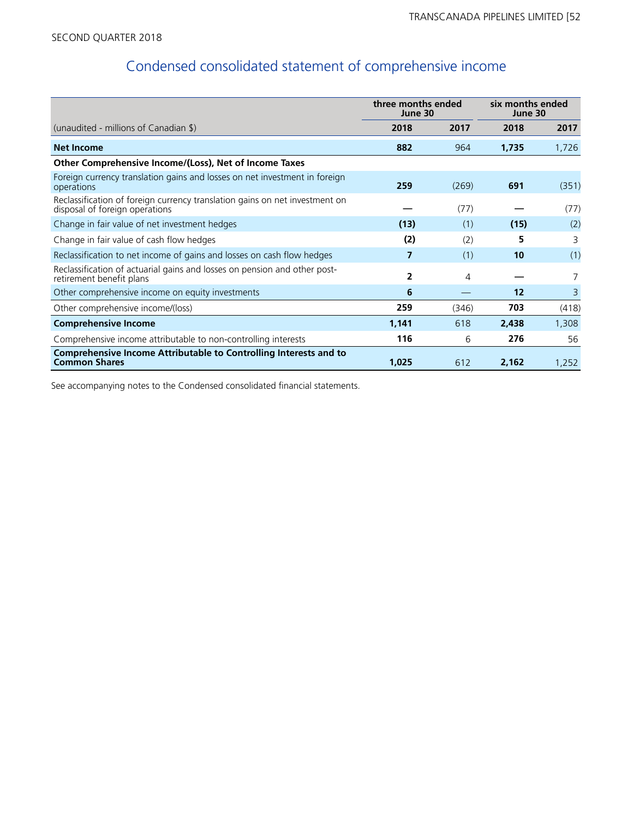# Condensed consolidated statement of comprehensive income

|                                                                                                               | three months ended<br>June 30 |       | six months ended<br>June 30 |       |
|---------------------------------------------------------------------------------------------------------------|-------------------------------|-------|-----------------------------|-------|
| (unaudited - millions of Canadian \$)                                                                         | 2018                          | 2017  | 2018                        | 2017  |
| <b>Net Income</b>                                                                                             | 882                           | 964   | 1,735                       | 1,726 |
| Other Comprehensive Income/(Loss), Net of Income Taxes                                                        |                               |       |                             |       |
| Foreign currency translation gains and losses on net investment in foreign<br>operations                      | 259                           | (269) | 691                         | (351) |
| Reclassification of foreign currency translation gains on net investment on<br>disposal of foreign operations |                               | (77)  |                             | (77)  |
| Change in fair value of net investment hedges                                                                 | (13)                          | (1)   | (15)                        | (2)   |
| Change in fair value of cash flow hedges                                                                      | (2)                           | (2)   | 5                           | 3     |
| Reclassification to net income of gains and losses on cash flow hedges                                        | 7                             | (1)   | 10                          | (1)   |
| Reclassification of actuarial gains and losses on pension and other post-<br>retirement benefit plans         | 2                             | 4     |                             |       |
| Other comprehensive income on equity investments                                                              | 6                             |       | 12                          | 3     |
| Other comprehensive income/(loss)                                                                             | 259                           | (346) | 703                         | (418) |
| <b>Comprehensive Income</b>                                                                                   | 1,141                         | 618   | 2,438                       | 1,308 |
| Comprehensive income attributable to non-controlling interests                                                | 116                           | 6     | 276                         | 56    |
| <b>Comprehensive Income Attributable to Controlling Interests and to</b><br><b>Common Shares</b>              | 1,025                         | 612   | 2,162                       | 1,252 |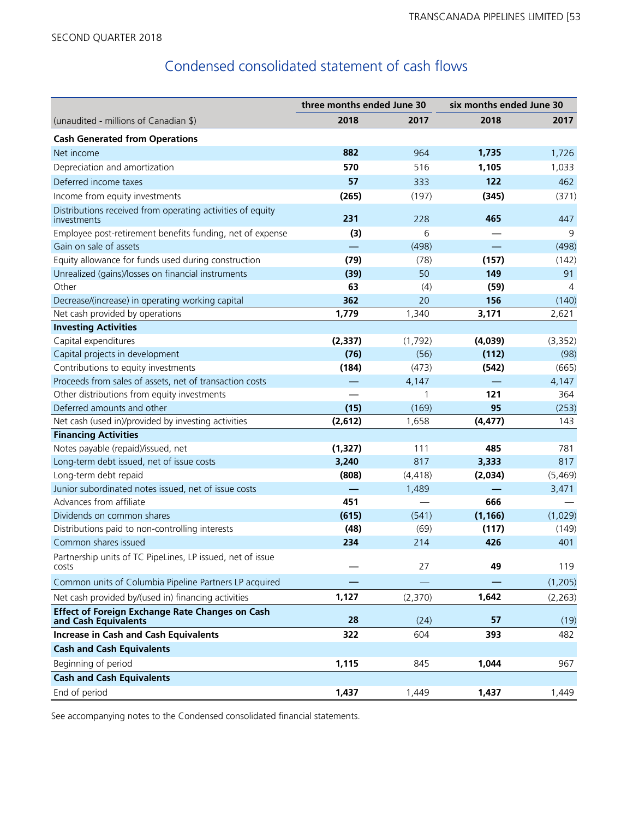# Condensed consolidated statement of cash flows

|                                                                                | three months ended June 30 |          | six months ended June 30 |          |  |
|--------------------------------------------------------------------------------|----------------------------|----------|--------------------------|----------|--|
| (unaudited - millions of Canadian \$)                                          | 2018                       | 2017     | 2018                     | 2017     |  |
| <b>Cash Generated from Operations</b>                                          |                            |          |                          |          |  |
| Net income                                                                     | 882                        | 964      | 1,735                    | 1,726    |  |
| Depreciation and amortization                                                  | 570                        | 516      | 1,105                    | 1,033    |  |
| Deferred income taxes                                                          | 57                         | 333      | 122                      | 462      |  |
| Income from equity investments                                                 | (265)                      | (197)    | (345)                    | (371)    |  |
| Distributions received from operating activities of equity<br>investments      | 231                        | 228      | 465                      | 447      |  |
| Employee post-retirement benefits funding, net of expense                      | (3)                        | 6        |                          | 9        |  |
| Gain on sale of assets                                                         |                            | (498)    |                          | (498)    |  |
| Equity allowance for funds used during construction                            | (79)                       | (78)     | (157)                    | (142)    |  |
| Unrealized (gains)/losses on financial instruments                             | (39)                       | 50       | 149                      | 91       |  |
| Other                                                                          | 63                         | (4)      | (59)                     | 4        |  |
| Decrease/(increase) in operating working capital                               | 362                        | 20       | 156                      | (140)    |  |
| Net cash provided by operations                                                | 1,779                      | 1,340    | 3,171                    | 2,621    |  |
| <b>Investing Activities</b>                                                    |                            |          |                          |          |  |
| Capital expenditures                                                           | (2, 337)                   | (1, 792) | (4,039)                  | (3, 352) |  |
| Capital projects in development                                                | (76)                       | (56)     | (112)                    | (98)     |  |
| Contributions to equity investments                                            | (184)                      | (473)    | (542)                    | (665)    |  |
| Proceeds from sales of assets, net of transaction costs                        |                            | 4,147    |                          | 4,147    |  |
| Other distributions from equity investments                                    |                            | 1        | 121                      | 364      |  |
| Deferred amounts and other                                                     | (15)                       | (169)    | 95                       | (253)    |  |
| Net cash (used in)/provided by investing activities                            | (2,612)                    | 1,658    | (4, 477)                 | 143      |  |
| <b>Financing Activities</b>                                                    |                            |          |                          |          |  |
| Notes payable (repaid)/issued, net                                             | (1, 327)                   | 111      | 485                      | 781      |  |
| Long-term debt issued, net of issue costs                                      | 3,240                      | 817      | 3,333                    | 817      |  |
| Long-term debt repaid                                                          | (808)                      | (4, 418) | (2,034)                  | (5,469)  |  |
| Junior subordinated notes issued, net of issue costs                           |                            | 1,489    |                          | 3,471    |  |
| Advances from affiliate                                                        | 451                        |          | 666                      |          |  |
| Dividends on common shares                                                     | (615)                      | (541)    | (1, 166)                 | (1,029)  |  |
| Distributions paid to non-controlling interests                                | (48)                       | (69)     | (117)                    | (149)    |  |
| Common shares issued                                                           | 234                        | 214      | 426                      | 401      |  |
| Partnership units of TC PipeLines, LP issued, net of issue<br>costs            |                            | 27       | 49                       | 119      |  |
| Common units of Columbia Pipeline Partners LP acquired                         |                            |          |                          | (1, 205) |  |
| Net cash provided by/(used in) financing activities                            | 1,127                      | (2,370)  | 1,642                    | (2, 263) |  |
| <b>Effect of Foreign Exchange Rate Changes on Cash</b><br>and Cash Equivalents | 28                         | (24)     | 57                       | (19)     |  |
| <b>Increase in Cash and Cash Equivalents</b>                                   | 322                        | 604      | 393                      | 482      |  |
| <b>Cash and Cash Equivalents</b>                                               |                            |          |                          |          |  |
| Beginning of period                                                            | 1,115                      | 845      | 1,044                    | 967      |  |
| <b>Cash and Cash Equivalents</b>                                               |                            |          |                          |          |  |
| End of period                                                                  | 1,437                      | 1,449    | 1,437                    | 1,449    |  |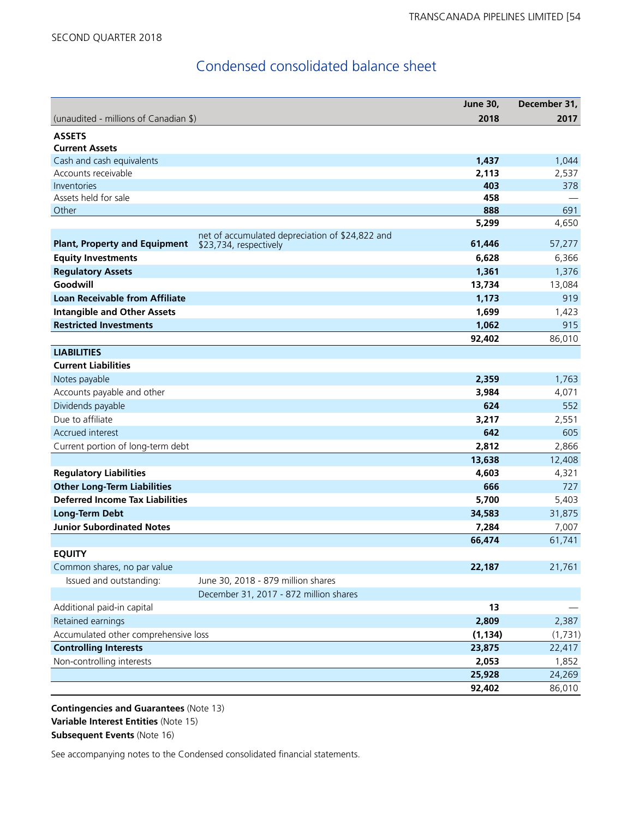# Condensed consolidated balance sheet

|                                                      |                                                 | <b>June 30,</b> | December 31, |
|------------------------------------------------------|-------------------------------------------------|-----------------|--------------|
| (unaudited - millions of Canadian \$)                |                                                 | 2018            | 2017         |
| <b>ASSETS</b>                                        |                                                 |                 |              |
| <b>Current Assets</b>                                |                                                 |                 |              |
| Cash and cash equivalents                            |                                                 | 1,437           | 1,044        |
| Accounts receivable                                  |                                                 | 2,113           | 2,537        |
| Inventories                                          |                                                 | 403             | 378          |
| Assets held for sale                                 |                                                 | 458             |              |
| Other                                                |                                                 | 888             | 691          |
|                                                      |                                                 | 5,299           | 4,650        |
| Plant, Property and Equipment \$23,734, respectively | net of accumulated depreciation of \$24,822 and | 61,446          | 57,277       |
| <b>Equity Investments</b>                            |                                                 | 6,628           | 6,366        |
| <b>Regulatory Assets</b>                             |                                                 | 1,361           | 1,376        |
| Goodwill                                             |                                                 | 13,734          | 13,084       |
| <b>Loan Receivable from Affiliate</b>                |                                                 | 1,173           | 919          |
| <b>Intangible and Other Assets</b>                   |                                                 | 1,699           | 1,423        |
| <b>Restricted Investments</b>                        |                                                 | 1,062           | 915          |
|                                                      |                                                 | 92,402          | 86,010       |
| <b>LIABILITIES</b>                                   |                                                 |                 |              |
| <b>Current Liabilities</b>                           |                                                 |                 |              |
| Notes payable                                        |                                                 | 2,359           | 1,763        |
| Accounts payable and other                           |                                                 | 3,984           | 4,071        |
| Dividends payable                                    |                                                 | 624             | 552          |
| Due to affiliate                                     |                                                 | 3,217           | 2,551        |
| Accrued interest                                     |                                                 | 642             | 605          |
| Current portion of long-term debt                    |                                                 | 2,812           | 2,866        |
|                                                      |                                                 | 13,638          | 12,408       |
| <b>Regulatory Liabilities</b>                        |                                                 | 4,603           | 4,321        |
| <b>Other Long-Term Liabilities</b>                   |                                                 | 666             | 727          |
| <b>Deferred Income Tax Liabilities</b>               |                                                 | 5,700           | 5,403        |
| <b>Long-Term Debt</b>                                |                                                 | 34,583          | 31,875       |
| <b>Junior Subordinated Notes</b>                     |                                                 | 7,284           | 7,007        |
|                                                      |                                                 | 66,474          | 61,741       |
| <b>EQUITY</b>                                        |                                                 |                 |              |
| Common shares, no par value                          |                                                 | 22,187          | 21,761       |
| Issued and outstanding:                              | June 30, 2018 - 879 million shares              |                 |              |
|                                                      | December 31, 2017 - 872 million shares          |                 |              |
| Additional paid-in capital                           |                                                 | 13              |              |
| Retained earnings                                    |                                                 | 2,809           | 2,387        |
| Accumulated other comprehensive loss                 |                                                 | (1, 134)        | (1,731)      |
| <b>Controlling Interests</b>                         |                                                 | 23,875          | 22,417       |
| Non-controlling interests                            |                                                 | 2,053           | 1,852        |
|                                                      |                                                 | 25,928          | 24,269       |
|                                                      |                                                 | 92,402          | 86,010       |

**Contingencies and Guarantees** (Note 13) **Variable Interest Entities** (Note 15) **Subsequent Events** (Note 16)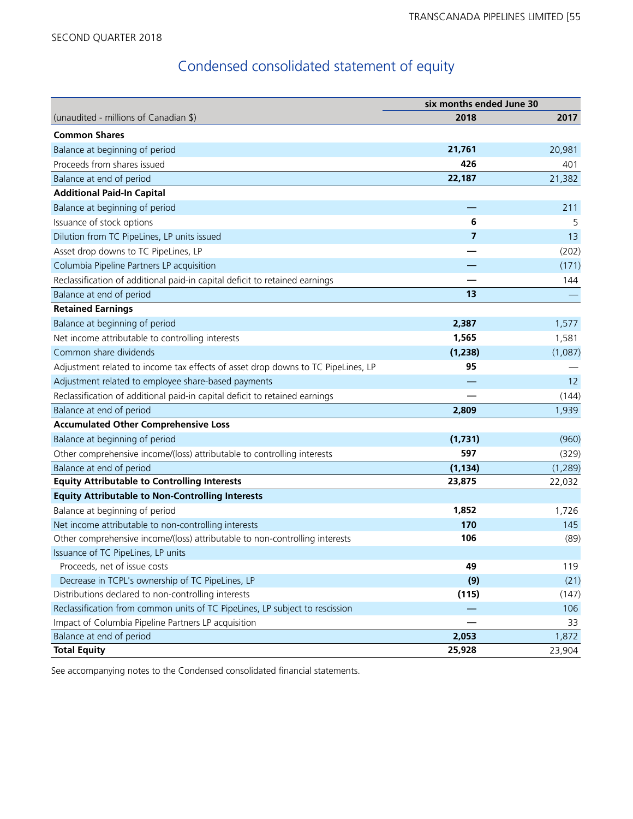# Condensed consolidated statement of equity

|                                                                                  | six months ended June 30 |          |
|----------------------------------------------------------------------------------|--------------------------|----------|
| (unaudited - millions of Canadian \$)                                            | 2018                     | 2017     |
| <b>Common Shares</b>                                                             |                          |          |
| Balance at beginning of period                                                   | 21,761                   | 20,981   |
| Proceeds from shares issued                                                      | 426                      | 401      |
| Balance at end of period                                                         | 22,187                   | 21,382   |
| <b>Additional Paid-In Capital</b>                                                |                          |          |
| Balance at beginning of period                                                   |                          | 211      |
| Issuance of stock options                                                        | 6                        | 5        |
| Dilution from TC PipeLines, LP units issued                                      | $\overline{\mathbf{z}}$  | 13       |
| Asset drop downs to TC PipeLines, LP                                             |                          | (202)    |
| Columbia Pipeline Partners LP acquisition                                        |                          | (171)    |
| Reclassification of additional paid-in capital deficit to retained earnings      |                          | 144      |
| Balance at end of period                                                         | 13                       |          |
| <b>Retained Earnings</b>                                                         |                          |          |
| Balance at beginning of period                                                   | 2,387                    | 1,577    |
| Net income attributable to controlling interests                                 | 1,565                    | 1,581    |
| Common share dividends                                                           | (1, 238)                 | (1,087)  |
| Adjustment related to income tax effects of asset drop downs to TC PipeLines, LP | 95                       |          |
| Adjustment related to employee share-based payments                              |                          | 12       |
| Reclassification of additional paid-in capital deficit to retained earnings      |                          | (144)    |
| Balance at end of period                                                         | 2,809                    | 1,939    |
| <b>Accumulated Other Comprehensive Loss</b>                                      |                          |          |
| Balance at beginning of period                                                   | (1,731)                  | (960)    |
| Other comprehensive income/(loss) attributable to controlling interests          | 597                      | (329)    |
| Balance at end of period                                                         | (1, 134)                 | (1, 289) |
| <b>Equity Attributable to Controlling Interests</b>                              | 23,875                   | 22,032   |
| <b>Equity Attributable to Non-Controlling Interests</b>                          |                          |          |
| Balance at beginning of period                                                   | 1,852                    | 1,726    |
| Net income attributable to non-controlling interests                             | 170                      | 145      |
| Other comprehensive income/(loss) attributable to non-controlling interests      | 106                      | (89)     |
| Issuance of TC PipeLines, LP units                                               |                          |          |
| Proceeds, net of issue costs                                                     | 49                       | 119      |
| Decrease in TCPL's ownership of TC PipeLines, LP                                 | (9)                      | (21)     |
| Distributions declared to non-controlling interests                              | (115)                    | (147)    |
| Reclassification from common units of TC PipeLines, LP subject to rescission     |                          | 106      |
| Impact of Columbia Pipeline Partners LP acquisition                              |                          | 33       |
| Balance at end of period                                                         | 2,053                    | 1,872    |
| <b>Total Equity</b>                                                              | 25,928                   | 23,904   |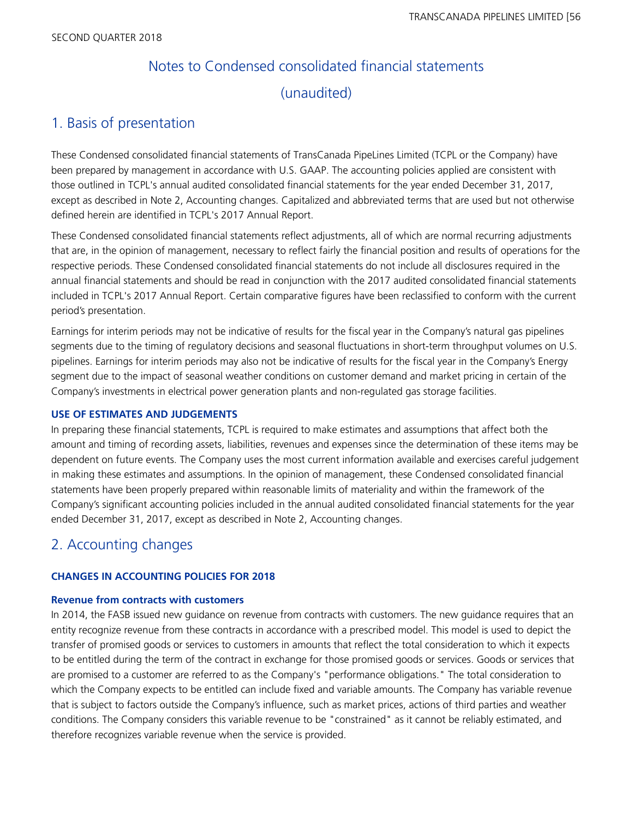# Notes to Condensed consolidated financial statements (unaudited)

## 1. Basis of presentation

These Condensed consolidated financial statements of TransCanada PipeLines Limited (TCPL or the Company) have been prepared by management in accordance with U.S. GAAP. The accounting policies applied are consistent with those outlined in TCPL's annual audited consolidated financial statements for the year ended December 31, 2017, except as described in Note 2, Accounting changes. Capitalized and abbreviated terms that are used but not otherwise defined herein are identified in TCPL's 2017 Annual Report.

These Condensed consolidated financial statements reflect adjustments, all of which are normal recurring adjustments that are, in the opinion of management, necessary to reflect fairly the financial position and results of operations for the respective periods. These Condensed consolidated financial statements do not include all disclosures required in the annual financial statements and should be read in conjunction with the 2017 audited consolidated financial statements included in TCPL's 2017 Annual Report. Certain comparative figures have been reclassified to conform with the current period's presentation.

Earnings for interim periods may not be indicative of results for the fiscal year in the Company's natural gas pipelines segments due to the timing of regulatory decisions and seasonal fluctuations in short-term throughput volumes on U.S. pipelines. Earnings for interim periods may also not be indicative of results for the fiscal year in the Company's Energy segment due to the impact of seasonal weather conditions on customer demand and market pricing in certain of the Company's investments in electrical power generation plants and non-regulated gas storage facilities.

### **USE OF ESTIMATES AND JUDGEMENTS**

In preparing these financial statements, TCPL is required to make estimates and assumptions that affect both the amount and timing of recording assets, liabilities, revenues and expenses since the determination of these items may be dependent on future events. The Company uses the most current information available and exercises careful judgement in making these estimates and assumptions. In the opinion of management, these Condensed consolidated financial statements have been properly prepared within reasonable limits of materiality and within the framework of the Company's significant accounting policies included in the annual audited consolidated financial statements for the year ended December 31, 2017, except as described in Note 2, Accounting changes.

# 2. Accounting changes

### **CHANGES IN ACCOUNTING POLICIES FOR 2018**

### **Revenue from contracts with customers**

In 2014, the FASB issued new guidance on revenue from contracts with customers. The new guidance requires that an entity recognize revenue from these contracts in accordance with a prescribed model. This model is used to depict the transfer of promised goods or services to customers in amounts that reflect the total consideration to which it expects to be entitled during the term of the contract in exchange for those promised goods or services. Goods or services that are promised to a customer are referred to as the Company's "performance obligations." The total consideration to which the Company expects to be entitled can include fixed and variable amounts. The Company has variable revenue that is subject to factors outside the Company's influence, such as market prices, actions of third parties and weather conditions. The Company considers this variable revenue to be "constrained" as it cannot be reliably estimated, and therefore recognizes variable revenue when the service is provided.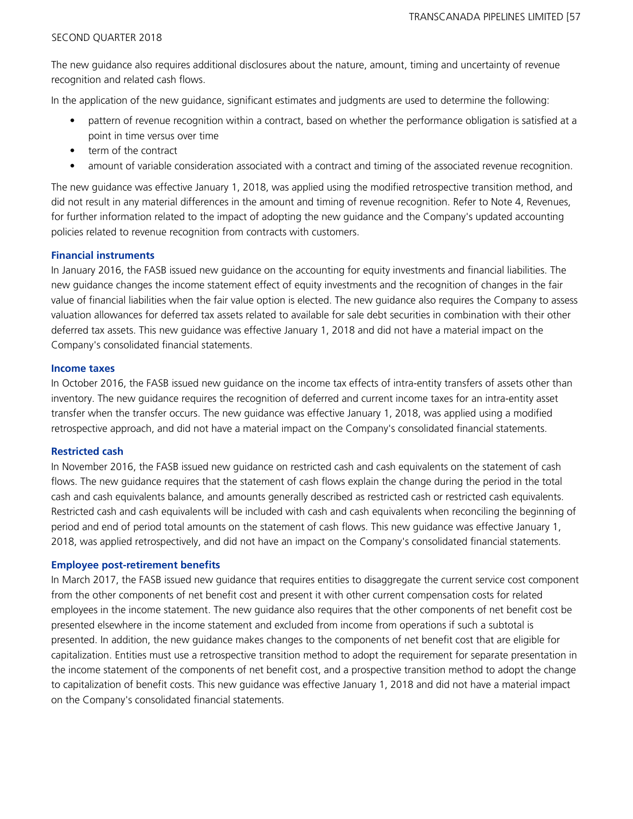The new guidance also requires additional disclosures about the nature, amount, timing and uncertainty of revenue recognition and related cash flows.

In the application of the new guidance, significant estimates and judgments are used to determine the following:

- pattern of revenue recognition within a contract, based on whether the performance obligation is satisfied at a point in time versus over time
- term of the contract
- amount of variable consideration associated with a contract and timing of the associated revenue recognition.

The new guidance was effective January 1, 2018, was applied using the modified retrospective transition method, and did not result in any material differences in the amount and timing of revenue recognition. Refer to Note 4, Revenues, for further information related to the impact of adopting the new guidance and the Company's updated accounting policies related to revenue recognition from contracts with customers.

#### **Financial instruments**

In January 2016, the FASB issued new guidance on the accounting for equity investments and financial liabilities. The new guidance changes the income statement effect of equity investments and the recognition of changes in the fair value of financial liabilities when the fair value option is elected. The new guidance also requires the Company to assess valuation allowances for deferred tax assets related to available for sale debt securities in combination with their other deferred tax assets. This new guidance was effective January 1, 2018 and did not have a material impact on the Company's consolidated financial statements.

#### **Income taxes**

In October 2016, the FASB issued new guidance on the income tax effects of intra-entity transfers of assets other than inventory. The new guidance requires the recognition of deferred and current income taxes for an intra-entity asset transfer when the transfer occurs. The new guidance was effective January 1, 2018, was applied using a modified retrospective approach, and did not have a material impact on the Company's consolidated financial statements.

#### **Restricted cash**

In November 2016, the FASB issued new guidance on restricted cash and cash equivalents on the statement of cash flows. The new guidance requires that the statement of cash flows explain the change during the period in the total cash and cash equivalents balance, and amounts generally described as restricted cash or restricted cash equivalents. Restricted cash and cash equivalents will be included with cash and cash equivalents when reconciling the beginning of period and end of period total amounts on the statement of cash flows. This new guidance was effective January 1, 2018, was applied retrospectively, and did not have an impact on the Company's consolidated financial statements.

#### **Employee post-retirement benefits**

In March 2017, the FASB issued new guidance that requires entities to disaggregate the current service cost component from the other components of net benefit cost and present it with other current compensation costs for related employees in the income statement. The new guidance also requires that the other components of net benefit cost be presented elsewhere in the income statement and excluded from income from operations if such a subtotal is presented. In addition, the new guidance makes changes to the components of net benefit cost that are eligible for capitalization. Entities must use a retrospective transition method to adopt the requirement for separate presentation in the income statement of the components of net benefit cost, and a prospective transition method to adopt the change to capitalization of benefit costs. This new guidance was effective January 1, 2018 and did not have a material impact on the Company's consolidated financial statements.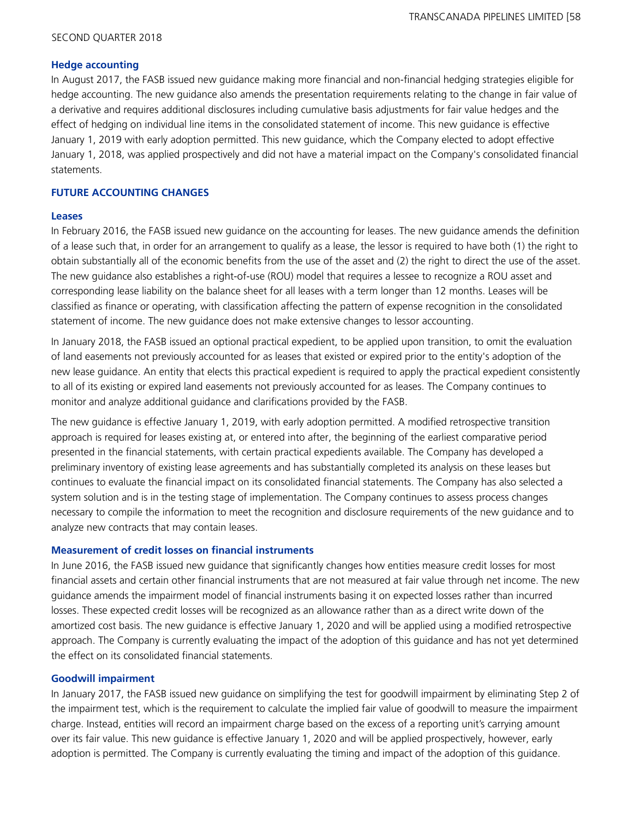#### **Hedge accounting**

In August 2017, the FASB issued new guidance making more financial and non-financial hedging strategies eligible for hedge accounting. The new guidance also amends the presentation requirements relating to the change in fair value of a derivative and requires additional disclosures including cumulative basis adjustments for fair value hedges and the effect of hedging on individual line items in the consolidated statement of income. This new guidance is effective January 1, 2019 with early adoption permitted. This new guidance, which the Company elected to adopt effective January 1, 2018, was applied prospectively and did not have a material impact on the Company's consolidated financial statements.

#### **FUTURE ACCOUNTING CHANGES**

#### **Leases**

In February 2016, the FASB issued new guidance on the accounting for leases. The new guidance amends the definition of a lease such that, in order for an arrangement to qualify as a lease, the lessor is required to have both (1) the right to obtain substantially all of the economic benefits from the use of the asset and (2) the right to direct the use of the asset. The new guidance also establishes a right-of-use (ROU) model that requires a lessee to recognize a ROU asset and corresponding lease liability on the balance sheet for all leases with a term longer than 12 months. Leases will be classified as finance or operating, with classification affecting the pattern of expense recognition in the consolidated statement of income. The new guidance does not make extensive changes to lessor accounting.

In January 2018, the FASB issued an optional practical expedient, to be applied upon transition, to omit the evaluation of land easements not previously accounted for as leases that existed or expired prior to the entity's adoption of the new lease guidance. An entity that elects this practical expedient is required to apply the practical expedient consistently to all of its existing or expired land easements not previously accounted for as leases. The Company continues to monitor and analyze additional guidance and clarifications provided by the FASB.

The new guidance is effective January 1, 2019, with early adoption permitted. A modified retrospective transition approach is required for leases existing at, or entered into after, the beginning of the earliest comparative period presented in the financial statements, with certain practical expedients available. The Company has developed a preliminary inventory of existing lease agreements and has substantially completed its analysis on these leases but continues to evaluate the financial impact on its consolidated financial statements. The Company has also selected a system solution and is in the testing stage of implementation. The Company continues to assess process changes necessary to compile the information to meet the recognition and disclosure requirements of the new guidance and to analyze new contracts that may contain leases.

#### **Measurement of credit losses on financial instruments**

In June 2016, the FASB issued new guidance that significantly changes how entities measure credit losses for most financial assets and certain other financial instruments that are not measured at fair value through net income. The new guidance amends the impairment model of financial instruments basing it on expected losses rather than incurred losses. These expected credit losses will be recognized as an allowance rather than as a direct write down of the amortized cost basis. The new guidance is effective January 1, 2020 and will be applied using a modified retrospective approach. The Company is currently evaluating the impact of the adoption of this guidance and has not yet determined the effect on its consolidated financial statements.

#### **Goodwill impairment**

In January 2017, the FASB issued new guidance on simplifying the test for goodwill impairment by eliminating Step 2 of the impairment test, which is the requirement to calculate the implied fair value of goodwill to measure the impairment charge. Instead, entities will record an impairment charge based on the excess of a reporting unit's carrying amount over its fair value. This new guidance is effective January 1, 2020 and will be applied prospectively, however, early adoption is permitted. The Company is currently evaluating the timing and impact of the adoption of this guidance.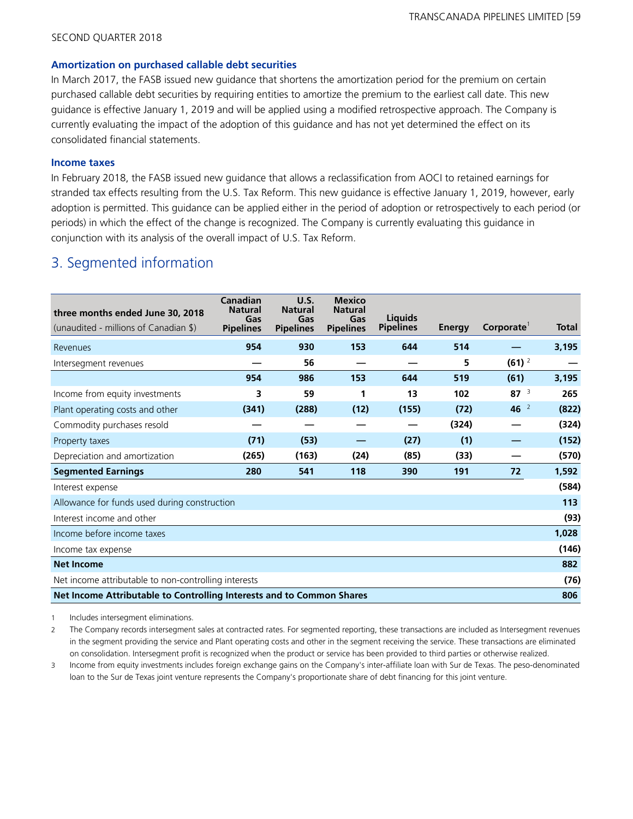#### **Amortization on purchased callable debt securities**

In March 2017, the FASB issued new guidance that shortens the amortization period for the premium on certain purchased callable debt securities by requiring entities to amortize the premium to the earliest call date. This new guidance is effective January 1, 2019 and will be applied using a modified retrospective approach. The Company is currently evaluating the impact of the adoption of this guidance and has not yet determined the effect on its consolidated financial statements.

#### **Income taxes**

In February 2018, the FASB issued new guidance that allows a reclassification from AOCI to retained earnings for stranded tax effects resulting from the U.S. Tax Reform. This new guidance is effective January 1, 2019, however, early adoption is permitted. This guidance can be applied either in the period of adoption or retrospectively to each period (or periods) in which the effect of the change is recognized. The Company is currently evaluating this guidance in conjunction with its analysis of the overall impact of U.S. Tax Reform.

# 3. Segmented information

| three months ended June 30, 2018<br>(unaudited - millions of Canadian \$) | <b>Canadian</b><br><b>Natural</b><br>Gas<br><b>Pipelines</b> | <b>U.S.</b><br><b>Natural</b><br>Gas<br><b>Pipelines</b> | <b>Mexico</b><br><b>Natural</b><br>Gas<br><b>Pipelines</b> | Liquids<br><b>Pipelines</b> | <b>Energy</b> | Corporate | <b>Total</b> |
|---------------------------------------------------------------------------|--------------------------------------------------------------|----------------------------------------------------------|------------------------------------------------------------|-----------------------------|---------------|-----------|--------------|
|                                                                           |                                                              |                                                          |                                                            |                             |               |           |              |
| Revenues                                                                  | 954                                                          | 930                                                      | 153                                                        | 644                         | 514           |           | 3,195        |
| Intersegment revenues                                                     |                                                              | 56                                                       |                                                            |                             | 5             | $(61)^2$  |              |
|                                                                           | 954                                                          | 986                                                      | 153                                                        | 644                         | 519           | (61)      | 3,195        |
| Income from equity investments                                            | 3                                                            | 59                                                       | 1                                                          | 13                          | 102           | 87 $3$    | 265          |
| Plant operating costs and other                                           | (341)                                                        | (288)                                                    | (12)                                                       | (155)                       | (72)          | $46^{2}$  | (822)        |
| Commodity purchases resold                                                |                                                              |                                                          |                                                            |                             | (324)         |           | (324)        |
| Property taxes                                                            | (71)                                                         | (53)                                                     |                                                            | (27)                        | (1)           |           | (152)        |
| Depreciation and amortization                                             | (265)                                                        | (163)                                                    | (24)                                                       | (85)                        | (33)          |           | (570)        |
| <b>Segmented Earnings</b>                                                 | 280                                                          | 541                                                      | 118                                                        | 390                         | 191           | 72        | 1,592        |
| Interest expense                                                          |                                                              |                                                          |                                                            |                             |               |           | (584)        |
| Allowance for funds used during construction                              |                                                              |                                                          |                                                            |                             |               |           | 113          |
| Interest income and other                                                 |                                                              |                                                          |                                                            |                             |               |           | (93)         |
| Income before income taxes                                                |                                                              |                                                          |                                                            |                             |               |           | 1,028        |
| Income tax expense                                                        |                                                              |                                                          |                                                            |                             |               |           | (146)        |
| <b>Net Income</b>                                                         |                                                              |                                                          |                                                            |                             |               |           | 882          |
| Net income attributable to non-controlling interests                      |                                                              |                                                          |                                                            |                             |               |           | (76)         |
| Net Income Attributable to Controlling Interests and to Common Shares     |                                                              |                                                          |                                                            |                             |               |           | 806          |

1 Includes intersegment eliminations.

2 The Company records intersegment sales at contracted rates. For segmented reporting, these transactions are included as Intersegment revenues in the segment providing the service and Plant operating costs and other in the segment receiving the service. These transactions are eliminated on consolidation. Intersegment profit is recognized when the product or service has been provided to third parties or otherwise realized.

3 Income from equity investments includes foreign exchange gains on the Company's inter-affiliate loan with Sur de Texas. The peso-denominated loan to the Sur de Texas joint venture represents the Company's proportionate share of debt financing for this joint venture.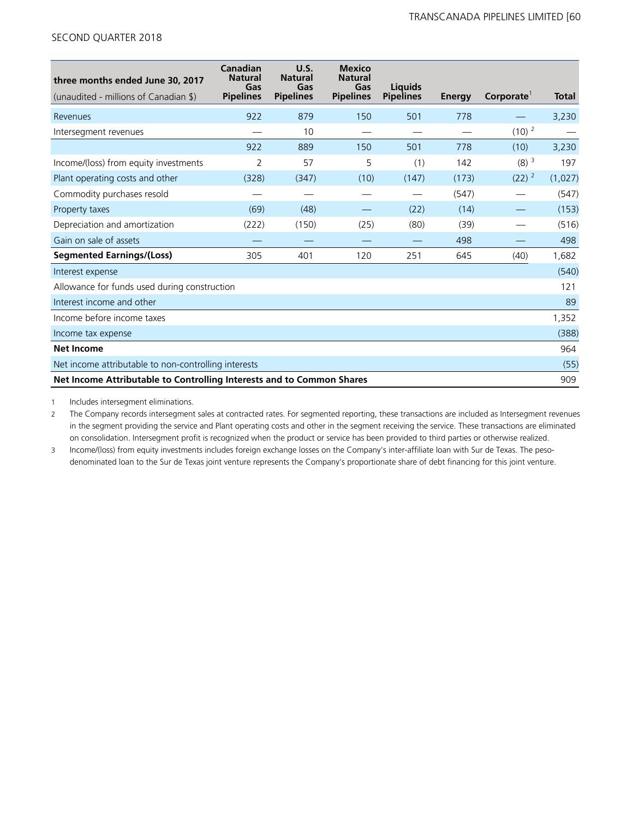| three months ended June 30, 2017                                      | Canadian<br><b>Natural</b><br>Gas | U.S.<br><b>Natural</b><br>Gas | <b>Mexico</b><br><b>Natural</b><br>Gas | <b>Liquids</b>   |        |                        |              |
|-----------------------------------------------------------------------|-----------------------------------|-------------------------------|----------------------------------------|------------------|--------|------------------------|--------------|
| (unaudited - millions of Canadian \$)                                 | <b>Pipelines</b>                  | <b>Pipelines</b>              | <b>Pipelines</b>                       | <b>Pipelines</b> | Energy | Corporate <sup>1</sup> | <b>Total</b> |
| Revenues                                                              | 922                               | 879                           | 150                                    | 501              | 778    |                        | 3,230        |
| Intersegment revenues                                                 |                                   | 10                            |                                        |                  |        | $(10)^2$               |              |
|                                                                       | 922                               | 889                           | 150                                    | 501              | 778    | (10)                   | 3,230        |
| Income/(loss) from equity investments                                 | 2                                 | 57                            | 5                                      | (1)              | 142    | $(8)^3$                | 197          |
| Plant operating costs and other                                       | (328)                             | (347)                         | (10)                                   | (147)            | (173)  | $(22)^2$               | (1,027)      |
| Commodity purchases resold                                            |                                   |                               |                                        |                  | (547)  | —                      | (547)        |
| Property taxes                                                        | (69)                              | (48)                          |                                        | (22)             | (14)   |                        | (153)        |
| Depreciation and amortization                                         | (222)                             | (150)                         | (25)                                   | (80)             | (39)   |                        | (516)        |
| Gain on sale of assets                                                |                                   |                               |                                        |                  | 498    |                        | 498          |
| <b>Segmented Earnings/(Loss)</b>                                      | 305                               | 401                           | 120                                    | 251              | 645    | (40)                   | 1,682        |
| Interest expense                                                      |                                   |                               |                                        |                  |        |                        | (540)        |
| Allowance for funds used during construction                          |                                   |                               |                                        |                  |        |                        | 121          |
| Interest income and other                                             |                                   |                               |                                        |                  |        |                        | 89           |
| Income before income taxes                                            |                                   |                               |                                        |                  |        |                        | 1,352        |
| Income tax expense                                                    |                                   |                               |                                        |                  |        |                        | (388)        |
| <b>Net Income</b>                                                     |                                   |                               |                                        |                  |        |                        | 964          |
| Net income attributable to non-controlling interests                  |                                   |                               |                                        |                  |        |                        | (55)         |
| Net Income Attributable to Controlling Interests and to Common Shares |                                   |                               |                                        |                  |        |                        | 909          |

1 Includes intersegment eliminations.

2 The Company records intersegment sales at contracted rates. For segmented reporting, these transactions are included as Intersegment revenues in the segment providing the service and Plant operating costs and other in the segment receiving the service. These transactions are eliminated on consolidation. Intersegment profit is recognized when the product or service has been provided to third parties or otherwise realized.

3 Income/(loss) from equity investments includes foreign exchange losses on the Company's inter-affiliate loan with Sur de Texas. The pesodenominated loan to the Sur de Texas joint venture represents the Company's proportionate share of debt financing for this joint venture.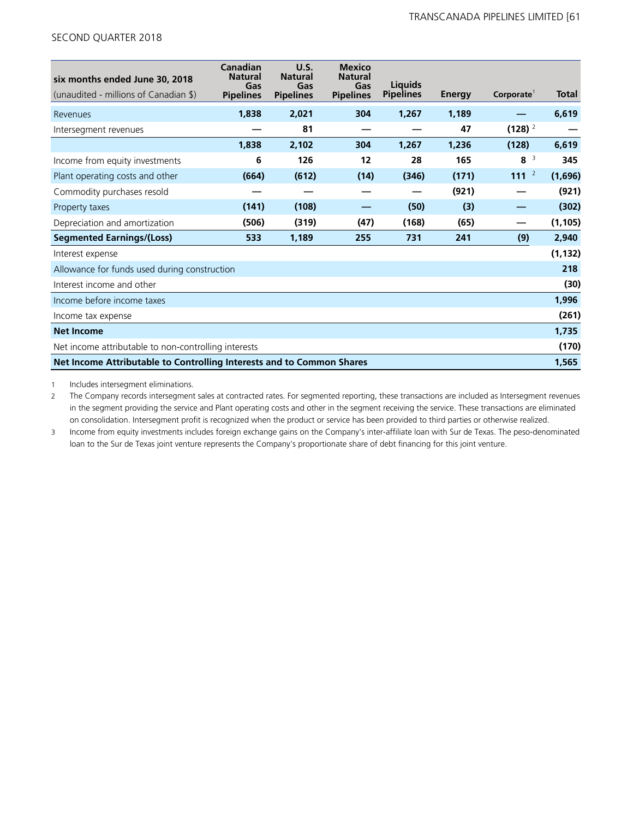| six months ended June 30, 2018<br>(unaudited - millions of Canadian \$) | Canadian<br><b>Natural</b><br>Gas<br><b>Pipelines</b> | U.S.<br><b>Natural</b><br>Gas<br><b>Pipelines</b> | <b>Mexico</b><br><b>Natural</b><br>Gas<br><b>Pipelines</b> | <b>Liquids</b><br><b>Pipelines</b> | Energy | Corporate <sup>1</sup> | <b>Total</b> |
|-------------------------------------------------------------------------|-------------------------------------------------------|---------------------------------------------------|------------------------------------------------------------|------------------------------------|--------|------------------------|--------------|
| Revenues                                                                | 1,838                                                 | 2,021                                             | 304                                                        | 1,267                              | 1,189  |                        | 6,619        |
| Intersegment revenues                                                   |                                                       | 81                                                |                                                            |                                    | 47     | $(128)^2$              |              |
|                                                                         | 1,838                                                 | 2,102                                             | 304                                                        | 1,267                              | 1,236  | (128)                  | 6,619        |
| Income from equity investments                                          | 6                                                     | 126                                               | 12                                                         | 28                                 | 165    | $8^{3}$                | 345          |
| Plant operating costs and other                                         | (664)                                                 | (612)                                             | (14)                                                       | (346)                              | (171)  | 111 $^2$               | (1,696)      |
| Commodity purchases resold                                              |                                                       |                                                   |                                                            |                                    | (921)  |                        | (921)        |
| Property taxes                                                          | (141)                                                 | (108)                                             |                                                            | (50)                               | (3)    |                        | (302)        |
| Depreciation and amortization                                           | (506)                                                 | (319)                                             | (47)                                                       | (168)                              | (65)   |                        | (1, 105)     |
| <b>Segmented Earnings/(Loss)</b>                                        | 533                                                   | 1,189                                             | 255                                                        | 731                                | 241    | (9)                    | 2,940        |
| Interest expense                                                        |                                                       |                                                   |                                                            |                                    |        |                        | (1, 132)     |
| Allowance for funds used during construction                            |                                                       |                                                   |                                                            |                                    |        |                        | 218          |
| Interest income and other                                               |                                                       |                                                   |                                                            |                                    |        |                        | (30)         |
| Income before income taxes                                              |                                                       |                                                   |                                                            |                                    |        |                        | 1,996        |
| Income tax expense                                                      |                                                       |                                                   |                                                            |                                    |        |                        | (261)        |
| <b>Net Income</b>                                                       |                                                       |                                                   |                                                            |                                    |        |                        | 1,735        |
| Net income attributable to non-controlling interests                    |                                                       |                                                   |                                                            |                                    |        |                        | (170)        |
| Net Income Attributable to Controlling Interests and to Common Shares   |                                                       |                                                   |                                                            |                                    |        |                        | 1,565        |

1 Includes intersegment eliminations.

2 The Company records intersegment sales at contracted rates. For segmented reporting, these transactions are included as Intersegment revenues in the segment providing the service and Plant operating costs and other in the segment receiving the service. These transactions are eliminated on consolidation. Intersegment profit is recognized when the product or service has been provided to third parties or otherwise realized.

3 Income from equity investments includes foreign exchange gains on the Company's inter-affiliate loan with Sur de Texas. The peso-denominated loan to the Sur de Texas joint venture represents the Company's proportionate share of debt financing for this joint venture.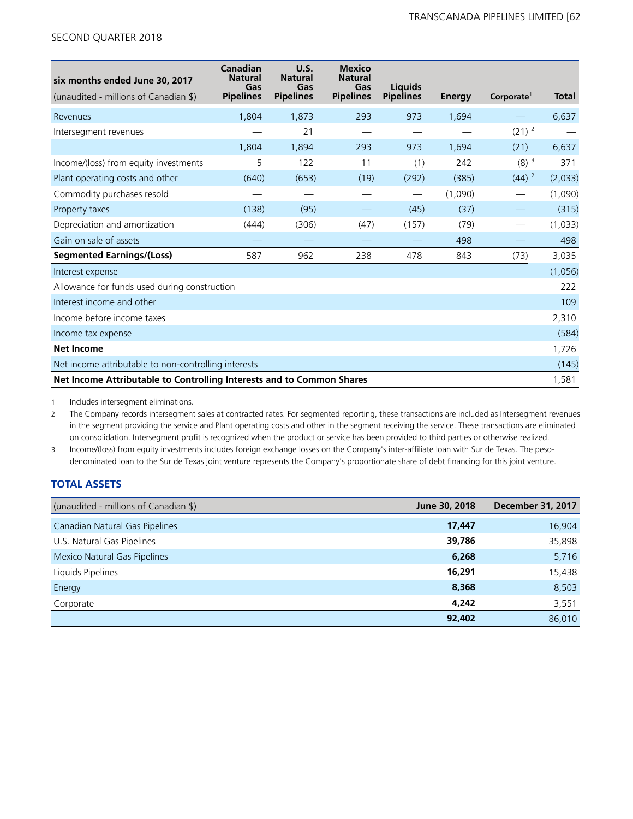| six months ended June 30, 2017                                        | Canadian<br><b>Natural</b><br>Gas | U.S.<br><b>Natural</b><br>Gas | <b>Mexico</b><br><b>Natural</b><br>Gas | <b>Liquids</b>    |         |                        |              |
|-----------------------------------------------------------------------|-----------------------------------|-------------------------------|----------------------------------------|-------------------|---------|------------------------|--------------|
| (unaudited - millions of Canadian \$)                                 | <b>Pipelines</b>                  | <b>Pipelines</b>              | <b>Pipelines</b>                       | <b>Pipelines</b>  | Energy  | Corporate <sup>1</sup> | <b>Total</b> |
| Revenues                                                              | 1,804                             | 1,873                         | 293                                    | 973               | 1,694   |                        | 6,637        |
| Intersegment revenues                                                 |                                   | 21                            |                                        |                   |         | $(21)$ <sup>2</sup>    |              |
|                                                                       | 1,804                             | 1,894                         | 293                                    | 973               | 1,694   | (21)                   | 6,637        |
| Income/(loss) from equity investments                                 | 5                                 | 122                           | 11                                     | (1)               | 242     | $(8)^3$                | 371          |
| Plant operating costs and other                                       | (640)                             | (653)                         | (19)                                   | (292)             | (385)   | $(44)^2$               | (2,033)      |
| Commodity purchases resold                                            |                                   |                               |                                        | $\hspace{0.05cm}$ | (1,090) |                        | (1,090)      |
| Property taxes                                                        | (138)                             | (95)                          |                                        | (45)              | (37)    |                        | (315)        |
| Depreciation and amortization                                         | (444)                             | (306)                         | (47)                                   | (157)             | (79)    |                        | (1,033)      |
| Gain on sale of assets                                                |                                   |                               |                                        |                   | 498     |                        | 498          |
| <b>Segmented Earnings/(Loss)</b>                                      | 587                               | 962                           | 238                                    | 478               | 843     | (73)                   | 3,035        |
| Interest expense                                                      |                                   |                               |                                        |                   |         |                        | (1,056)      |
| Allowance for funds used during construction                          |                                   |                               |                                        |                   |         |                        | 222          |
| Interest income and other                                             |                                   |                               |                                        |                   |         |                        | 109          |
| Income before income taxes                                            |                                   |                               |                                        |                   |         |                        | 2,310        |
| Income tax expense                                                    |                                   |                               |                                        |                   |         |                        | (584)        |
| <b>Net Income</b>                                                     |                                   |                               |                                        |                   |         |                        | 1,726        |
| Net income attributable to non-controlling interests                  |                                   |                               |                                        |                   |         |                        | (145)        |
| Net Income Attributable to Controlling Interests and to Common Shares |                                   |                               |                                        |                   |         |                        | 1,581        |

1 Includes intersegment eliminations.

2 The Company records intersegment sales at contracted rates. For segmented reporting, these transactions are included as Intersegment revenues in the segment providing the service and Plant operating costs and other in the segment receiving the service. These transactions are eliminated on consolidation. Intersegment profit is recognized when the product or service has been provided to third parties or otherwise realized.

3 Income/(loss) from equity investments includes foreign exchange losses on the Company's inter-affiliate loan with Sur de Texas. The pesodenominated loan to the Sur de Texas joint venture represents the Company's proportionate share of debt financing for this joint venture.

### **TOTAL ASSETS**

| (unaudited - millions of Canadian \$) | June 30, 2018 | <b>December 31, 2017</b> |
|---------------------------------------|---------------|--------------------------|
| Canadian Natural Gas Pipelines        | 17,447        | 16,904                   |
| U.S. Natural Gas Pipelines            | 39,786        | 35,898                   |
| Mexico Natural Gas Pipelines          | 6,268         | 5,716                    |
| Liquids Pipelines                     | 16,291        | 15,438                   |
| Energy                                | 8,368         | 8,503                    |
| Corporate                             | 4,242         | 3,551                    |
|                                       | 92,402        | 86,010                   |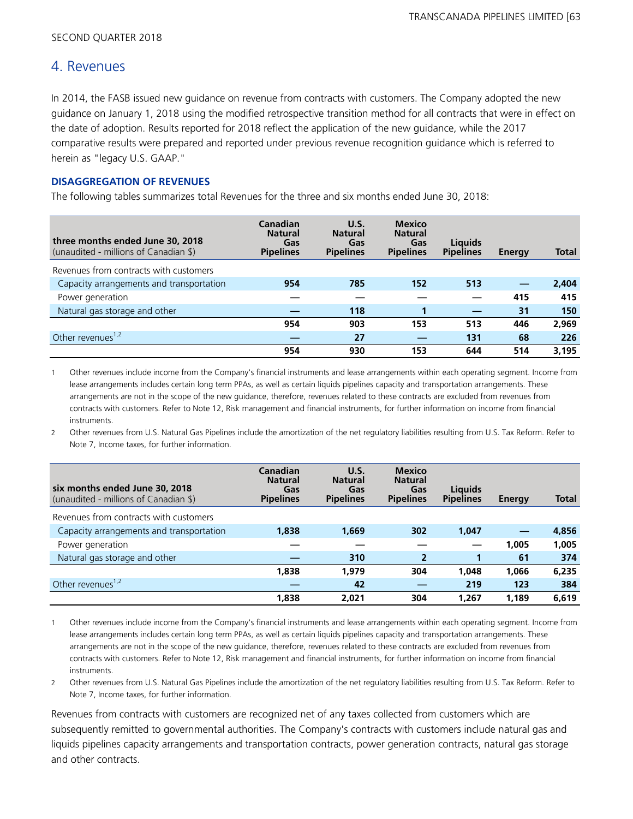## 4. Revenues

In 2014, the FASB issued new guidance on revenue from contracts with customers. The Company adopted the new guidance on January 1, 2018 using the modified retrospective transition method for all contracts that were in effect on the date of adoption. Results reported for 2018 reflect the application of the new guidance, while the 2017 comparative results were prepared and reported under previous revenue recognition guidance which is referred to herein as "legacy U.S. GAAP."

### **DISAGGREGATION OF REVENUES**

The following tables summarizes total Revenues for the three and six months ended June 30, 2018:

| three months ended June 30, 2018<br>(unaudited - millions of Canadian \$) | Canadian<br><b>Natural</b><br>Gas<br><b>Pipelines</b> | U.S.<br><b>Natural</b><br>Gas<br><b>Pipelines</b> | <b>Mexico</b><br><b>Natural</b><br>Gas<br><b>Pipelines</b> | <b>Liquids</b><br><b>Pipelines</b> | Energy | <b>Total</b> |
|---------------------------------------------------------------------------|-------------------------------------------------------|---------------------------------------------------|------------------------------------------------------------|------------------------------------|--------|--------------|
| Revenues from contracts with customers                                    |                                                       |                                                   |                                                            |                                    |        |              |
| Capacity arrangements and transportation                                  | 954                                                   | 785                                               | 152                                                        | 513                                |        | 2,404        |
| Power generation                                                          |                                                       |                                                   |                                                            |                                    | 415    | 415          |
| Natural gas storage and other                                             |                                                       | 118                                               |                                                            |                                    | 31     | 150          |
|                                                                           | 954                                                   | 903                                               | 153                                                        | 513                                | 446    | 2,969        |
| Other revenues <sup>1,2</sup>                                             |                                                       | 27                                                |                                                            | 131                                | 68     | 226          |
|                                                                           | 954                                                   | 930                                               | 153                                                        | 644                                | 514    | 3,195        |

1 Other revenues include income from the Company's financial instruments and lease arrangements within each operating segment. Income from lease arrangements includes certain long term PPAs, as well as certain liquids pipelines capacity and transportation arrangements. These arrangements are not in the scope of the new guidance, therefore, revenues related to these contracts are excluded from revenues from contracts with customers. Refer to Note 12, Risk management and financial instruments, for further information on income from financial instruments.

2 Other revenues from U.S. Natural Gas Pipelines include the amortization of the net regulatory liabilities resulting from U.S. Tax Reform. Refer to Note 7, Income taxes, for further information.

| six months ended June 30, 2018<br>(unaudited - millions of Canadian \$) | Canadian<br><b>Natural</b><br>Gas<br><b>Pipelines</b> | U.S.<br><b>Natural</b><br>Gas<br><b>Pipelines</b> | <b>Mexico</b><br><b>Natural</b><br>Gas<br><b>Pipelines</b> | <b>Liquids</b><br><b>Pipelines</b> | Energy | <b>Total</b> |
|-------------------------------------------------------------------------|-------------------------------------------------------|---------------------------------------------------|------------------------------------------------------------|------------------------------------|--------|--------------|
| Revenues from contracts with customers                                  |                                                       |                                                   |                                                            |                                    |        |              |
| Capacity arrangements and transportation                                | 1,838                                                 | 1,669                                             | 302                                                        | 1,047                              |        | 4,856        |
| Power generation                                                        |                                                       |                                                   |                                                            |                                    | 1,005  | 1,005        |
| Natural gas storage and other                                           |                                                       | 310                                               | $\mathbf{2}$                                               |                                    | 61     | 374          |
|                                                                         | 1,838                                                 | 1,979                                             | 304                                                        | 1,048                              | 1,066  | 6,235        |
| Other revenues <sup>1,2</sup>                                           |                                                       | 42                                                |                                                            | 219                                | 123    | 384          |
|                                                                         | 1,838                                                 | 2.021                                             | 304                                                        | 1.267                              | 1.189  | 6,619        |

1 Other revenues include income from the Company's financial instruments and lease arrangements within each operating segment. Income from lease arrangements includes certain long term PPAs, as well as certain liquids pipelines capacity and transportation arrangements. These arrangements are not in the scope of the new guidance, therefore, revenues related to these contracts are excluded from revenues from contracts with customers. Refer to Note 12, Risk management and financial instruments, for further information on income from financial instruments.

2 Other revenues from U.S. Natural Gas Pipelines include the amortization of the net regulatory liabilities resulting from U.S. Tax Reform. Refer to Note 7, Income taxes, for further information.

Revenues from contracts with customers are recognized net of any taxes collected from customers which are subsequently remitted to governmental authorities. The Company's contracts with customers include natural gas and liquids pipelines capacity arrangements and transportation contracts, power generation contracts, natural gas storage and other contracts.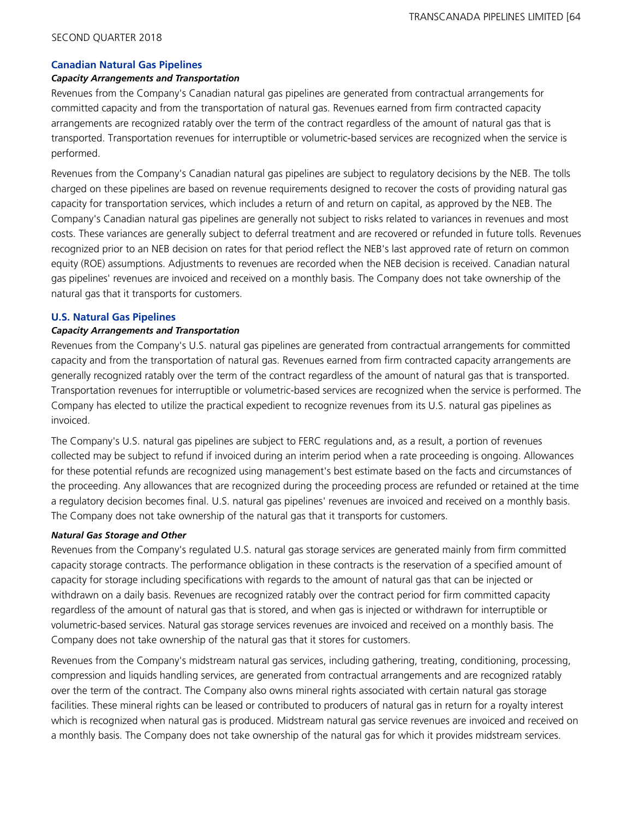#### **Canadian Natural Gas Pipelines**

#### *Capacity Arrangements and Transportation*

Revenues from the Company's Canadian natural gas pipelines are generated from contractual arrangements for committed capacity and from the transportation of natural gas. Revenues earned from firm contracted capacity arrangements are recognized ratably over the term of the contract regardless of the amount of natural gas that is transported. Transportation revenues for interruptible or volumetric-based services are recognized when the service is performed.

Revenues from the Company's Canadian natural gas pipelines are subject to regulatory decisions by the NEB. The tolls charged on these pipelines are based on revenue requirements designed to recover the costs of providing natural gas capacity for transportation services, which includes a return of and return on capital, as approved by the NEB. The Company's Canadian natural gas pipelines are generally not subject to risks related to variances in revenues and most costs. These variances are generally subject to deferral treatment and are recovered or refunded in future tolls. Revenues recognized prior to an NEB decision on rates for that period reflect the NEB's last approved rate of return on common equity (ROE) assumptions. Adjustments to revenues are recorded when the NEB decision is received. Canadian natural gas pipelines' revenues are invoiced and received on a monthly basis. The Company does not take ownership of the natural gas that it transports for customers.

#### **U.S. Natural Gas Pipelines**

#### *Capacity Arrangements and Transportation*

Revenues from the Company's U.S. natural gas pipelines are generated from contractual arrangements for committed capacity and from the transportation of natural gas. Revenues earned from firm contracted capacity arrangements are generally recognized ratably over the term of the contract regardless of the amount of natural gas that is transported. Transportation revenues for interruptible or volumetric-based services are recognized when the service is performed. The Company has elected to utilize the practical expedient to recognize revenues from its U.S. natural gas pipelines as invoiced.

The Company's U.S. natural gas pipelines are subject to FERC regulations and, as a result, a portion of revenues collected may be subject to refund if invoiced during an interim period when a rate proceeding is ongoing. Allowances for these potential refunds are recognized using management's best estimate based on the facts and circumstances of the proceeding. Any allowances that are recognized during the proceeding process are refunded or retained at the time a regulatory decision becomes final. U.S. natural gas pipelines' revenues are invoiced and received on a monthly basis. The Company does not take ownership of the natural gas that it transports for customers.

#### *Natural Gas Storage and Other*

Revenues from the Company's regulated U.S. natural gas storage services are generated mainly from firm committed capacity storage contracts. The performance obligation in these contracts is the reservation of a specified amount of capacity for storage including specifications with regards to the amount of natural gas that can be injected or withdrawn on a daily basis. Revenues are recognized ratably over the contract period for firm committed capacity regardless of the amount of natural gas that is stored, and when gas is injected or withdrawn for interruptible or volumetric-based services. Natural gas storage services revenues are invoiced and received on a monthly basis. The Company does not take ownership of the natural gas that it stores for customers.

Revenues from the Company's midstream natural gas services, including gathering, treating, conditioning, processing, compression and liquids handling services, are generated from contractual arrangements and are recognized ratably over the term of the contract. The Company also owns mineral rights associated with certain natural gas storage facilities. These mineral rights can be leased or contributed to producers of natural gas in return for a royalty interest which is recognized when natural gas is produced. Midstream natural gas service revenues are invoiced and received on a monthly basis. The Company does not take ownership of the natural gas for which it provides midstream services.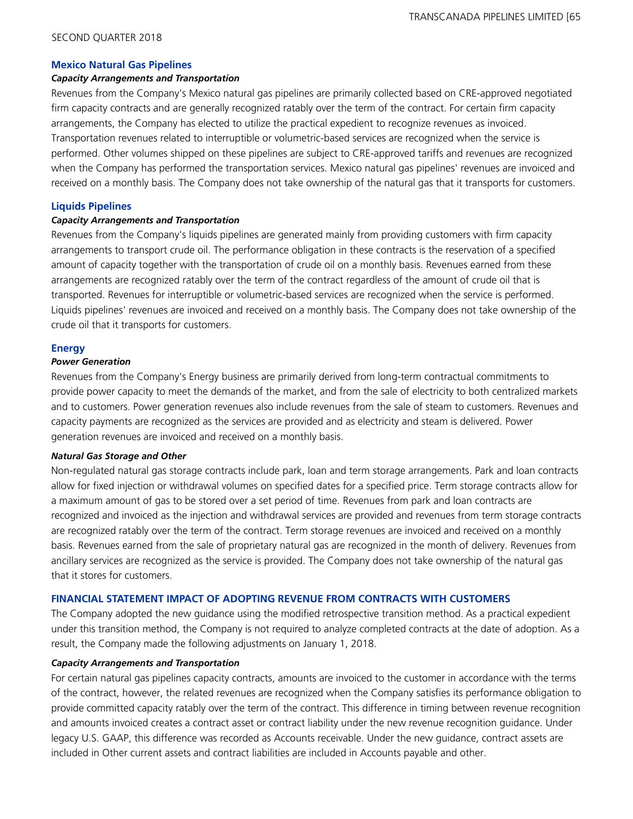#### **Mexico Natural Gas Pipelines**

#### *Capacity Arrangements and Transportation*

Revenues from the Company's Mexico natural gas pipelines are primarily collected based on CRE-approved negotiated firm capacity contracts and are generally recognized ratably over the term of the contract. For certain firm capacity arrangements, the Company has elected to utilize the practical expedient to recognize revenues as invoiced. Transportation revenues related to interruptible or volumetric-based services are recognized when the service is performed. Other volumes shipped on these pipelines are subject to CRE-approved tariffs and revenues are recognized when the Company has performed the transportation services. Mexico natural gas pipelines' revenues are invoiced and received on a monthly basis. The Company does not take ownership of the natural gas that it transports for customers.

#### **Liquids Pipelines**

#### *Capacity Arrangements and Transportation*

Revenues from the Company's liquids pipelines are generated mainly from providing customers with firm capacity arrangements to transport crude oil. The performance obligation in these contracts is the reservation of a specified amount of capacity together with the transportation of crude oil on a monthly basis. Revenues earned from these arrangements are recognized ratably over the term of the contract regardless of the amount of crude oil that is transported. Revenues for interruptible or volumetric-based services are recognized when the service is performed. Liquids pipelines' revenues are invoiced and received on a monthly basis. The Company does not take ownership of the crude oil that it transports for customers.

#### **Energy**

#### *Power Generation*

Revenues from the Company's Energy business are primarily derived from long-term contractual commitments to provide power capacity to meet the demands of the market, and from the sale of electricity to both centralized markets and to customers. Power generation revenues also include revenues from the sale of steam to customers. Revenues and capacity payments are recognized as the services are provided and as electricity and steam is delivered. Power generation revenues are invoiced and received on a monthly basis.

#### *Natural Gas Storage and Other*

Non-regulated natural gas storage contracts include park, loan and term storage arrangements. Park and loan contracts allow for fixed injection or withdrawal volumes on specified dates for a specified price. Term storage contracts allow for a maximum amount of gas to be stored over a set period of time. Revenues from park and loan contracts are recognized and invoiced as the injection and withdrawal services are provided and revenues from term storage contracts are recognized ratably over the term of the contract. Term storage revenues are invoiced and received on a monthly basis. Revenues earned from the sale of proprietary natural gas are recognized in the month of delivery. Revenues from ancillary services are recognized as the service is provided. The Company does not take ownership of the natural gas that it stores for customers.

#### **FINANCIAL STATEMENT IMPACT OF ADOPTING REVENUE FROM CONTRACTS WITH CUSTOMERS**

The Company adopted the new guidance using the modified retrospective transition method. As a practical expedient under this transition method, the Company is not required to analyze completed contracts at the date of adoption. As a result, the Company made the following adjustments on January 1, 2018.

#### *Capacity Arrangements and Transportation*

For certain natural gas pipelines capacity contracts, amounts are invoiced to the customer in accordance with the terms of the contract, however, the related revenues are recognized when the Company satisfies its performance obligation to provide committed capacity ratably over the term of the contract. This difference in timing between revenue recognition and amounts invoiced creates a contract asset or contract liability under the new revenue recognition guidance. Under legacy U.S. GAAP, this difference was recorded as Accounts receivable. Under the new guidance, contract assets are included in Other current assets and contract liabilities are included in Accounts payable and other.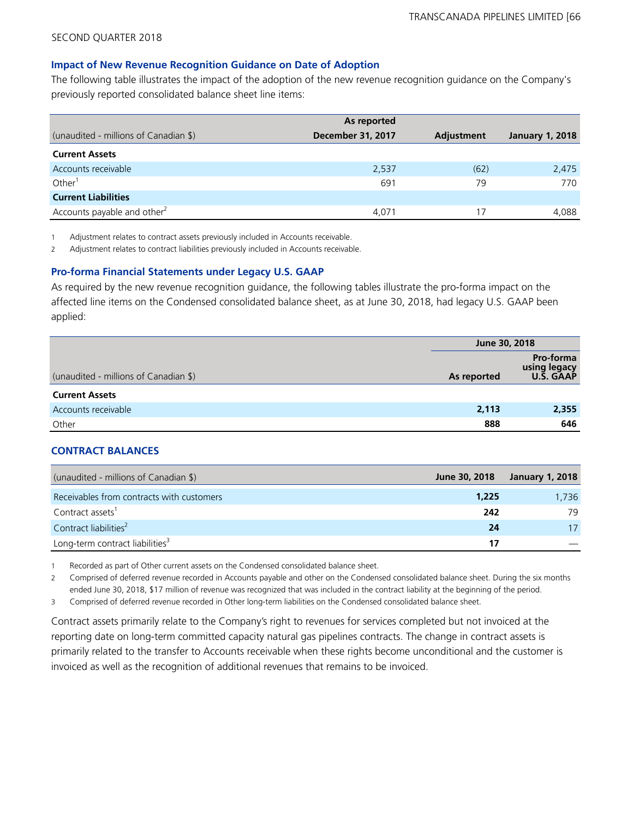#### **Impact of New Revenue Recognition Guidance on Date of Adoption**

The following table illustrates the impact of the adoption of the new revenue recognition guidance on the Company's previously reported consolidated balance sheet line items:

|                                         | As reported              |            |                        |
|-----------------------------------------|--------------------------|------------|------------------------|
| (unaudited - millions of Canadian \$)   | <b>December 31, 2017</b> | Adjustment | <b>January 1, 2018</b> |
| <b>Current Assets</b>                   |                          |            |                        |
| Accounts receivable                     | 2,537                    | (62)       | 2,475                  |
| Other <sup>1</sup>                      | 691                      | 79         | 770                    |
| <b>Current Liabilities</b>              |                          |            |                        |
| Accounts payable and other <sup>2</sup> | 4.071                    |            | 4.088                  |

1 Adjustment relates to contract assets previously included in Accounts receivable.

2 Adjustment relates to contract liabilities previously included in Accounts receivable.

#### **Pro-forma Financial Statements under Legacy U.S. GAAP**

As required by the new revenue recognition guidance, the following tables illustrate the pro-forma impact on the affected line items on the Condensed consolidated balance sheet, as at June 30, 2018, had legacy U.S. GAAP been applied:

|                                       | June 30, 2018 |                                               |
|---------------------------------------|---------------|-----------------------------------------------|
| (unaudited - millions of Canadian \$) | As reported   | Pro-forma<br>using legacy<br><b>U.S. GAAP</b> |
| <b>Current Assets</b>                 |               |                                               |
| Accounts receivable                   | 2,113         | 2,355                                         |
| Other                                 | 888           | 646                                           |

#### **CONTRACT BALANCES**

| (unaudited - millions of Canadian \$)       | June 30, 2018 | <b>January 1, 2018</b> |
|---------------------------------------------|---------------|------------------------|
| Receivables from contracts with customers   | 1,225         | 1.736                  |
| Contract assets <sup>1</sup>                | 242           | 79                     |
| Contract liabilities <sup>2</sup>           | 24            | 17                     |
| Long-term contract liabilities <sup>3</sup> | 17            |                        |

1 Recorded as part of Other current assets on the Condensed consolidated balance sheet.

2 Comprised of deferred revenue recorded in Accounts payable and other on the Condensed consolidated balance sheet. During the six months ended June 30, 2018, \$17 million of revenue was recognized that was included in the contract liability at the beginning of the period.

3 Comprised of deferred revenue recorded in Other long-term liabilities on the Condensed consolidated balance sheet.

Contract assets primarily relate to the Company's right to revenues for services completed but not invoiced at the reporting date on long-term committed capacity natural gas pipelines contracts. The change in contract assets is primarily related to the transfer to Accounts receivable when these rights become unconditional and the customer is invoiced as well as the recognition of additional revenues that remains to be invoiced.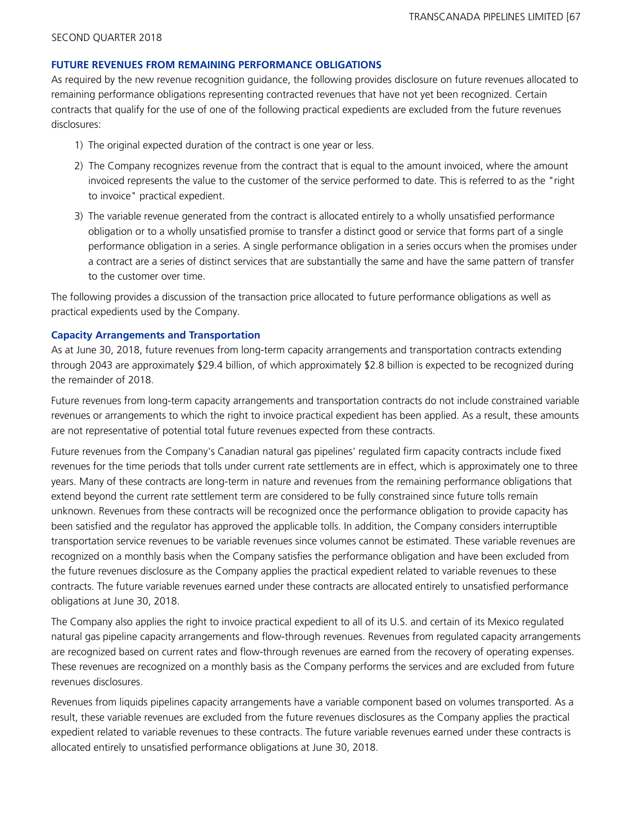#### **FUTURE REVENUES FROM REMAINING PERFORMANCE OBLIGATIONS**

As required by the new revenue recognition guidance, the following provides disclosure on future revenues allocated to remaining performance obligations representing contracted revenues that have not yet been recognized. Certain contracts that qualify for the use of one of the following practical expedients are excluded from the future revenues disclosures:

- 1) The original expected duration of the contract is one year or less.
- 2) The Company recognizes revenue from the contract that is equal to the amount invoiced, where the amount invoiced represents the value to the customer of the service performed to date. This is referred to as the "right to invoice" practical expedient.
- 3) The variable revenue generated from the contract is allocated entirely to a wholly unsatisfied performance obligation or to a wholly unsatisfied promise to transfer a distinct good or service that forms part of a single performance obligation in a series. A single performance obligation in a series occurs when the promises under a contract are a series of distinct services that are substantially the same and have the same pattern of transfer to the customer over time.

The following provides a discussion of the transaction price allocated to future performance obligations as well as practical expedients used by the Company.

#### **Capacity Arrangements and Transportation**

As at June 30, 2018, future revenues from long-term capacity arrangements and transportation contracts extending through 2043 are approximately \$29.4 billion, of which approximately \$2.8 billion is expected to be recognized during the remainder of 2018.

Future revenues from long-term capacity arrangements and transportation contracts do not include constrained variable revenues or arrangements to which the right to invoice practical expedient has been applied. As a result, these amounts are not representative of potential total future revenues expected from these contracts.

Future revenues from the Company's Canadian natural gas pipelines' regulated firm capacity contracts include fixed revenues for the time periods that tolls under current rate settlements are in effect, which is approximately one to three years. Many of these contracts are long-term in nature and revenues from the remaining performance obligations that extend beyond the current rate settlement term are considered to be fully constrained since future tolls remain unknown. Revenues from these contracts will be recognized once the performance obligation to provide capacity has been satisfied and the regulator has approved the applicable tolls. In addition, the Company considers interruptible transportation service revenues to be variable revenues since volumes cannot be estimated. These variable revenues are recognized on a monthly basis when the Company satisfies the performance obligation and have been excluded from the future revenues disclosure as the Company applies the practical expedient related to variable revenues to these contracts. The future variable revenues earned under these contracts are allocated entirely to unsatisfied performance obligations at June 30, 2018.

The Company also applies the right to invoice practical expedient to all of its U.S. and certain of its Mexico regulated natural gas pipeline capacity arrangements and flow-through revenues. Revenues from regulated capacity arrangements are recognized based on current rates and flow-through revenues are earned from the recovery of operating expenses. These revenues are recognized on a monthly basis as the Company performs the services and are excluded from future revenues disclosures.

Revenues from liquids pipelines capacity arrangements have a variable component based on volumes transported. As a result, these variable revenues are excluded from the future revenues disclosures as the Company applies the practical expedient related to variable revenues to these contracts. The future variable revenues earned under these contracts is allocated entirely to unsatisfied performance obligations at June 30, 2018.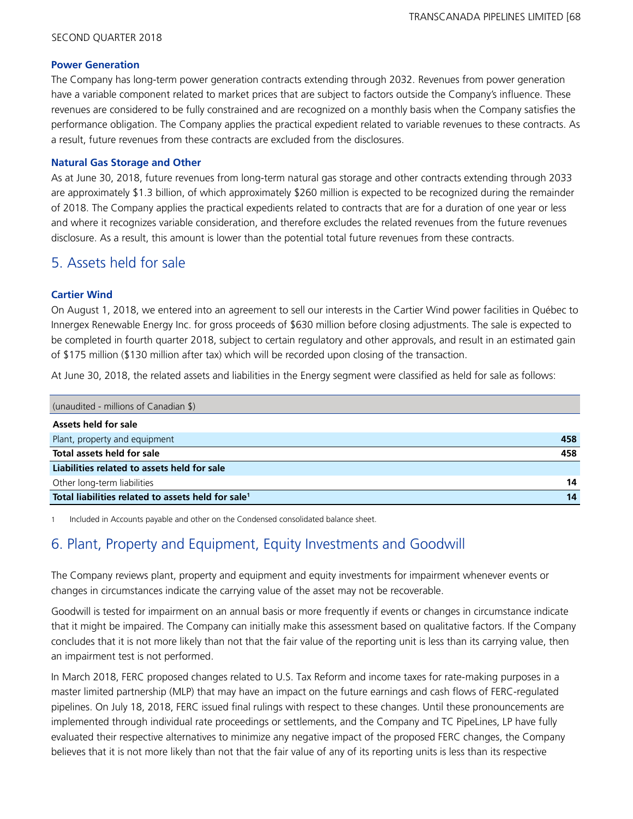#### **Power Generation**

The Company has long-term power generation contracts extending through 2032. Revenues from power generation have a variable component related to market prices that are subject to factors outside the Company's influence. These revenues are considered to be fully constrained and are recognized on a monthly basis when the Company satisfies the performance obligation. The Company applies the practical expedient related to variable revenues to these contracts. As a result, future revenues from these contracts are excluded from the disclosures.

#### **Natural Gas Storage and Other**

As at June 30, 2018, future revenues from long-term natural gas storage and other contracts extending through 2033 are approximately \$1.3 billion, of which approximately \$260 million is expected to be recognized during the remainder of 2018. The Company applies the practical expedients related to contracts that are for a duration of one year or less and where it recognizes variable consideration, and therefore excludes the related revenues from the future revenues disclosure. As a result, this amount is lower than the potential total future revenues from these contracts.

## 5. Assets held for sale

#### **Cartier Wind**

On August 1, 2018, we entered into an agreement to sell our interests in the Cartier Wind power facilities in Québec to Innergex Renewable Energy Inc. for gross proceeds of \$630 million before closing adjustments. The sale is expected to be completed in fourth quarter 2018, subject to certain regulatory and other approvals, and result in an estimated gain of \$175 million (\$130 million after tax) which will be recorded upon closing of the transaction.

At June 30, 2018, the related assets and liabilities in the Energy segment were classified as held for sale as follows:

| (unaudited - millions of Canadian \$)                          |     |
|----------------------------------------------------------------|-----|
| Assets held for sale                                           |     |
| Plant, property and equipment                                  | 458 |
| Total assets held for sale                                     | 458 |
| Liabilities related to assets held for sale                    |     |
| Other long-term liabilities                                    | 14  |
| Total liabilities related to assets held for sale <sup>1</sup> | 14  |

1 Included in Accounts payable and other on the Condensed consolidated balance sheet.

# 6. Plant, Property and Equipment, Equity Investments and Goodwill

The Company reviews plant, property and equipment and equity investments for impairment whenever events or changes in circumstances indicate the carrying value of the asset may not be recoverable.

Goodwill is tested for impairment on an annual basis or more frequently if events or changes in circumstance indicate that it might be impaired. The Company can initially make this assessment based on qualitative factors. If the Company concludes that it is not more likely than not that the fair value of the reporting unit is less than its carrying value, then an impairment test is not performed.

In March 2018, FERC proposed changes related to U.S. Tax Reform and income taxes for rate-making purposes in a master limited partnership (MLP) that may have an impact on the future earnings and cash flows of FERC-regulated pipelines. On July 18, 2018, FERC issued final rulings with respect to these changes. Until these pronouncements are implemented through individual rate proceedings or settlements, and the Company and TC PipeLines, LP have fully evaluated their respective alternatives to minimize any negative impact of the proposed FERC changes, the Company believes that it is not more likely than not that the fair value of any of its reporting units is less than its respective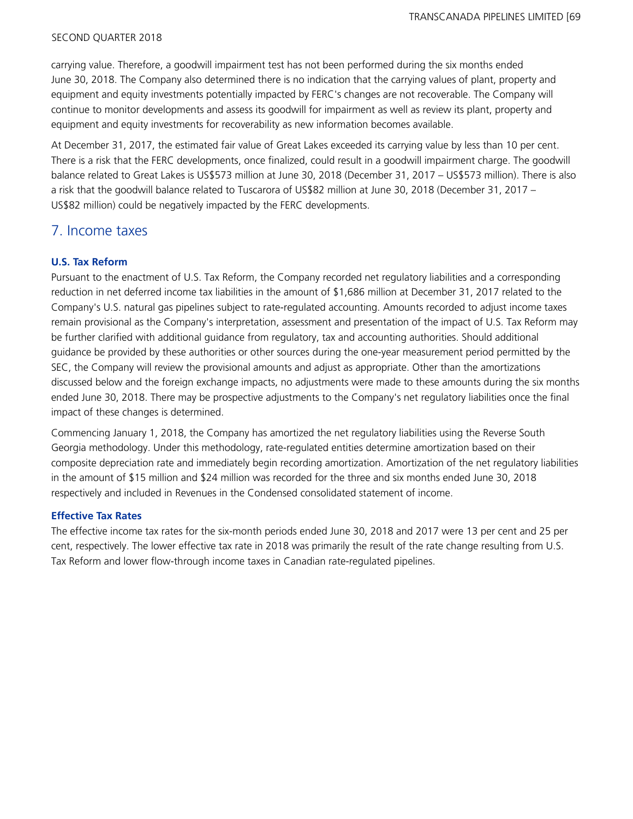carrying value. Therefore, a goodwill impairment test has not been performed during the six months ended June 30, 2018. The Company also determined there is no indication that the carrying values of plant, property and equipment and equity investments potentially impacted by FERC's changes are not recoverable. The Company will continue to monitor developments and assess its goodwill for impairment as well as review its plant, property and equipment and equity investments for recoverability as new information becomes available.

At December 31, 2017, the estimated fair value of Great Lakes exceeded its carrying value by less than 10 per cent. There is a risk that the FERC developments, once finalized, could result in a goodwill impairment charge. The goodwill balance related to Great Lakes is US\$573 million at June 30, 2018 (December 31, 2017 – US\$573 million). There is also a risk that the goodwill balance related to Tuscarora of US\$82 million at June 30, 2018 (December 31, 2017 – US\$82 million) could be negatively impacted by the FERC developments.

## 7. Income taxes

#### **U.S. Tax Reform**

Pursuant to the enactment of U.S. Tax Reform, the Company recorded net regulatory liabilities and a corresponding reduction in net deferred income tax liabilities in the amount of \$1,686 million at December 31, 2017 related to the Company's U.S. natural gas pipelines subject to rate-regulated accounting. Amounts recorded to adjust income taxes remain provisional as the Company's interpretation, assessment and presentation of the impact of U.S. Tax Reform may be further clarified with additional guidance from regulatory, tax and accounting authorities. Should additional guidance be provided by these authorities or other sources during the one-year measurement period permitted by the SEC, the Company will review the provisional amounts and adjust as appropriate. Other than the amortizations discussed below and the foreign exchange impacts, no adjustments were made to these amounts during the six months ended June 30, 2018. There may be prospective adjustments to the Company's net regulatory liabilities once the final impact of these changes is determined.

Commencing January 1, 2018, the Company has amortized the net regulatory liabilities using the Reverse South Georgia methodology. Under this methodology, rate-regulated entities determine amortization based on their composite depreciation rate and immediately begin recording amortization. Amortization of the net regulatory liabilities in the amount of \$15 million and \$24 million was recorded for the three and six months ended June 30, 2018 respectively and included in Revenues in the Condensed consolidated statement of income.

#### **Effective Tax Rates**

The effective income tax rates for the six-month periods ended June 30, 2018 and 2017 were 13 per cent and 25 per cent, respectively. The lower effective tax rate in 2018 was primarily the result of the rate change resulting from U.S. Tax Reform and lower flow-through income taxes in Canadian rate-regulated pipelines.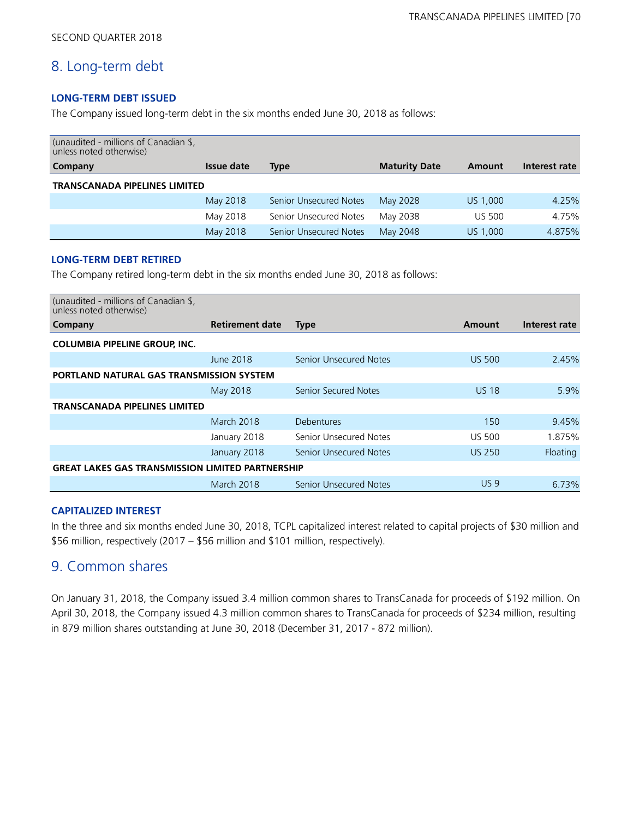## 8. Long-term debt

### **LONG-TERM DEBT ISSUED**

The Company issued long-term debt in the six months ended June 30, 2018 as follows:

| (unaudited - millions of Canadian \$,<br>unless noted otherwise) |            |                               |                      |               |               |
|------------------------------------------------------------------|------------|-------------------------------|----------------------|---------------|---------------|
| Company                                                          | Issue date | Type                          | <b>Maturity Date</b> | Amount        | Interest rate |
| <b>TRANSCANADA PIPELINES LIMITED</b>                             |            |                               |                      |               |               |
|                                                                  | May 2018   | <b>Senior Unsecured Notes</b> | May 2028             | US 1,000      | 4.25%         |
|                                                                  | May 2018   | Senior Unsecured Notes        | May 2038             | <b>US 500</b> | 4.75%         |
|                                                                  | May 2018   | <b>Senior Unsecured Notes</b> | May 2048             | US 1,000      | 4.875%        |

#### **LONG-TERM DEBT RETIRED**

The Company retired long-term debt in the six months ended June 30, 2018 as follows:

| (unaudited - millions of Canadian \$.<br>unless noted otherwise) |                        |                               |                 |               |
|------------------------------------------------------------------|------------------------|-------------------------------|-----------------|---------------|
| <b>Company</b>                                                   | <b>Retirement date</b> | <b>Type</b>                   | Amount          | Interest rate |
| <b>COLUMBIA PIPELINE GROUP, INC.</b>                             |                        |                               |                 |               |
|                                                                  | June 2018              | <b>Senior Unsecured Notes</b> | <b>US 500</b>   | 2.45%         |
| PORTLAND NATURAL GAS TRANSMISSION SYSTEM                         |                        |                               |                 |               |
|                                                                  | May 2018               | Senior Secured Notes          | <b>US 18</b>    | 5.9%          |
| <b>TRANSCANADA PIPELINES LIMITED</b>                             |                        |                               |                 |               |
|                                                                  | March 2018             | <b>Debentures</b>             | 150             | 9.45%         |
|                                                                  | January 2018           | Senior Unsecured Notes        | <b>US 500</b>   | 1.875%        |
|                                                                  | January 2018           | Senior Unsecured Notes        | <b>US 250</b>   | Floating      |
| <b>GREAT LAKES GAS TRANSMISSION LIMITED PARTNERSHIP</b>          |                        |                               |                 |               |
|                                                                  | March 2018             | <b>Senior Unsecured Notes</b> | US <sub>9</sub> | 6.73%         |

#### **CAPITALIZED INTEREST**

In the three and six months ended June 30, 2018, TCPL capitalized interest related to capital projects of \$30 million and \$56 million, respectively (2017 – \$56 million and \$101 million, respectively).

## 9. Common shares

On January 31, 2018, the Company issued 3.4 million common shares to TransCanada for proceeds of \$192 million. On April 30, 2018, the Company issued 4.3 million common shares to TransCanada for proceeds of \$234 million, resulting in 879 million shares outstanding at June 30, 2018 (December 31, 2017 - 872 million).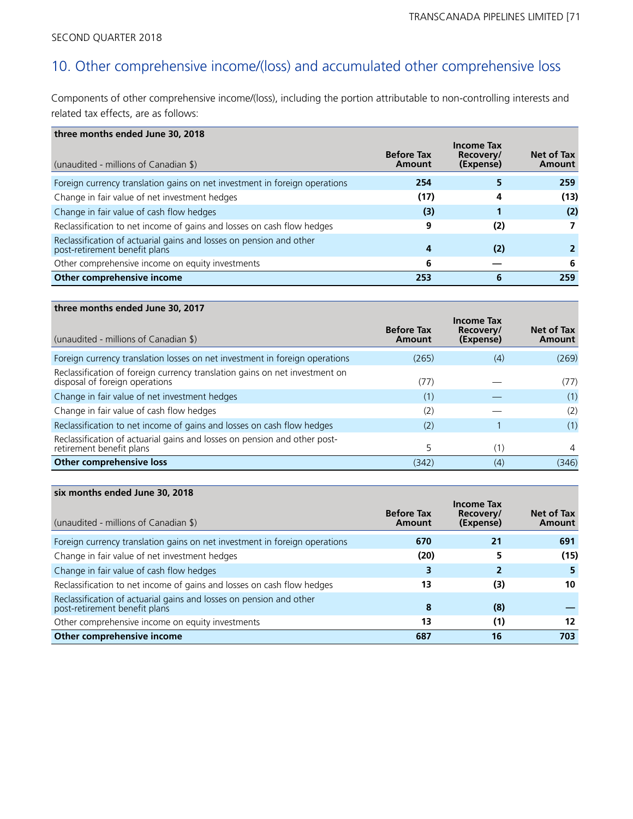# 10. Other comprehensive income/(loss) and accumulated other comprehensive loss

Components of other comprehensive income/(loss), including the portion attributable to non-controlling interests and related tax effects, are as follows:

| three months ended June 30, 2018                                                                     |                             |                                             |                      |
|------------------------------------------------------------------------------------------------------|-----------------------------|---------------------------------------------|----------------------|
| (unaudited - millions of Canadian \$)                                                                | <b>Before Tax</b><br>Amount | <b>Income Tax</b><br>Recovery/<br>(Expense) | Net of Tax<br>Amount |
| Foreign currency translation gains on net investment in foreign operations                           | 254                         |                                             | 259                  |
| Change in fair value of net investment hedges                                                        | (17)                        | 4                                           | (13)                 |
| Change in fair value of cash flow hedges                                                             | (3)                         |                                             | (2)                  |
| Reclassification to net income of gains and losses on cash flow hedges                               | 9                           | (2)                                         |                      |
| Reclassification of actuarial gains and losses on pension and other<br>post-retirement benefit plans | 4                           | (2)                                         |                      |
| Other comprehensive income on equity investments                                                     | 6                           |                                             | 6                    |
| Other comprehensive income                                                                           | 253                         | 6                                           | 259                  |

| three months ended June 30, 2017                                                                              |                             |                                             |                      |
|---------------------------------------------------------------------------------------------------------------|-----------------------------|---------------------------------------------|----------------------|
| (unaudited - millions of Canadian \$)                                                                         | <b>Before Tax</b><br>Amount | <b>Income Tax</b><br>Recovery/<br>(Expense) | Net of Tax<br>Amount |
| Foreign currency translation losses on net investment in foreign operations                                   | (265)                       | (4)                                         | (269)                |
| Reclassification of foreign currency translation gains on net investment on<br>disposal of foreign operations | (77)                        |                                             | (77)                 |
| Change in fair value of net investment hedges                                                                 | (1)                         |                                             | (1)                  |
| Change in fair value of cash flow hedges                                                                      | (2)                         |                                             | (2)                  |
| Reclassification to net income of gains and losses on cash flow hedges                                        | (2)                         |                                             | (1)                  |
| Reclassification of actuarial gains and losses on pension and other post-<br>retirement benefit plans         | 5                           | (1)                                         | 4                    |
| <b>Other comprehensive loss</b>                                                                               | (342)                       | (4)                                         | (346)                |

| six months ended June 30, 2018                                                                       |                             |                                             |                      |
|------------------------------------------------------------------------------------------------------|-----------------------------|---------------------------------------------|----------------------|
| (unaudited - millions of Canadian \$)                                                                | <b>Before Tax</b><br>Amount | <b>Income Tax</b><br>Recovery/<br>(Expense) | Net of Tax<br>Amount |
| Foreign currency translation gains on net investment in foreign operations                           | 670                         | 21                                          | 691                  |
| Change in fair value of net investment hedges                                                        | (20)                        | 5                                           | (15)                 |
| Change in fair value of cash flow hedges                                                             | з                           | 2                                           | 5.                   |
| Reclassification to net income of gains and losses on cash flow hedges                               | 13                          | (3)                                         | 10                   |
| Reclassification of actuarial gains and losses on pension and other<br>post-retirement benefit plans | 8                           | (8)                                         |                      |
| Other comprehensive income on equity investments                                                     | 13                          | (1)                                         | 12                   |
| Other comprehensive income                                                                           | 687                         | 16                                          | 703                  |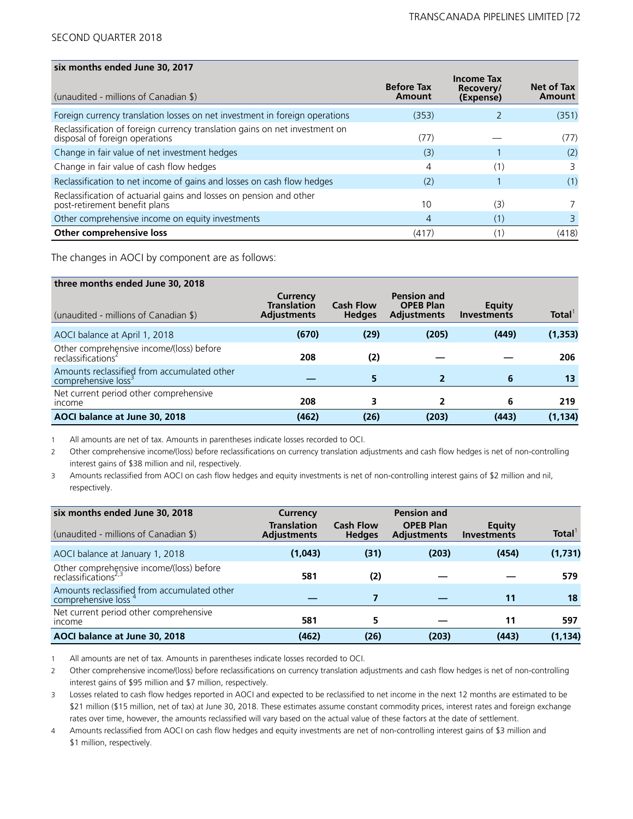| six months ended June 30, 2017 |  |  |  |  |
|--------------------------------|--|--|--|--|
|--------------------------------|--|--|--|--|

| (unaudited - millions of Canadian \$)                                                                         | <b>Before Tax</b><br>Amount | Income Tax<br>Recovery/<br>(Expense) | Net of Tax<br>Amount |
|---------------------------------------------------------------------------------------------------------------|-----------------------------|--------------------------------------|----------------------|
| Foreign currency translation losses on net investment in foreign operations                                   | (353)                       |                                      | (351)                |
| Reclassification of foreign currency translation gains on net investment on<br>disposal of foreign operations | (77)                        |                                      | (77)                 |
| Change in fair value of net investment hedges                                                                 | (3)                         |                                      | (2)                  |
| Change in fair value of cash flow hedges                                                                      | 4                           | (1)                                  | 3                    |
| Reclassification to net income of gains and losses on cash flow hedges                                        | (2)                         |                                      | (1)                  |
| Reclassification of actuarial gains and losses on pension and other<br>post-retirement benefit plans          | 10                          | (3)                                  |                      |
| Other comprehensive income on equity investments                                                              | 4                           | (1)                                  |                      |
| Other comprehensive loss                                                                                      | (417)                       |                                      | (418)                |

The changes in AOCI by component are as follows:

| three months ended June 30, 2018                                               |                                                      |                                   |                                                              |                              |                    |
|--------------------------------------------------------------------------------|------------------------------------------------------|-----------------------------------|--------------------------------------------------------------|------------------------------|--------------------|
| (unaudited - millions of Canadian \$)                                          | Currency<br><b>Translation</b><br><b>Adjustments</b> | <b>Cash Flow</b><br><b>Hedges</b> | <b>Pension and</b><br><b>OPEB Plan</b><br><b>Adjustments</b> | Equity<br><b>Investments</b> | Total <sup>1</sup> |
| AOCI balance at April 1, 2018                                                  | (670)                                                | (29)                              | (205)                                                        | (449)                        | (1, 353)           |
| Other comprehensive income/(loss) before<br>reclassifications <sup>2</sup>     | 208                                                  | (2)                               |                                                              |                              | 206                |
| Amounts reclassified from accumulated other<br>comprehensive loss <sup>3</sup> |                                                      | 5                                 |                                                              | 6                            | 13                 |
| Net current period other comprehensive<br>income                               | 208                                                  | 3                                 |                                                              | 6                            | 219                |
| AOCI balance at June 30, 2018                                                  | (462)                                                | (26)                              | (203)                                                        | (443)                        | (1, 134)           |

1 All amounts are net of tax. Amounts in parentheses indicate losses recorded to OCI.

2 Other comprehensive income/(loss) before reclassifications on currency translation adjustments and cash flow hedges is net of non-controlling interest gains of \$38 million and nil, respectively.

3 Amounts reclassified from AOCI on cash flow hedges and equity investments is net of non-controlling interest gains of \$2 million and nil, respectively.

| six months ended June 30, 2018<br>(unaudited - millions of Canadian \$)      | Currency<br><b>Translation</b><br><b>Adjustments</b> | <b>Cash Flow</b><br><b>Hedges</b> | <b>Pension and</b><br><b>OPEB Plan</b><br><b>Adjustments</b> | Equity<br><b>Investments</b> | <b>Total</b> |
|------------------------------------------------------------------------------|------------------------------------------------------|-----------------------------------|--------------------------------------------------------------|------------------------------|--------------|
| AOCI balance at January 1, 2018                                              | (1,043)                                              | (31)                              | (203)                                                        | (454)                        | (1,731)      |
| Other comprehensive income/(loss) before<br>reclassifications <sup>2,3</sup> | 581                                                  | (2)                               |                                                              |                              | 579          |
| Amounts reclassified from accumulated other<br>comprehensive loss            |                                                      |                                   |                                                              | 11                           | 18           |
| Net current period other comprehensive<br>income                             | 581                                                  | 5                                 |                                                              | 11                           | 597          |
| AOCI balance at June 30, 2018                                                | (462)                                                | (26)                              | (203)                                                        | (443)                        | (1, 134)     |

1 All amounts are net of tax. Amounts in parentheses indicate losses recorded to OCI.

2 Other comprehensive income/(loss) before reclassifications on currency translation adjustments and cash flow hedges is net of non-controlling interest gains of \$95 million and \$7 million, respectively.

3 Losses related to cash flow hedges reported in AOCI and expected to be reclassified to net income in the next 12 months are estimated to be \$21 million (\$15 million, net of tax) at June 30, 2018. These estimates assume constant commodity prices, interest rates and foreign exchange rates over time, however, the amounts reclassified will vary based on the actual value of these factors at the date of settlement.

4 Amounts reclassified from AOCI on cash flow hedges and equity investments are net of non-controlling interest gains of \$3 million and \$1 million, respectively.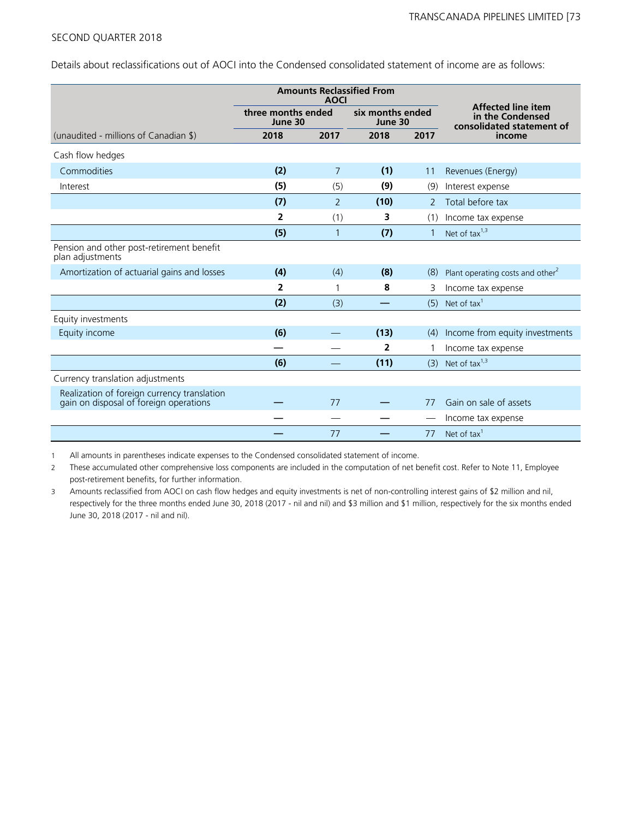Details about reclassifications out of AOCI into the Condensed consolidated statement of income are as follows:

|                                                                                       |                               | <b>AOCI</b>  | <b>Amounts Reclassified From</b> |               |                                                                            |
|---------------------------------------------------------------------------------------|-------------------------------|--------------|----------------------------------|---------------|----------------------------------------------------------------------------|
|                                                                                       | three months ended<br>June 30 |              | six months ended<br>June 30      |               | <b>Affected line item</b><br>in the Condensed<br>consolidated statement of |
| (unaudited - millions of Canadian \$)                                                 | 2018                          | 2017         | 2018                             | 2017          | income                                                                     |
| Cash flow hedges                                                                      |                               |              |                                  |               |                                                                            |
| Commodities                                                                           | (2)                           | 7            | (1)                              | 11            | Revenues (Energy)                                                          |
| Interest                                                                              | (5)                           | (5)          | (9)                              | (9)           | Interest expense                                                           |
|                                                                                       | (7)                           | 2            | (10)                             | $\mathcal{L}$ | Total before tax                                                           |
|                                                                                       | 2                             | (1)          | 3                                | (1)           | Income tax expense                                                         |
|                                                                                       | (5)                           | $\mathbf{1}$ | (7)                              |               | Net of tax $1,3$                                                           |
| Pension and other post-retirement benefit<br>plan adjustments                         |                               |              |                                  |               |                                                                            |
| Amortization of actuarial gains and losses                                            | (4)                           | (4)          | (8)                              | (8)           | Plant operating costs and other <sup>2</sup>                               |
|                                                                                       | 2                             | 1            | 8                                | 3             | Income tax expense                                                         |
|                                                                                       | (2)                           | (3)          |                                  | (5)           | Net of tax <sup>1</sup>                                                    |
| Equity investments                                                                    |                               |              |                                  |               |                                                                            |
| Equity income                                                                         | (6)                           |              | (13)                             | (4)           | Income from equity investments                                             |
|                                                                                       |                               |              | 2                                |               | Income tax expense                                                         |
|                                                                                       | (6)                           |              | (11)                             | (3)           | Net of tax $1,3$                                                           |
| Currency translation adjustments                                                      |                               |              |                                  |               |                                                                            |
| Realization of foreign currency translation<br>gain on disposal of foreign operations |                               | 77           |                                  | 77            | Gain on sale of assets                                                     |
|                                                                                       |                               |              |                                  |               | Income tax expense                                                         |
|                                                                                       |                               | 77           |                                  | 77            | Net of tax $1$                                                             |

1 All amounts in parentheses indicate expenses to the Condensed consolidated statement of income.

2 These accumulated other comprehensive loss components are included in the computation of net benefit cost. Refer to Note 11, Employee post-retirement benefits, for further information.

3 Amounts reclassified from AOCI on cash flow hedges and equity investments is net of non-controlling interest gains of \$2 million and nil, respectively for the three months ended June 30, 2018 (2017 - nil and nil) and \$3 million and \$1 million, respectively for the six months ended June 30, 2018 (2017 - nil and nil).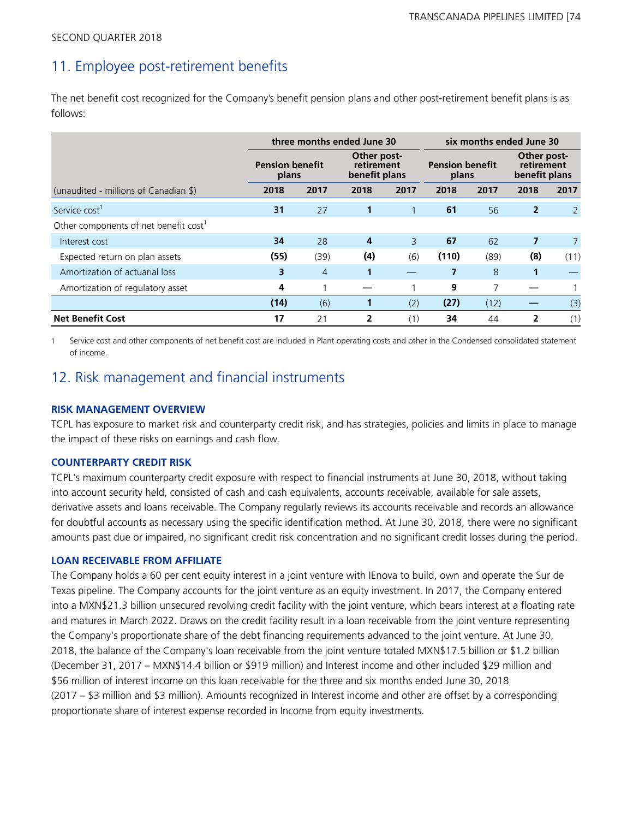# 11. Employee post-retirement benefits

The net benefit cost recognized for the Company's benefit pension plans and other post-retirement benefit plans is as follows:

|                                                   | three months ended June 30                                                    |                |                                 |      | six months ended June 30                   |      |                |             |
|---------------------------------------------------|-------------------------------------------------------------------------------|----------------|---------------------------------|------|--------------------------------------------|------|----------------|-------------|
|                                                   | Other post-<br><b>Pension benefit</b><br>retirement<br>benefit plans<br>plans |                | <b>Pension benefit</b><br>plans |      | Other post-<br>retirement<br>benefit plans |      |                |             |
| (unaudited - millions of Canadian \$)             | 2018                                                                          | 2017           | 2018                            | 2017 | 2018                                       | 2017 | 2018           | 2017        |
| Service cost <sup>1</sup>                         | 31                                                                            | 27             | 1                               | 1    | 61                                         | 56   | $\overline{2}$ | 2           |
| Other components of net benefit cost <sup>1</sup> |                                                                               |                |                                 |      |                                            |      |                |             |
| Interest cost                                     | 34                                                                            | 28             | 4                               | 3    | 67                                         | 62   | 7              | $7^{\circ}$ |
| Expected return on plan assets                    | (55)                                                                          | (39)           | (4)                             | (6)  | (110)                                      | (89) | (8)            | (11)        |
| Amortization of actuarial loss                    | 3                                                                             | $\overline{4}$ |                                 |      | 7                                          | 8    |                |             |
| Amortization of regulatory asset                  | 4                                                                             |                |                                 |      | 9                                          | 7    |                |             |
|                                                   | (14)                                                                          | (6)            |                                 | (2)  | (27)                                       | (12) |                | (3)         |
| <b>Net Benefit Cost</b>                           | 17                                                                            | 21             | 2                               | (1)  | 34                                         | 44   | 2              | (1)         |

Service cost and other components of net benefit cost are included in Plant operating costs and other in the Condensed consolidated statement of income.

# 12. Risk management and financial instruments

## **RISK MANAGEMENT OVERVIEW**

TCPL has exposure to market risk and counterparty credit risk, and has strategies, policies and limits in place to manage the impact of these risks on earnings and cash flow.

## **COUNTERPARTY CREDIT RISK**

TCPL's maximum counterparty credit exposure with respect to financial instruments at June 30, 2018, without taking into account security held, consisted of cash and cash equivalents, accounts receivable, available for sale assets, derivative assets and loans receivable. The Company regularly reviews its accounts receivable and records an allowance for doubtful accounts as necessary using the specific identification method. At June 30, 2018, there were no significant amounts past due or impaired, no significant credit risk concentration and no significant credit losses during the period.

## **LOAN RECEIVABLE FROM AFFILIATE**

The Company holds a 60 per cent equity interest in a joint venture with IEnova to build, own and operate the Sur de Texas pipeline. The Company accounts for the joint venture as an equity investment. In 2017, the Company entered into a MXN\$21.3 billion unsecured revolving credit facility with the joint venture, which bears interest at a floating rate and matures in March 2022. Draws on the credit facility result in a loan receivable from the joint venture representing the Company's proportionate share of the debt financing requirements advanced to the joint venture. At June 30, 2018, the balance of the Company's loan receivable from the joint venture totaled MXN\$17.5 billion or \$1.2 billion (December 31, 2017 – MXN\$14.4 billion or \$919 million) and Interest income and other included \$29 million and \$56 million of interest income on this loan receivable for the three and six months ended June 30, 2018 (2017 – \$3 million and \$3 million). Amounts recognized in Interest income and other are offset by a corresponding proportionate share of interest expense recorded in Income from equity investments.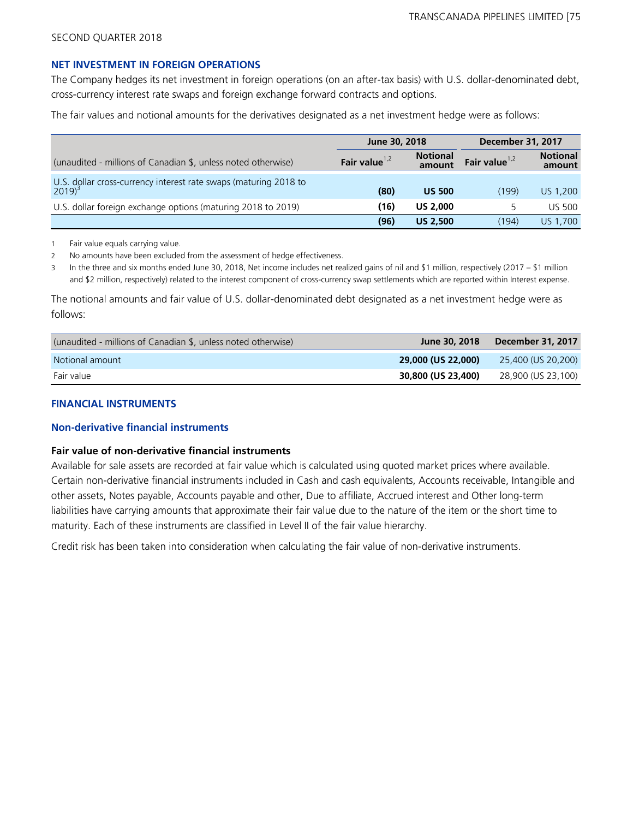## **NET INVESTMENT IN FOREIGN OPERATIONS**

The Company hedges its net investment in foreign operations (on an after-tax basis) with U.S. dollar-denominated debt, cross-currency interest rate swaps and foreign exchange forward contracts and options.

The fair values and notional amounts for the derivatives designated as a net investment hedge were as follows:

|                                                                                     | June 30, 2018    |                           | December 31, 2017 |                           |
|-------------------------------------------------------------------------------------|------------------|---------------------------|-------------------|---------------------------|
| (unaudited - millions of Canadian \$, unless noted otherwise)                       | Fair value $1,2$ | <b>Notional</b><br>amount | Fair value $1,2$  | <b>Notional</b><br>amount |
| U.S. dollar cross-currency interest rate swaps (maturing 2018 to 2019) <sup>3</sup> | (80)             | <b>US 500</b>             | (199)             | US 1,200                  |
| U.S. dollar foreign exchange options (maturing 2018 to 2019)                        | (16)             | <b>US 2,000</b>           |                   | US 500                    |
|                                                                                     | (96)             | <b>US 2.500</b>           | (194)             | US 1,700                  |

1 Fair value equals carrying value.

2 No amounts have been excluded from the assessment of hedge effectiveness.

3 In the three and six months ended June 30, 2018, Net income includes net realized gains of nil and \$1 million, respectively (2017 – \$1 million and \$2 million, respectively) related to the interest component of cross-currency swap settlements which are reported within Interest expense.

The notional amounts and fair value of U.S. dollar-denominated debt designated as a net investment hedge were as follows:

| (unaudited - millions of Canadian \$, unless noted otherwise) | June 30, 2018      | December 31, 2017  |
|---------------------------------------------------------------|--------------------|--------------------|
| Notional amount                                               | 29,000 (US 22,000) | 25,400 (US 20,200) |
| Fair value                                                    | 30,800 (US 23,400) | 28,900 (US 23,100) |

## **FINANCIAL INSTRUMENTS**

#### **Non-derivative financial instruments**

#### **Fair value of non-derivative financial instruments**

Available for sale assets are recorded at fair value which is calculated using quoted market prices where available. Certain non-derivative financial instruments included in Cash and cash equivalents, Accounts receivable, Intangible and other assets, Notes payable, Accounts payable and other, Due to affiliate, Accrued interest and Other long-term liabilities have carrying amounts that approximate their fair value due to the nature of the item or the short time to maturity. Each of these instruments are classified in Level II of the fair value hierarchy.

Credit risk has been taken into consideration when calculating the fair value of non-derivative instruments.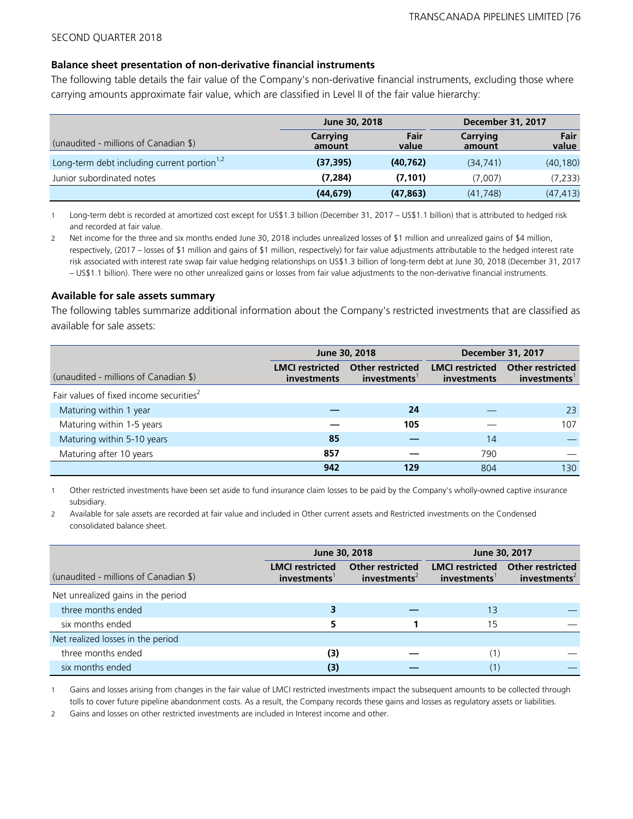#### **Balance sheet presentation of non-derivative financial instruments**

The following table details the fair value of the Company's non-derivative financial instruments, excluding those where carrying amounts approximate fair value, which are classified in Level II of the fair value hierarchy:

|                                                         | June 30, 2018      |               | <b>December 31, 2017</b> |               |  |
|---------------------------------------------------------|--------------------|---------------|--------------------------|---------------|--|
| (unaudited - millions of Canadian \$)                   | Carrying<br>amount | Fair<br>value | Carrying<br>amount       | Fair<br>value |  |
| Long-term debt including current portion <sup>1,2</sup> | (37, 395)          | (40, 762)     | (34, 741)                | (40, 180)     |  |
| Junior subordinated notes                               | (7, 284)           | (7, 101)      | (7,007)                  | (7,233)       |  |
|                                                         | (44, 679)          | (47, 863)     | (41, 748)                | (47, 413)     |  |

1 Long-term debt is recorded at amortized cost except for US\$1.3 billion (December 31, 2017 – US\$1.1 billion) that is attributed to hedged risk and recorded at fair value.

2 Net income for the three and six months ended June 30, 2018 includes unrealized losses of \$1 million and unrealized gains of \$4 million, respectively, (2017 – losses of \$1 million and gains of \$1 million, respectively) for fair value adjustments attributable to the hedged interest rate risk associated with interest rate swap fair value hedging relationships on US\$1.3 billion of long-term debt at June 30, 2018 (December 31, 2017 – US\$1.1 billion). There were no other unrealized gains or losses from fair value adjustments to the non-derivative financial instruments.

#### **Available for sale assets summary**

The following tables summarize additional information about the Company's restricted investments that are classified as available for sale assets:

|                                                     |                                       | June 30, 2018                          | <b>December 31, 2017</b>              |                                               |  |
|-----------------------------------------------------|---------------------------------------|----------------------------------------|---------------------------------------|-----------------------------------------------|--|
| (unaudited - millions of Canadian \$)               | <b>LMCI</b> restricted<br>investments | <b>Other restricted</b><br>investments | <b>LMCI</b> restricted<br>investments | <b>Other restricted</b><br><i>investments</i> |  |
| Fair values of fixed income securities <sup>2</sup> |                                       |                                        |                                       |                                               |  |
| Maturing within 1 year                              |                                       | 24                                     |                                       | 23                                            |  |
| Maturing within 1-5 years                           |                                       | 105                                    |                                       | 107                                           |  |
| Maturing within 5-10 years                          | 85                                    |                                        | 14                                    |                                               |  |
| Maturing after 10 years                             | 857                                   |                                        | 790                                   |                                               |  |
|                                                     | 942                                   | 129                                    | 804                                   | 130                                           |  |

1 Other restricted investments have been set aside to fund insurance claim losses to be paid by the Company's wholly-owned captive insurance subsidiary.

2 Available for sale assets are recorded at fair value and included in Other current assets and Restricted investments on the Condensed consolidated balance sheet.

|                                       | June 30, 2018                         |                                                     | June 30, 2017                                      |                                                     |  |
|---------------------------------------|---------------------------------------|-----------------------------------------------------|----------------------------------------------------|-----------------------------------------------------|--|
| (unaudited - millions of Canadian \$) | <b>LMCI</b> restricted<br>investments | <b>Other restricted</b><br>investments <sup>2</sup> | <b>LMCI</b> restricted<br>investments <sup>1</sup> | <b>Other restricted</b><br>investments <sup>2</sup> |  |
| Net unrealized gains in the period    |                                       |                                                     |                                                    |                                                     |  |
| three months ended                    |                                       |                                                     | 1 <sub>3</sub>                                     |                                                     |  |
| six months ended                      | 5                                     |                                                     | 15                                                 |                                                     |  |
| Net realized losses in the period     |                                       |                                                     |                                                    |                                                     |  |
| three months ended                    | (3)                                   |                                                     |                                                    |                                                     |  |
| six months ended                      | (3)                                   |                                                     |                                                    |                                                     |  |

1 Gains and losses arising from changes in the fair value of LMCI restricted investments impact the subsequent amounts to be collected through tolls to cover future pipeline abandonment costs. As a result, the Company records these gains and losses as regulatory assets or liabilities.

2 Gains and losses on other restricted investments are included in Interest income and other.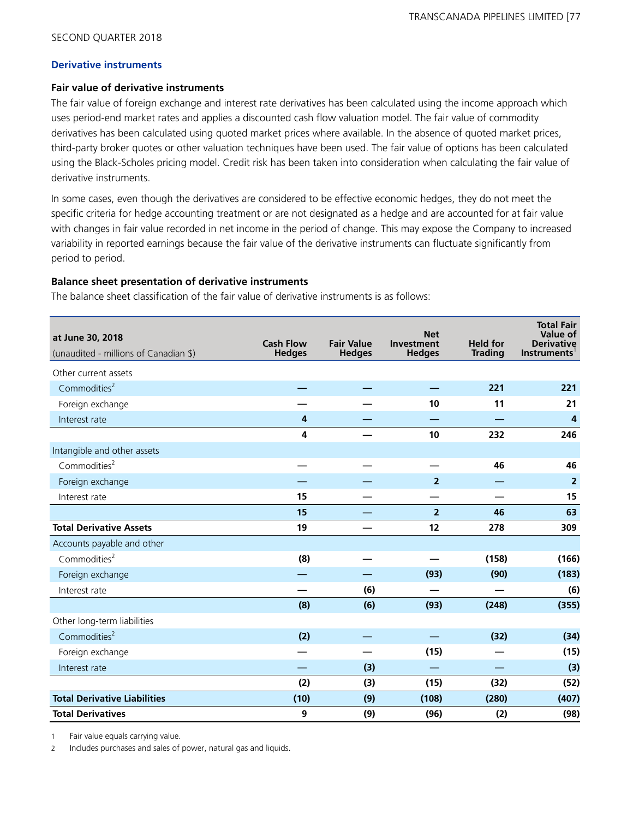## **Derivative instruments**

#### **Fair value of derivative instruments**

The fair value of foreign exchange and interest rate derivatives has been calculated using the income approach which uses period-end market rates and applies a discounted cash flow valuation model. The fair value of commodity derivatives has been calculated using quoted market prices where available. In the absence of quoted market prices, third-party broker quotes or other valuation techniques have been used. The fair value of options has been calculated using the Black-Scholes pricing model. Credit risk has been taken into consideration when calculating the fair value of derivative instruments.

In some cases, even though the derivatives are considered to be effective economic hedges, they do not meet the specific criteria for hedge accounting treatment or are not designated as a hedge and are accounted for at fair value with changes in fair value recorded in net income in the period of change. This may expose the Company to increased variability in reported earnings because the fair value of the derivative instruments can fluctuate significantly from period to period.

## **Balance sheet presentation of derivative instruments**

The balance sheet classification of the fair value of derivative instruments is as follows:

| at June 30, 2018<br>(unaudited - millions of Canadian \$) | <b>Cash Flow</b><br><b>Hedges</b> | <b>Fair Value</b><br><b>Hedges</b> | <b>Net</b><br>Investment<br><b>Hedges</b> | <b>Held for</b><br><b>Trading</b> | <b>Total Fair</b><br>Value of<br><b>Derivative</b><br>Instruments' |
|-----------------------------------------------------------|-----------------------------------|------------------------------------|-------------------------------------------|-----------------------------------|--------------------------------------------------------------------|
| Other current assets                                      |                                   |                                    |                                           |                                   |                                                                    |
| Commodities <sup>2</sup>                                  |                                   |                                    |                                           | 221                               | 221                                                                |
| Foreign exchange                                          |                                   |                                    | 10                                        | 11                                | 21                                                                 |
| Interest rate                                             | 4                                 |                                    |                                           |                                   | $\overline{4}$                                                     |
|                                                           | 4                                 |                                    | 10                                        | 232                               | 246                                                                |
| Intangible and other assets                               |                                   |                                    |                                           |                                   |                                                                    |
| Commodities <sup>2</sup>                                  |                                   |                                    |                                           | 46                                | 46                                                                 |
| Foreign exchange                                          |                                   |                                    | $\overline{2}$                            |                                   | $\overline{2}$                                                     |
| Interest rate                                             | 15                                |                                    |                                           |                                   | 15                                                                 |
|                                                           | 15                                |                                    | $\overline{2}$                            | 46                                | 63                                                                 |
| <b>Total Derivative Assets</b>                            | 19                                |                                    | 12                                        | 278                               | 309                                                                |
| Accounts payable and other                                |                                   |                                    |                                           |                                   |                                                                    |
| Commodities $2$                                           | (8)                               |                                    |                                           | (158)                             | (166)                                                              |
| Foreign exchange                                          |                                   |                                    | (93)                                      | (90)                              | (183)                                                              |
| Interest rate                                             |                                   | (6)                                |                                           |                                   | (6)                                                                |
|                                                           | (8)                               | (6)                                | (93)                                      | (248)                             | (355)                                                              |
| Other long-term liabilities                               |                                   |                                    |                                           |                                   |                                                                    |
| Commodities <sup>2</sup>                                  | (2)                               |                                    |                                           | (32)                              | (34)                                                               |
| Foreign exchange                                          |                                   |                                    | (15)                                      |                                   | (15)                                                               |
| Interest rate                                             |                                   | (3)                                |                                           |                                   | (3)                                                                |
|                                                           | (2)                               | (3)                                | (15)                                      | (32)                              | (52)                                                               |
| <b>Total Derivative Liabilities</b>                       | (10)                              | (9)                                | (108)                                     | (280)                             | (407)                                                              |
| <b>Total Derivatives</b>                                  | 9                                 | (9)                                | (96)                                      | (2)                               | (98)                                                               |

1 Fair value equals carrying value.

2 Includes purchases and sales of power, natural gas and liquids.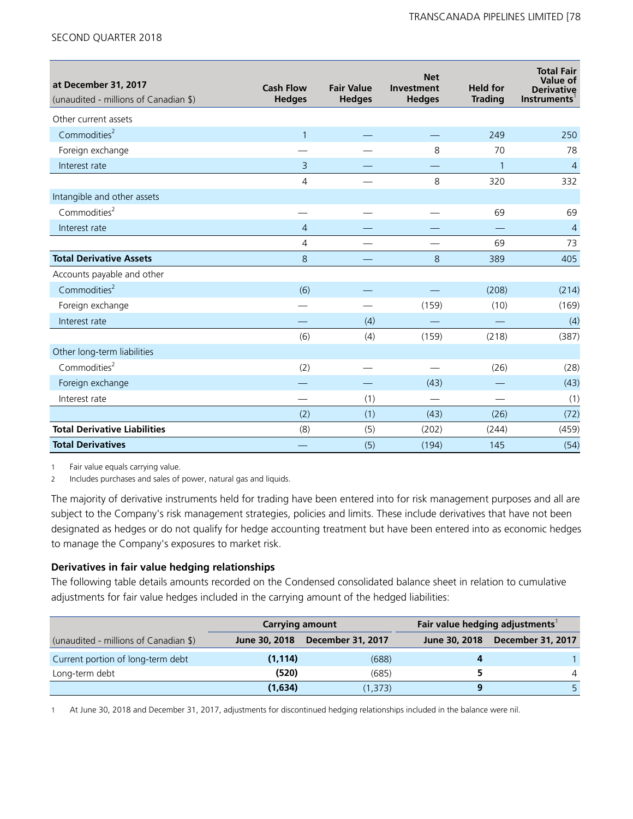| at December 31, 2017<br>(unaudited - millions of Canadian \$) | <b>Cash Flow</b><br><b>Hedges</b> | <b>Fair Value</b><br><b>Hedges</b> | <b>Net</b><br>Investment<br><b>Hedges</b> | <b>Held for</b><br><b>Trading</b> | <b>Total Fair</b><br>Value of<br><b>Derivative</b><br><b>Instruments</b> |
|---------------------------------------------------------------|-----------------------------------|------------------------------------|-------------------------------------------|-----------------------------------|--------------------------------------------------------------------------|
| Other current assets                                          |                                   |                                    |                                           |                                   |                                                                          |
| Commodities <sup>2</sup>                                      | $\mathbf{1}$                      |                                    |                                           | 249                               | 250                                                                      |
| Foreign exchange                                              |                                   |                                    | 8                                         | 70                                | 78                                                                       |
| Interest rate                                                 | 3                                 |                                    |                                           | $\mathbf{1}$                      | $\overline{4}$                                                           |
|                                                               | 4                                 |                                    | 8                                         | 320                               | 332                                                                      |
| Intangible and other assets                                   |                                   |                                    |                                           |                                   |                                                                          |
| Commodities <sup>2</sup>                                      |                                   |                                    |                                           | 69                                | 69                                                                       |
| Interest rate                                                 | $\overline{4}$                    |                                    |                                           |                                   | $\overline{4}$                                                           |
|                                                               | 4                                 |                                    |                                           | 69                                | 73                                                                       |
| <b>Total Derivative Assets</b>                                | 8                                 |                                    | 8                                         | 389                               | 405                                                                      |
| Accounts payable and other                                    |                                   |                                    |                                           |                                   |                                                                          |
| Commodities <sup>2</sup>                                      | (6)                               |                                    |                                           | (208)                             | (214)                                                                    |
| Foreign exchange                                              |                                   |                                    | (159)                                     | (10)                              | (169)                                                                    |
| Interest rate                                                 |                                   | (4)                                |                                           |                                   | (4)                                                                      |
|                                                               | (6)                               | (4)                                | (159)                                     | (218)                             | (387)                                                                    |
| Other long-term liabilities                                   |                                   |                                    |                                           |                                   |                                                                          |
| Commodities <sup>2</sup>                                      | (2)                               |                                    |                                           | (26)                              | (28)                                                                     |
| Foreign exchange                                              |                                   |                                    | (43)                                      |                                   | (43)                                                                     |
| Interest rate                                                 |                                   | (1)                                |                                           |                                   | (1)                                                                      |
|                                                               | (2)                               | (1)                                | (43)                                      | (26)                              | (72)                                                                     |
| <b>Total Derivative Liabilities</b>                           | (8)                               | (5)                                | (202)                                     | (244)                             | (459)                                                                    |
| <b>Total Derivatives</b>                                      |                                   | (5)                                | (194)                                     | 145                               | (54)                                                                     |

1 Fair value equals carrying value.

2 Includes purchases and sales of power, natural gas and liquids.

The majority of derivative instruments held for trading have been entered into for risk management purposes and all are subject to the Company's risk management strategies, policies and limits. These include derivatives that have not been designated as hedges or do not qualify for hedge accounting treatment but have been entered into as economic hedges to manage the Company's exposures to market risk.

#### **Derivatives in fair value hedging relationships**

The following table details amounts recorded on the Condensed consolidated balance sheet in relation to cumulative adjustments for fair value hedges included in the carrying amount of the hedged liabilities:

|                                       | Carrying amount |                          | Fair value hedging adjustments <sup>1</sup> |                                 |
|---------------------------------------|-----------------|--------------------------|---------------------------------------------|---------------------------------|
| (unaudited - millions of Canadian \$) | June 30, 2018   | <b>December 31, 2017</b> |                                             | June 30, 2018 December 31, 2017 |
| Current portion of long-term debt     | (1, 114)        | (688)                    |                                             |                                 |
| Long-term debt                        | (520)           | (685)                    |                                             | $\overline{A}$                  |
|                                       | (1,634)         | (1, 373)                 |                                             |                                 |

1 At June 30, 2018 and December 31, 2017, adjustments for discontinued hedging relationships included in the balance were nil.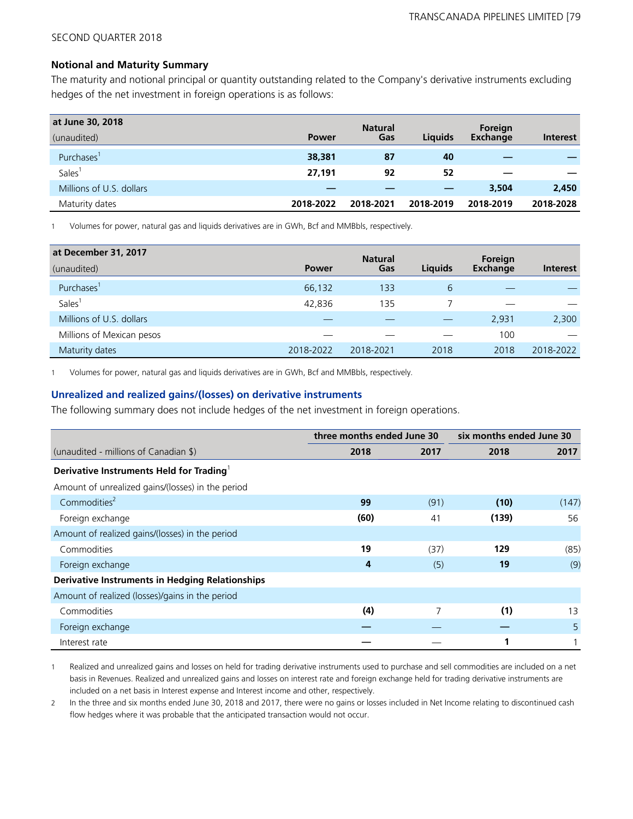#### **Notional and Maturity Summary**

The maturity and notional principal or quantity outstanding related to the Company's derivative instruments excluding hedges of the net investment in foreign operations is as follows:

| at June 30, 2018         |              | <b>Natural</b> |                | Foreign   |                 |
|--------------------------|--------------|----------------|----------------|-----------|-----------------|
| (unaudited)              | <b>Power</b> | Gas            | <b>Liquids</b> | Exchange  | <b>Interest</b> |
| Purchases'               | 38,381       | 87             | 40             |           |                 |
| Sales <sup>1</sup>       | 27,191       | 92             | 52             |           |                 |
| Millions of U.S. dollars |              |                |                | 3,504     | 2,450           |
| Maturity dates           | 2018-2022    | 2018-2021      | 2018-2019      | 2018-2019 | 2018-2028       |

1 Volumes for power, natural gas and liquids derivatives are in GWh, Bcf and MMBbls, respectively.

| at December 31, 2017      |              | <b>Natural</b> |         | Foreign         |                 |
|---------------------------|--------------|----------------|---------|-----------------|-----------------|
| (unaudited)               | <b>Power</b> | Gas            | Liquids | <b>Exchange</b> | <b>Interest</b> |
| Purchases'                | 66,132       | 133            | 6       |                 |                 |
| Sales <sup>®</sup>        | 42.836       | 135            |         |                 |                 |
| Millions of U.S. dollars  |              |                |         | 2,931           | 2,300           |
| Millions of Mexican pesos |              |                |         | 100             |                 |
| Maturity dates            | 2018-2022    | 2018-2021      | 2018    | 2018            | 2018-2022       |

1 Volumes for power, natural gas and liquids derivatives are in GWh, Bcf and MMBbls, respectively.

#### **Unrealized and realized gains/(losses) on derivative instruments**

The following summary does not include hedges of the net investment in foreign operations.

|                                                        | three months ended June 30 |                | six months ended June 30 |       |
|--------------------------------------------------------|----------------------------|----------------|--------------------------|-------|
| (unaudited - millions of Canadian \$)                  | 2018                       | 2017           | 2018                     | 2017  |
| Derivative Instruments Held for Trading <sup>1</sup>   |                            |                |                          |       |
| Amount of unrealized gains/(losses) in the period      |                            |                |                          |       |
| Commodities <sup>2</sup>                               | 99                         | (91)           | (10)                     | (147) |
| Foreign exchange                                       | (60)                       | 41             | (139)                    | 56    |
| Amount of realized gains/(losses) in the period        |                            |                |                          |       |
| Commodities                                            | 19                         | (37)           | 129                      | (85)  |
| Foreign exchange                                       | $\overline{4}$             | (5)            | 19                       | (9)   |
| <b>Derivative Instruments in Hedging Relationships</b> |                            |                |                          |       |
| Amount of realized (losses)/gains in the period        |                            |                |                          |       |
| Commodities                                            | (4)                        | $\overline{7}$ | (1)                      | 13    |
| Foreign exchange                                       |                            |                |                          | 5     |
| Interest rate                                          |                            |                |                          |       |

1 Realized and unrealized gains and losses on held for trading derivative instruments used to purchase and sell commodities are included on a net basis in Revenues. Realized and unrealized gains and losses on interest rate and foreign exchange held for trading derivative instruments are included on a net basis in Interest expense and Interest income and other, respectively.

2 In the three and six months ended June 30, 2018 and 2017, there were no gains or losses included in Net Income relating to discontinued cash flow hedges where it was probable that the anticipated transaction would not occur.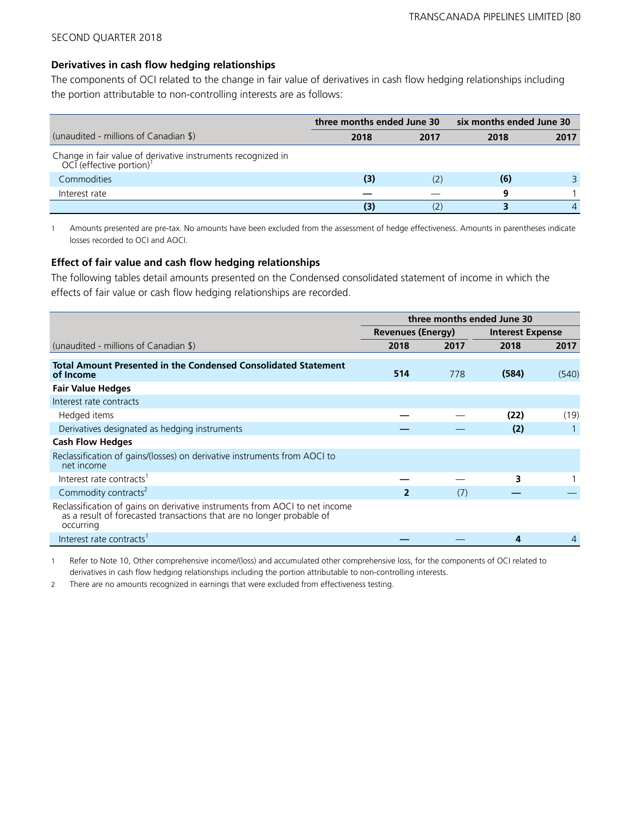#### **Derivatives in cash flow hedging relationships**

The components of OCI related to the change in fair value of derivatives in cash flow hedging relationships including the portion attributable to non-controlling interests are as follows:

|                                                                                                      | three months ended June 30 |      | six months ended June 30 |      |
|------------------------------------------------------------------------------------------------------|----------------------------|------|--------------------------|------|
| (unaudited - millions of Canadian \$)                                                                | 2018                       | 2017 | 2018                     | 2017 |
| Change in fair value of derivative instruments recognized in<br>OCI (effective portion) <sup>1</sup> |                            |      |                          |      |
| Commodities                                                                                          | (3)                        | (2)  | (6)                      |      |
| Interest rate                                                                                        |                            |      | q                        |      |
|                                                                                                      |                            |      |                          |      |

1 Amounts presented are pre-tax. No amounts have been excluded from the assessment of hedge effectiveness. Amounts in parentheses indicate losses recorded to OCI and AOCI.

## **Effect of fair value and cash flow hedging relationships**

The following tables detail amounts presented on the Condensed consolidated statement of income in which the effects of fair value or cash flow hedging relationships are recorded.

|                                                                                                                                                                   |                          |      | three months ended June 30 |       |
|-------------------------------------------------------------------------------------------------------------------------------------------------------------------|--------------------------|------|----------------------------|-------|
|                                                                                                                                                                   | <b>Revenues (Energy)</b> |      | <b>Interest Expense</b>    |       |
| (unaudited - millions of Canadian \$)                                                                                                                             | 2018                     | 2017 | 2018                       | 2017  |
| Total Amount Presented in the Condensed Consolidated Statement<br>of Income                                                                                       | 514                      | 778  | (584)                      | (540) |
| <b>Fair Value Hedges</b>                                                                                                                                          |                          |      |                            |       |
| Interest rate contracts                                                                                                                                           |                          |      |                            |       |
| Hedged items                                                                                                                                                      |                          |      | (22)                       | (19)  |
| Derivatives designated as hedging instruments                                                                                                                     |                          |      | (2)                        |       |
| <b>Cash Flow Hedges</b>                                                                                                                                           |                          |      |                            |       |
| Reclassification of gains/(losses) on derivative instruments from AOCI to<br>net income                                                                           |                          |      |                            |       |
| Interest rate contracts <sup>1</sup>                                                                                                                              |                          |      | 3                          |       |
| Commodity contracts <sup>2</sup>                                                                                                                                  | 2                        | (7)  |                            |       |
| Reclassification of gains on derivative instruments from AOCI to net income<br>as a result of forecasted transactions that are no longer probable of<br>occurring |                          |      |                            |       |
| Interest rate contracts <sup>1</sup>                                                                                                                              |                          |      | 4                          | 4     |

1 Refer to Note 10, Other comprehensive income/(loss) and accumulated other comprehensive loss, for the components of OCI related to derivatives in cash flow hedging relationships including the portion attributable to non-controlling interests.

2 There are no amounts recognized in earnings that were excluded from effectiveness testing.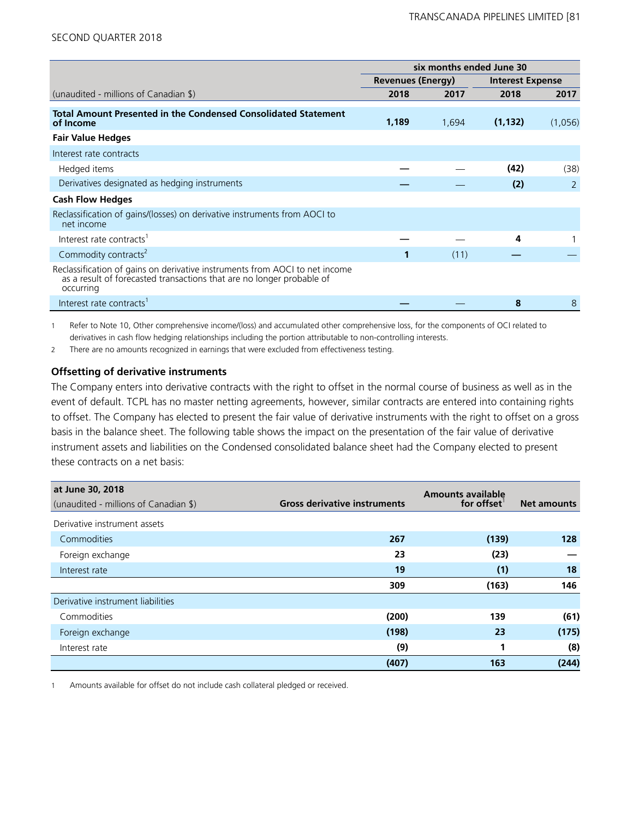|                                                                                                                                                                   | six months ended June 30 |       |                         |         |
|-------------------------------------------------------------------------------------------------------------------------------------------------------------------|--------------------------|-------|-------------------------|---------|
|                                                                                                                                                                   | <b>Revenues (Energy)</b> |       | <b>Interest Expense</b> |         |
| (unaudited - millions of Canadian $\frac{1}{2}$ )                                                                                                                 | 2018                     | 2017  | 2018                    | 2017    |
| <b>Total Amount Presented in the Condensed Consolidated Statement</b><br>of Income                                                                                | 1,189                    | 1,694 | (1, 132)                | (1,056) |
| <b>Fair Value Hedges</b>                                                                                                                                          |                          |       |                         |         |
| Interest rate contracts                                                                                                                                           |                          |       |                         |         |
| Hedged items                                                                                                                                                      |                          |       | (42)                    | (38)    |
| Derivatives designated as hedging instruments                                                                                                                     |                          |       | (2)                     | 2       |
| <b>Cash Flow Hedges</b>                                                                                                                                           |                          |       |                         |         |
| Reclassification of gains/(losses) on derivative instruments from AOCI to<br>net income                                                                           |                          |       |                         |         |
| Interest rate contracts <sup>1</sup>                                                                                                                              |                          |       | 4                       |         |
| Commodity contracts <sup>2</sup>                                                                                                                                  | 1                        | (11)  |                         |         |
| Reclassification of gains on derivative instruments from AOCI to net income<br>as a result of forecasted transactions that are no longer probable of<br>occurring |                          |       |                         |         |
| Interest rate contracts <sup>1</sup>                                                                                                                              |                          |       | 8                       | 8       |

1 Refer to Note 10, Other comprehensive income/(loss) and accumulated other comprehensive loss, for the components of OCI related to derivatives in cash flow hedging relationships including the portion attributable to non-controlling interests.

2 There are no amounts recognized in earnings that were excluded from effectiveness testing.

## **Offsetting of derivative instruments**

The Company enters into derivative contracts with the right to offset in the normal course of business as well as in the event of default. TCPL has no master netting agreements, however, similar contracts are entered into containing rights to offset. The Company has elected to present the fair value of derivative instruments with the right to offset on a gross basis in the balance sheet. The following table shows the impact on the presentation of the fair value of derivative instrument assets and liabilities on the Condensed consolidated balance sheet had the Company elected to present these contracts on a net basis:

| at June 30, 2018                      |                                     | <b>Amounts available</b> |                    |
|---------------------------------------|-------------------------------------|--------------------------|--------------------|
| (unaudited - millions of Canadian \$) | <b>Gross derivative instruments</b> | for offset               | <b>Net amounts</b> |
| Derivative instrument assets          |                                     |                          |                    |
| Commodities                           | 267                                 | (139)                    | 128                |
| Foreign exchange                      | 23                                  | (23)                     |                    |
| Interest rate                         | 19                                  | (1)                      | 18                 |
|                                       | 309                                 | (163)                    | 146                |
| Derivative instrument liabilities     |                                     |                          |                    |
| Commodities                           | (200)                               | 139                      | (61)               |
| Foreign exchange                      | (198)                               | 23                       | (175)              |
| Interest rate                         | (9)                                 |                          | (8)                |
|                                       | (407)                               | 163                      | (244)              |

1 Amounts available for offset do not include cash collateral pledged or received.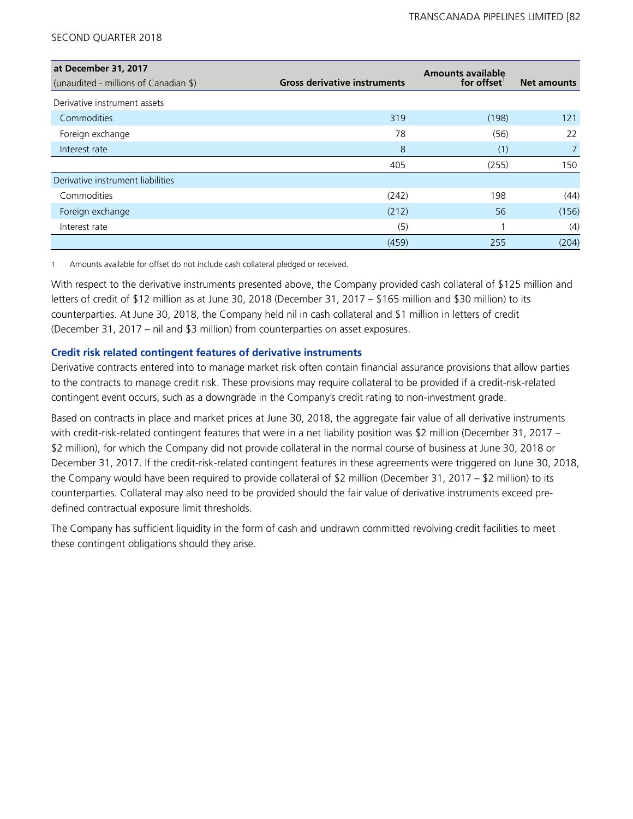| at December 31, 2017                  |                                     | <b>Amounts available</b> |                    |
|---------------------------------------|-------------------------------------|--------------------------|--------------------|
| (unaudited - millions of Canadian \$) | <b>Gross derivative instruments</b> | for offset               | <b>Net amounts</b> |
| Derivative instrument assets          |                                     |                          |                    |
| Commodities                           | 319                                 | (198)                    | 121                |
| Foreign exchange                      | 78                                  | (56)                     | 22                 |
| Interest rate                         | 8                                   | (1)                      | $\overline{7}$     |
|                                       | 405                                 | (255)                    | 150                |
| Derivative instrument liabilities     |                                     |                          |                    |
| Commodities                           | (242)                               | 198                      | (44)               |
| Foreign exchange                      | (212)                               | 56                       | (156)              |
| Interest rate                         | (5)                                 |                          | (4)                |
|                                       | (459)                               | 255                      | (204)              |

1 Amounts available for offset do not include cash collateral pledged or received.

With respect to the derivative instruments presented above, the Company provided cash collateral of \$125 million and letters of credit of \$12 million as at June 30, 2018 (December 31, 2017 – \$165 million and \$30 million) to its counterparties. At June 30, 2018, the Company held nil in cash collateral and \$1 million in letters of credit (December 31, 2017 – nil and \$3 million) from counterparties on asset exposures.

## **Credit risk related contingent features of derivative instruments**

Derivative contracts entered into to manage market risk often contain financial assurance provisions that allow parties to the contracts to manage credit risk. These provisions may require collateral to be provided if a credit-risk-related contingent event occurs, such as a downgrade in the Company's credit rating to non-investment grade.

Based on contracts in place and market prices at June 30, 2018, the aggregate fair value of all derivative instruments with credit-risk-related contingent features that were in a net liability position was \$2 million (December 31, 2017 – \$2 million), for which the Company did not provide collateral in the normal course of business at June 30, 2018 or December 31, 2017. If the credit-risk-related contingent features in these agreements were triggered on June 30, 2018, the Company would have been required to provide collateral of \$2 million (December 31, 2017 – \$2 million) to its counterparties. Collateral may also need to be provided should the fair value of derivative instruments exceed predefined contractual exposure limit thresholds.

The Company has sufficient liquidity in the form of cash and undrawn committed revolving credit facilities to meet these contingent obligations should they arise.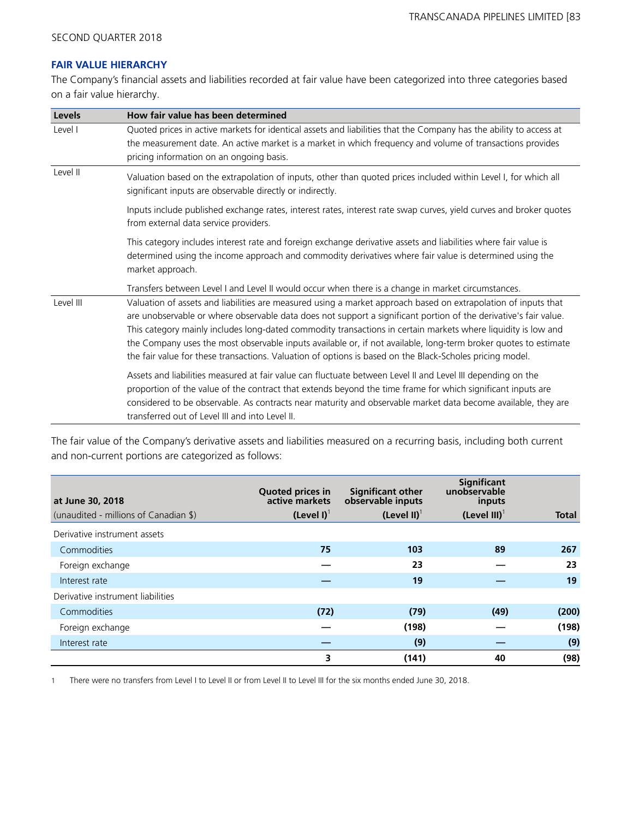#### **FAIR VALUE HIERARCHY**

The Company's financial assets and liabilities recorded at fair value have been categorized into three categories based on a fair value hierarchy.

| Levels    | How fair value has been determined                                                                                                                                                                                                                                                                                                                                                                                                                                                                                                                                                 |
|-----------|------------------------------------------------------------------------------------------------------------------------------------------------------------------------------------------------------------------------------------------------------------------------------------------------------------------------------------------------------------------------------------------------------------------------------------------------------------------------------------------------------------------------------------------------------------------------------------|
| Level I   | Quoted prices in active markets for identical assets and liabilities that the Company has the ability to access at<br>the measurement date. An active market is a market in which frequency and volume of transactions provides<br>pricing information on an ongoing basis.                                                                                                                                                                                                                                                                                                        |
| Level II  | Valuation based on the extrapolation of inputs, other than quoted prices included within Level I, for which all<br>significant inputs are observable directly or indirectly.                                                                                                                                                                                                                                                                                                                                                                                                       |
|           | Inputs include published exchange rates, interest rates, interest rate swap curves, yield curves and broker quotes<br>from external data service providers.                                                                                                                                                                                                                                                                                                                                                                                                                        |
|           | This category includes interest rate and foreign exchange derivative assets and liabilities where fair value is<br>determined using the income approach and commodity derivatives where fair value is determined using the<br>market approach.                                                                                                                                                                                                                                                                                                                                     |
|           | Transfers between Level I and Level II would occur when there is a change in market circumstances.                                                                                                                                                                                                                                                                                                                                                                                                                                                                                 |
| Level III | Valuation of assets and liabilities are measured using a market approach based on extrapolation of inputs that<br>are unobservable or where observable data does not support a significant portion of the derivative's fair value.<br>This category mainly includes long-dated commodity transactions in certain markets where liquidity is low and<br>the Company uses the most observable inputs available or, if not available, long-term broker quotes to estimate<br>the fair value for these transactions. Valuation of options is based on the Black-Scholes pricing model. |
|           | Assets and liabilities measured at fair value can fluctuate between Level II and Level III depending on the<br>proportion of the value of the contract that extends beyond the time frame for which significant inputs are<br>considered to be observable. As contracts near maturity and observable market data become available, they are<br>transferred out of Level III and into Level II.                                                                                                                                                                                     |

The fair value of the Company's derivative assets and liabilities measured on a recurring basis, including both current and non-current portions are categorized as follows:

| at June 30, 2018                      | <b>Quoted prices in</b><br>active markets | <b>Significant other</b><br>observable inputs | <b>Significant</b><br>unobservable<br>inputs |              |
|---------------------------------------|-------------------------------------------|-----------------------------------------------|----------------------------------------------|--------------|
| (unaudited - millions of Canadian \$) | $(Level I)^T$                             | (Level II) $1$                                | (Level III) $1$                              | <b>Total</b> |
| Derivative instrument assets          |                                           |                                               |                                              |              |
| Commodities                           | 75                                        | 103                                           | 89                                           | 267          |
| Foreign exchange                      |                                           | 23                                            |                                              | 23           |
| Interest rate                         |                                           | 19                                            |                                              | 19           |
| Derivative instrument liabilities     |                                           |                                               |                                              |              |
| Commodities                           | (72)                                      | (79)                                          | (49)                                         | (200)        |
| Foreign exchange                      |                                           | (198)                                         |                                              | (198)        |
| Interest rate                         |                                           | (9)                                           |                                              | (9)          |
|                                       | 3                                         | (141)                                         | 40                                           | (98)         |

1 There were no transfers from Level I to Level II or from Level II to Level III for the six months ended June 30, 2018.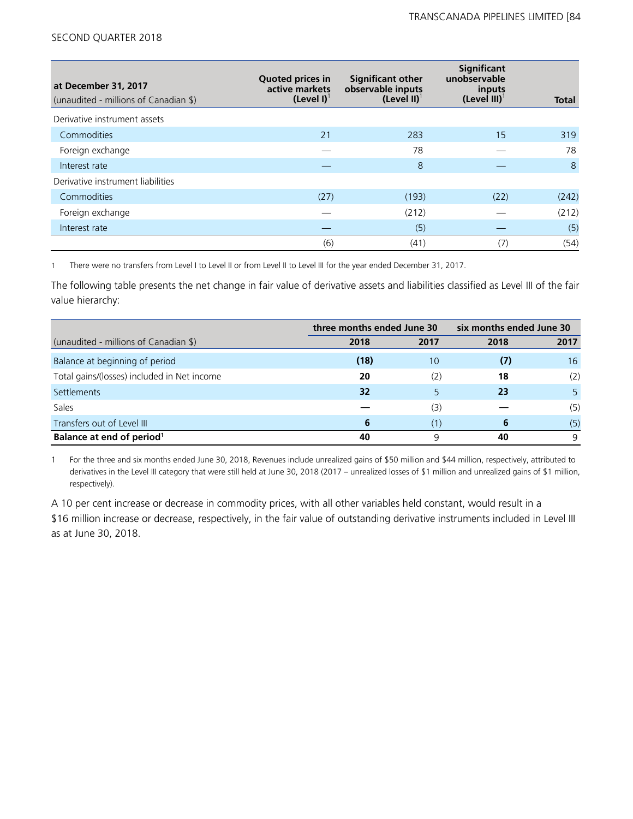| at December 31, 2017<br>(unaudited - millions of Canadian \$) | <b>Quoted prices in</b><br>active markets<br>$(Level I)^{T}$ | <b>Significant other</b><br>observable inputs<br>(Level II) $^1$ | Significant<br>unobservable<br>inputs<br>$(Level III)^{T}$ | <b>Total</b> |
|---------------------------------------------------------------|--------------------------------------------------------------|------------------------------------------------------------------|------------------------------------------------------------|--------------|
| Derivative instrument assets                                  |                                                              |                                                                  |                                                            |              |
| Commodities                                                   | 21                                                           | 283                                                              | 15                                                         | 319          |
| Foreign exchange                                              |                                                              | 78                                                               |                                                            | 78           |
| Interest rate                                                 |                                                              | 8                                                                |                                                            | 8            |
| Derivative instrument liabilities                             |                                                              |                                                                  |                                                            |              |
| Commodities                                                   | (27)                                                         | (193)                                                            | (22)                                                       | (242)        |
| Foreign exchange                                              |                                                              | (212)                                                            |                                                            | (212)        |
| Interest rate                                                 |                                                              | (5)                                                              |                                                            | (5)          |
|                                                               | (6)                                                          | (41)                                                             | (7)                                                        | (54)         |

1 There were no transfers from Level I to Level II or from Level II to Level III for the year ended December 31, 2017.

The following table presents the net change in fair value of derivative assets and liabilities classified as Level III of the fair value hierarchy:

|                                             | three months ended June 30 |      | six months ended June 30 |      |  |
|---------------------------------------------|----------------------------|------|--------------------------|------|--|
| (unaudited - millions of Canadian \$)       | 2018                       | 2017 | 2018                     | 2017 |  |
| Balance at beginning of period              | (18)                       | 10   | (7)                      | 16   |  |
| Total gains/(losses) included in Net income | 20                         | (2)  | 18                       | (2)  |  |
| Settlements                                 | 32                         | 5    | 23                       | 5.   |  |
| Sales                                       |                            | (3)  |                          | (5)  |  |
| Transfers out of Level III                  | 6                          | (1)  | 6                        | (5)  |  |
| Balance at end of period <sup>1</sup>       | 40                         | 9    | 40                       | 9    |  |

1 For the three and six months ended June 30, 2018, Revenues include unrealized gains of \$50 million and \$44 million, respectively, attributed to derivatives in the Level III category that were still held at June 30, 2018 (2017 – unrealized losses of \$1 million and unrealized gains of \$1 million, respectively).

A 10 per cent increase or decrease in commodity prices, with all other variables held constant, would result in a \$16 million increase or decrease, respectively, in the fair value of outstanding derivative instruments included in Level III as at June 30, 2018.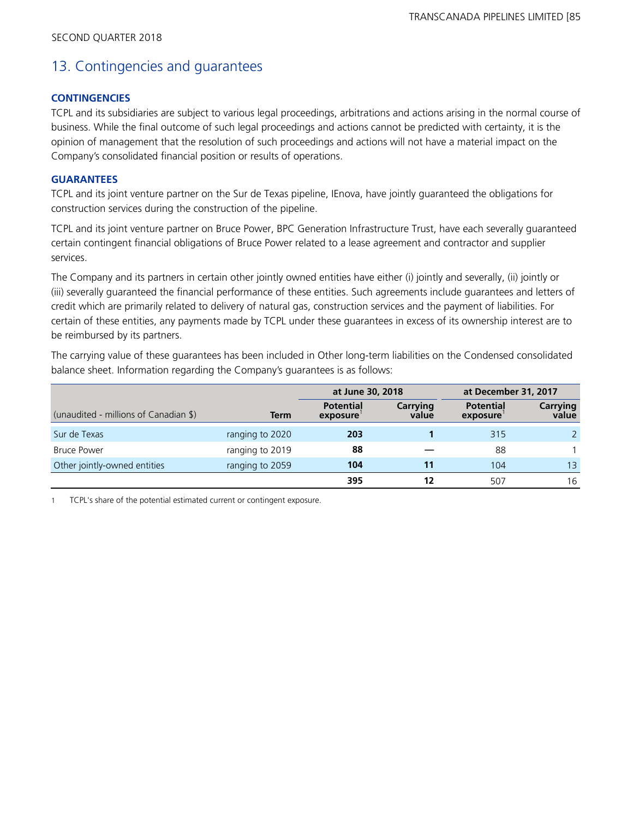# 13. Contingencies and guarantees

## **CONTINGENCIES**

TCPL and its subsidiaries are subject to various legal proceedings, arbitrations and actions arising in the normal course of business. While the final outcome of such legal proceedings and actions cannot be predicted with certainty, it is the opinion of management that the resolution of such proceedings and actions will not have a material impact on the Company's consolidated financial position or results of operations.

## **GUARANTEES**

TCPL and its joint venture partner on the Sur de Texas pipeline, IEnova, have jointly guaranteed the obligations for construction services during the construction of the pipeline.

TCPL and its joint venture partner on Bruce Power, BPC Generation Infrastructure Trust, have each severally guaranteed certain contingent financial obligations of Bruce Power related to a lease agreement and contractor and supplier services.

The Company and its partners in certain other jointly owned entities have either (i) jointly and severally, (ii) jointly or (iii) severally guaranteed the financial performance of these entities. Such agreements include guarantees and letters of credit which are primarily related to delivery of natural gas, construction services and the payment of liabilities. For certain of these entities, any payments made by TCPL under these guarantees in excess of its ownership interest are to be reimbursed by its partners.

The carrying value of these guarantees has been included in Other long-term liabilities on the Condensed consolidated balance sheet. Information regarding the Company's guarantees is as follows:

|                                       |                 | at June 30, 2018             |                          | at December 31, 2017         |                          |
|---------------------------------------|-----------------|------------------------------|--------------------------|------------------------------|--------------------------|
| (unaudited - millions of Canadian \$) | <b>Term</b>     | <b>Potential</b><br>exposure | <b>Carrying</b><br>value | <b>Potential</b><br>exposure | <b>Carrying</b><br>value |
| Sur de Texas                          | ranging to 2020 | 203                          |                          | 315                          |                          |
| <b>Bruce Power</b>                    | ranging to 2019 | 88                           |                          | 88                           |                          |
| Other jointly-owned entities          | ranging to 2059 | 104                          |                          | 104                          | 13                       |
|                                       |                 | 395                          |                          | 507                          | 16                       |

1 TCPL's share of the potential estimated current or contingent exposure.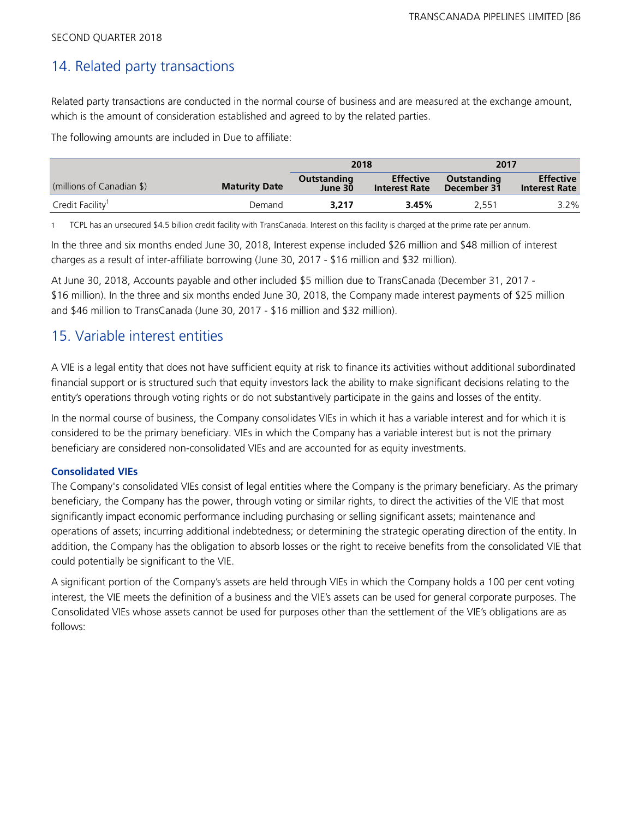# 14. Related party transactions

Related party transactions are conducted in the normal course of business and are measured at the exchange amount, which is the amount of consideration established and agreed to by the related parties.

The following amounts are included in Due to affiliate:

|                              |                      | 2018                   |                                          | 2017                       |                                          |
|------------------------------|----------------------|------------------------|------------------------------------------|----------------------------|------------------------------------------|
| (millions of Canadian \$)    | <b>Maturity Date</b> | Outstanding<br>June 30 | <b>Effective</b><br><b>Interest Rate</b> | Outstanding<br>December 31 | <b>Effective</b><br><b>Interest Rate</b> |
| Credit Facility <sup>1</sup> | Demand               | 3,217                  | 3.45%                                    | 2.551                      | $3.2\%$                                  |

1 TCPL has an unsecured \$4.5 billion credit facility with TransCanada. Interest on this facility is charged at the prime rate per annum.

In the three and six months ended June 30, 2018, Interest expense included \$26 million and \$48 million of interest charges as a result of inter-affiliate borrowing (June 30, 2017 - \$16 million and \$32 million).

At June 30, 2018, Accounts payable and other included \$5 million due to TransCanada (December 31, 2017 - \$16 million). In the three and six months ended June 30, 2018, the Company made interest payments of \$25 million and \$46 million to TransCanada (June 30, 2017 - \$16 million and \$32 million).

# 15. Variable interest entities

A VIE is a legal entity that does not have sufficient equity at risk to finance its activities without additional subordinated financial support or is structured such that equity investors lack the ability to make significant decisions relating to the entity's operations through voting rights or do not substantively participate in the gains and losses of the entity.

In the normal course of business, the Company consolidates VIEs in which it has a variable interest and for which it is considered to be the primary beneficiary. VIEs in which the Company has a variable interest but is not the primary beneficiary are considered non-consolidated VIEs and are accounted for as equity investments.

## **Consolidated VIEs**

The Company's consolidated VIEs consist of legal entities where the Company is the primary beneficiary. As the primary beneficiary, the Company has the power, through voting or similar rights, to direct the activities of the VIE that most significantly impact economic performance including purchasing or selling significant assets; maintenance and operations of assets; incurring additional indebtedness; or determining the strategic operating direction of the entity. In addition, the Company has the obligation to absorb losses or the right to receive benefits from the consolidated VIE that could potentially be significant to the VIE.

A significant portion of the Company's assets are held through VIEs in which the Company holds a 100 per cent voting interest, the VIE meets the definition of a business and the VIE's assets can be used for general corporate purposes. The Consolidated VIEs whose assets cannot be used for purposes other than the settlement of the VIE's obligations are as follows: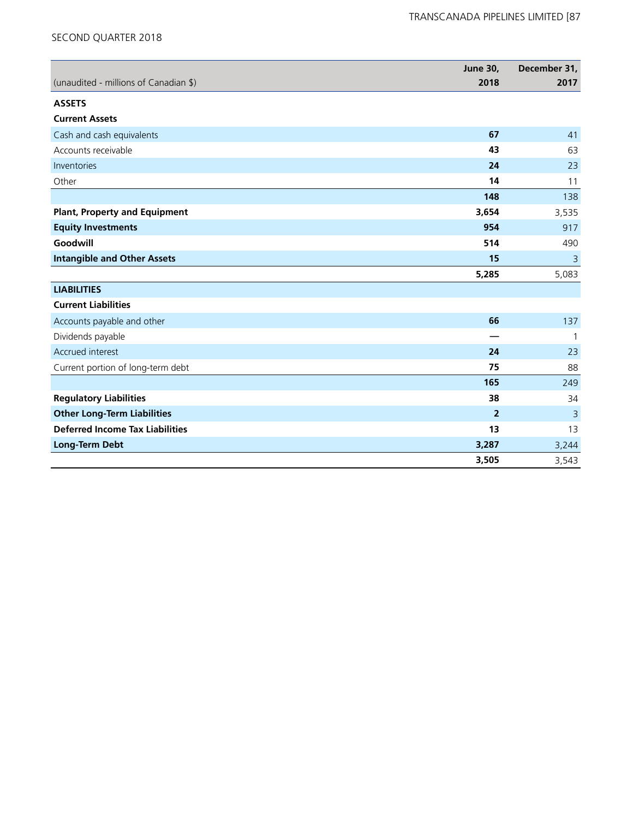|                                        | <b>June 30,</b><br>2018 | December 31,<br>2017 |
|----------------------------------------|-------------------------|----------------------|
| (unaudited - millions of Canadian \$)  |                         |                      |
| <b>ASSETS</b>                          |                         |                      |
| <b>Current Assets</b>                  |                         |                      |
| Cash and cash equivalents              | 67                      | 41                   |
| Accounts receivable                    | 43                      | 63                   |
| Inventories                            | 24                      | 23                   |
| Other                                  | 14                      | 11                   |
|                                        | 148                     | 138                  |
| <b>Plant, Property and Equipment</b>   | 3,654                   | 3,535                |
| <b>Equity Investments</b>              | 954                     | 917                  |
| Goodwill                               | 514                     | 490                  |
| <b>Intangible and Other Assets</b>     | 15                      | $\overline{3}$       |
|                                        | 5,285                   | 5,083                |
| <b>LIABILITIES</b>                     |                         |                      |
| <b>Current Liabilities</b>             |                         |                      |
| Accounts payable and other             | 66                      | 137                  |
| Dividends payable                      |                         | 1                    |
| Accrued interest                       | 24                      | 23                   |
| Current portion of long-term debt      | 75                      | 88                   |
|                                        | 165                     | 249                  |
| <b>Regulatory Liabilities</b>          | 38                      | 34                   |
| <b>Other Long-Term Liabilities</b>     | $\overline{2}$          | $\overline{3}$       |
| <b>Deferred Income Tax Liabilities</b> | 13                      | 13                   |
| <b>Long-Term Debt</b>                  | 3,287                   | 3,244                |
|                                        | 3,505                   | 3,543                |